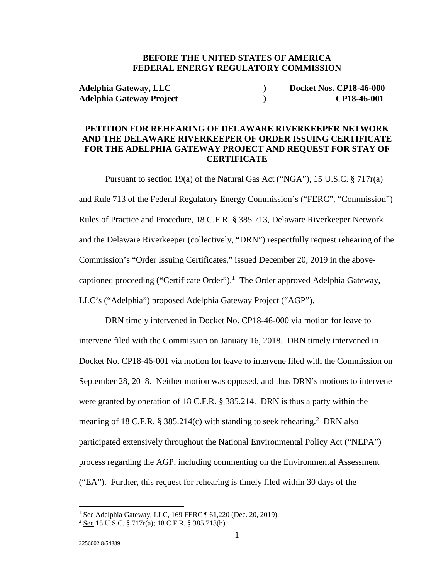### **BEFORE THE UNITED STATES OF AMERICA FEDERAL ENERGY REGULATORY COMMISSION**

**Adelphia Gateway, LLC ) Docket Nos. CP18-46-000 Adelphia Gateway Project ) CP18-46-001**

## **PETITION FOR REHEARING OF DELAWARE RIVERKEEPER NETWORK AND THE DELAWARE RIVERKEEPER OF ORDER ISSUING CERTIFICATE FOR THE ADELPHIA GATEWAY PROJECT AND REQUEST FOR STAY OF CERTIFICATE**

 Pursuant to section 19(a) of the Natural Gas Act ("NGA"), 15 U.S.C. § 717r(a) and Rule 713 of the Federal Regulatory Energy Commission's ("FERC", "Commission") Rules of Practice and Procedure, 18 C.F.R. § 385.713, Delaware Riverkeeper Network and the Delaware Riverkeeper (collectively, "DRN") respectfully request rehearing of the Commission's "Order Issuing Certificates," issued December 20, 2019 in the abovecaptioned proceeding ("Certificate Order").<sup>1</sup> The Order approved Adelphia Gateway, LLC's ("Adelphia") proposed Adelphia Gateway Project ("AGP").

 DRN timely intervened in Docket No. CP18-46-000 via motion for leave to intervene filed with the Commission on January 16, 2018. DRN timely intervened in Docket No. CP18-46-001 via motion for leave to intervene filed with the Commission on September 28, 2018. Neither motion was opposed, and thus DRN's motions to intervene were granted by operation of 18 C.F.R. § 385.214. DRN is thus a party within the meaning of 18 C.F.R.  $\S 385.214(c)$  with standing to seek rehearing.<sup>2</sup> DRN also participated extensively throughout the National Environmental Policy Act ("NEPA") process regarding the AGP, including commenting on the Environmental Assessment ("EA"). Further, this request for rehearing is timely filed within 30 days of the

<sup>&</sup>lt;sup>1</sup> See Adelphia Gateway, LLC, 169 FERC ¶ 61,220 (Dec. 20, 2019).

 $2 \text{ See } 15 \text{ U.S.C. } $717r(a); 18 \text{ C.F.R. } $385.713(b).$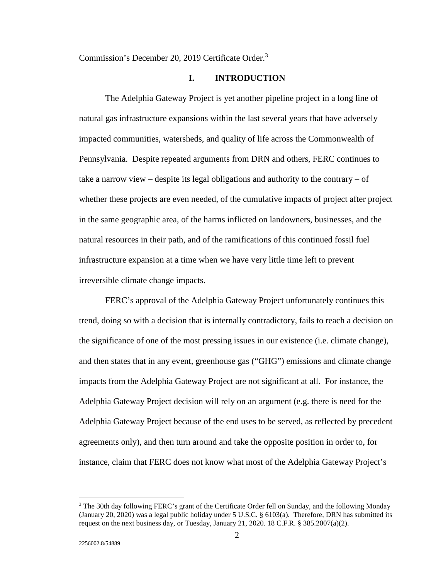Commission's December 20, 2019 Certificate Order.<sup>3</sup>

#### **I. INTRODUCTION**

 The Adelphia Gateway Project is yet another pipeline project in a long line of natural gas infrastructure expansions within the last several years that have adversely impacted communities, watersheds, and quality of life across the Commonwealth of Pennsylvania. Despite repeated arguments from DRN and others, FERC continues to take a narrow view – despite its legal obligations and authority to the contrary – of whether these projects are even needed, of the cumulative impacts of project after project in the same geographic area, of the harms inflicted on landowners, businesses, and the natural resources in their path, and of the ramifications of this continued fossil fuel infrastructure expansion at a time when we have very little time left to prevent irreversible climate change impacts.

 FERC's approval of the Adelphia Gateway Project unfortunately continues this trend, doing so with a decision that is internally contradictory, fails to reach a decision on the significance of one of the most pressing issues in our existence (i.e. climate change), and then states that in any event, greenhouse gas ("GHG") emissions and climate change impacts from the Adelphia Gateway Project are not significant at all. For instance, the Adelphia Gateway Project decision will rely on an argument (e.g. there is need for the Adelphia Gateway Project because of the end uses to be served, as reflected by precedent agreements only), and then turn around and take the opposite position in order to, for instance, claim that FERC does not know what most of the Adelphia Gateway Project's

<sup>&</sup>lt;sup>3</sup> The 30th day following FERC's grant of the Certificate Order fell on Sunday, and the following Monday (January 20, 2020) was a legal public holiday under 5 U.S.C. § 6103(a). Therefore, DRN has submitted its request on the next business day, or Tuesday, January 21, 2020. 18 C.F.R. § 385.2007(a)(2).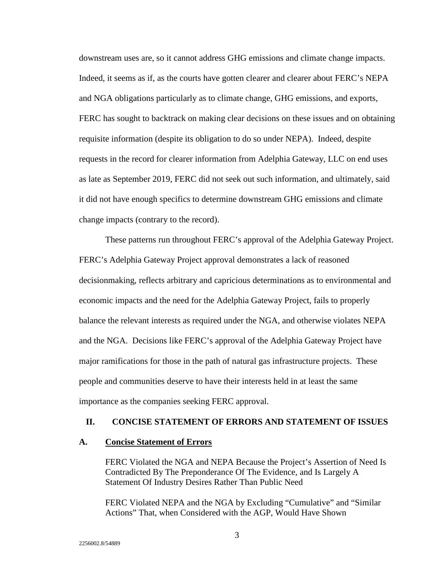downstream uses are, so it cannot address GHG emissions and climate change impacts. Indeed, it seems as if, as the courts have gotten clearer and clearer about FERC's NEPA and NGA obligations particularly as to climate change, GHG emissions, and exports, FERC has sought to backtrack on making clear decisions on these issues and on obtaining requisite information (despite its obligation to do so under NEPA). Indeed, despite requests in the record for clearer information from Adelphia Gateway, LLC on end uses as late as September 2019, FERC did not seek out such information, and ultimately, said it did not have enough specifics to determine downstream GHG emissions and climate change impacts (contrary to the record).

 These patterns run throughout FERC's approval of the Adelphia Gateway Project. FERC's Adelphia Gateway Project approval demonstrates a lack of reasoned decisionmaking, reflects arbitrary and capricious determinations as to environmental and economic impacts and the need for the Adelphia Gateway Project, fails to properly balance the relevant interests as required under the NGA, and otherwise violates NEPA and the NGA. Decisions like FERC's approval of the Adelphia Gateway Project have major ramifications for those in the path of natural gas infrastructure projects. These people and communities deserve to have their interests held in at least the same importance as the companies seeking FERC approval.

#### **II. CONCISE STATEMENT OF ERRORS AND STATEMENT OF ISSUES**

#### **A. Concise Statement of Errors**

FERC Violated the NGA and NEPA Because the Project's Assertion of Need Is Contradicted By The Preponderance Of The Evidence, and Is Largely A Statement Of Industry Desires Rather Than Public Need

FERC Violated NEPA and the NGA by Excluding "Cumulative" and "Similar Actions" That, when Considered with the AGP, Would Have Shown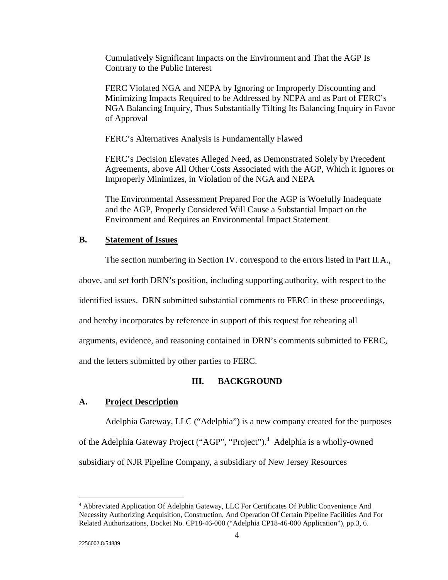Cumulatively Significant Impacts on the Environment and That the AGP Is Contrary to the Public Interest

FERC Violated NGA and NEPA by Ignoring or Improperly Discounting and Minimizing Impacts Required to be Addressed by NEPA and as Part of FERC's NGA Balancing Inquiry, Thus Substantially Tilting Its Balancing Inquiry in Favor of Approval

FERC's Alternatives Analysis is Fundamentally Flawed

FERC's Decision Elevates Alleged Need, as Demonstrated Solely by Precedent Agreements, above All Other Costs Associated with the AGP, Which it Ignores or Improperly Minimizes, in Violation of the NGA and NEPA

The Environmental Assessment Prepared For the AGP is Woefully Inadequate and the AGP, Properly Considered Will Cause a Substantial Impact on the Environment and Requires an Environmental Impact Statement

#### **B. Statement of Issues**

The section numbering in Section IV. correspond to the errors listed in Part II.A.,

above, and set forth DRN's position, including supporting authority, with respect to the

identified issues. DRN submitted substantial comments to FERC in these proceedings,

and hereby incorporates by reference in support of this request for rehearing all

arguments, evidence, and reasoning contained in DRN's comments submitted to FERC,

and the letters submitted by other parties to FERC.

### **III. BACKGROUND**

#### **A. Project Description**

Adelphia Gateway, LLC ("Adelphia") is a new company created for the purposes

of the Adelphia Gateway Project ("AGP", "Project").<sup>4</sup> Adelphia is a wholly-owned

subsidiary of NJR Pipeline Company, a subsidiary of New Jersey Resources

<sup>&</sup>lt;sup>4</sup> Abbreviated Application Of Adelphia Gateway, LLC For Certificates Of Public Convenience And Necessity Authorizing Acquisition, Construction, And Operation Of Certain Pipeline Facilities And For Related Authorizations, Docket No. CP18-46-000 ("Adelphia CP18-46-000 Application"), pp.3, 6.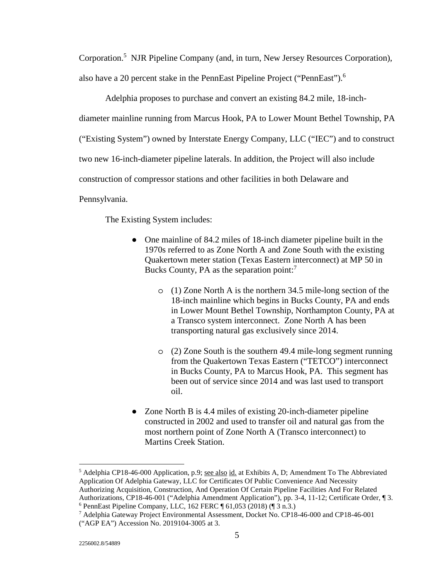Corporation.<sup>5</sup> NJR Pipeline Company (and, in turn, New Jersey Resources Corporation), also have a 20 percent stake in the PennEast Pipeline Project ("PennEast").<sup>6</sup>

 Adelphia proposes to purchase and convert an existing 84.2 mile, 18-inchdiameter mainline running from Marcus Hook, PA to Lower Mount Bethel Township, PA ("Existing System") owned by Interstate Energy Company, LLC ("IEC") and to construct two new 16-inch-diameter pipeline laterals. In addition, the Project will also include construction of compressor stations and other facilities in both Delaware and

Pennsylvania.

The Existing System includes:

- One mainline of 84.2 miles of 18-inch diameter pipeline built in the 1970s referred to as Zone North A and Zone South with the existing Quakertown meter station (Texas Eastern interconnect) at MP 50 in Bucks County, PA as the separation point: $<sup>7</sup>$ </sup>
	- o (1) Zone North A is the northern 34.5 mile-long section of the 18-inch mainline which begins in Bucks County, PA and ends in Lower Mount Bethel Township, Northampton County, PA at a Transco system interconnect. Zone North A has been transporting natural gas exclusively since 2014.
	- o (2) Zone South is the southern 49.4 mile-long segment running from the Quakertown Texas Eastern ("TETCO") interconnect in Bucks County, PA to Marcus Hook, PA. This segment has been out of service since 2014 and was last used to transport oil.
- Zone North B is 4.4 miles of existing 20-inch-diameter pipeline constructed in 2002 and used to transfer oil and natural gas from the most northern point of Zone North A (Transco interconnect) to Martins Creek Station.

<sup>&</sup>lt;sup>5</sup> Adelphia CP18-46-000 Application, p.9; <u>see also id.</u> at Exhibits A, D; Amendment To The Abbreviated Application Of Adelphia Gateway, LLC for Certificates Of Public Convenience And Necessity Authorizing Acquisition, Construction, And Operation Of Certain Pipeline Facilities And For Related Authorizations, CP18-46-001 ("Adelphia Amendment Application"), pp. 3-4, 11-12; Certificate Order, ¶ 3. 6 PennEast Pipeline Company, LLC, 162 FERC ¶ 61,053 (2018) (¶ 3 n.3.)

<sup>7</sup> Adelphia Gateway Project Environmental Assessment, Docket No. CP18-46-000 and CP18-46-001 ("AGP EA") Accession No. 2019104-3005 at 3.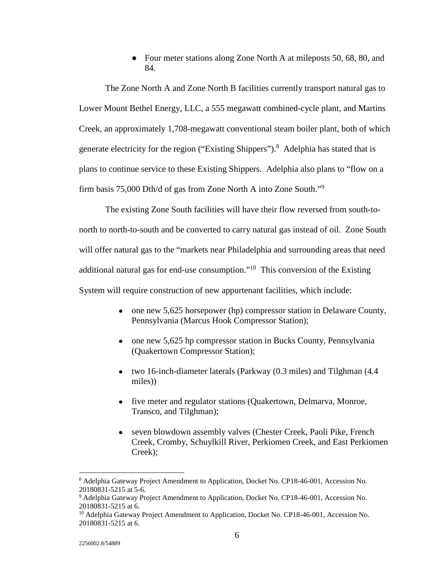• Four meter stations along Zone North A at mileposts 50, 68, 80, and 84.

 The Zone North A and Zone North B facilities currently transport natural gas to Lower Mount Bethel Energy, LLC, a 555 megawatt combined-cycle plant, and Martins Creek, an approximately 1,708-megawatt conventional steam boiler plant, both of which generate electricity for the region ("Existing Shippers").<sup>8</sup> Adelphia has stated that is plans to continue service to these Existing Shippers. Adelphia also plans to "flow on a firm basis 75,000 Dth/d of gas from Zone North A into Zone South."<sup>9</sup>

 The existing Zone South facilities will have their flow reversed from south-tonorth to north-to-south and be converted to carry natural gas instead of oil. Zone South will offer natural gas to the "markets near Philadelphia and surrounding areas that need additional natural gas for end-use consumption."10 This conversion of the Existing System will require construction of new appurtenant facilities, which include:

- one new 5,625 horsepower (hp) compressor station in Delaware County, Pennsylvania (Marcus Hook Compressor Station);
- one new 5,625 hp compressor station in Bucks County, Pennsylvania (Quakertown Compressor Station);
- two 16-inch-diameter laterals (Parkway (0.3 miles) and Tilghman (4.4) miles))
- five meter and regulator stations (Quakertown, Delmarva, Monroe, Transco, and Tilghman);
- seven blowdown assembly valves (Chester Creek, Paoli Pike, French Creek, Cromby, Schuylkill River, Perkiomen Creek, and East Perkiomen Creek);

<u>.</u>

<sup>&</sup>lt;sup>8</sup> Adelphia Gateway Project Amendment to Application, Docket No. CP18-46-001, Accession No. 20180831-5215 at 5-6.

<sup>&</sup>lt;sup>9</sup> Adelphia Gateway Project Amendment to Application, Docket No. CP18-46-001, Accession No. 20180831-5215 at 6.

<sup>&</sup>lt;sup>10</sup> Adelphia Gateway Project Amendment to Application, Docket No. CP18-46-001, Accession No. 20180831-5215 at 6.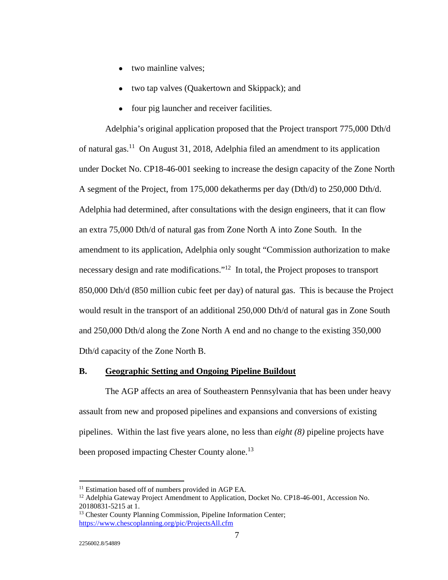- two mainline valves:
- two tap valves (Quakertown and Skippack); and
- four pig launcher and receiver facilities.

 Adelphia's original application proposed that the Project transport 775,000 Dth/d of natural gas.11 On August 31, 2018, Adelphia filed an amendment to its application under Docket No. CP18-46-001 seeking to increase the design capacity of the Zone North A segment of the Project, from 175,000 dekatherms per day (Dth/d) to 250,000 Dth/d. Adelphia had determined, after consultations with the design engineers, that it can flow an extra 75,000 Dth/d of natural gas from Zone North A into Zone South. In the amendment to its application, Adelphia only sought "Commission authorization to make necessary design and rate modifications."<sup>12</sup> In total, the Project proposes to transport 850,000 Dth/d (850 million cubic feet per day) of natural gas. This is because the Project would result in the transport of an additional 250,000 Dth/d of natural gas in Zone South and 250,000 Dth/d along the Zone North A end and no change to the existing 350,000 Dth/d capacity of the Zone North B.

#### **B. Geographic Setting and Ongoing Pipeline Buildout**

 The AGP affects an area of Southeastern Pennsylvania that has been under heavy assault from new and proposed pipelines and expansions and conversions of existing pipelines. Within the last five years alone, no less than *eight (8)* pipeline projects have been proposed impacting Chester County alone.<sup>13</sup>

<u>.</u>

<sup>&</sup>lt;sup>11</sup> Estimation based off of numbers provided in AGP EA.

<sup>&</sup>lt;sup>12</sup> Adelphia Gateway Project Amendment to Application, Docket No. CP18-46-001, Accession No. 20180831-5215 at 1.

<sup>&</sup>lt;sup>13</sup> Chester County Planning Commission, Pipeline Information Center; https://www.chescoplanning.org/pic/ProjectsAll.cfm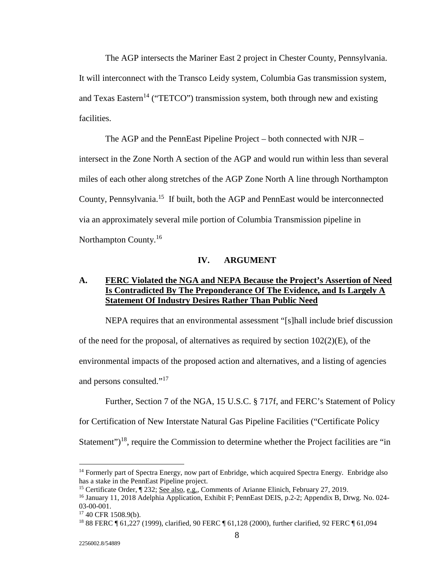The AGP intersects the Mariner East 2 project in Chester County, Pennsylvania. It will interconnect with the Transco Leidy system, Columbia Gas transmission system, and Texas Eastern<sup>14</sup> ("TETCO") transmission system, both through new and existing facilities.

 The AGP and the PennEast Pipeline Project – both connected with NJR – intersect in the Zone North A section of the AGP and would run within less than several miles of each other along stretches of the AGP Zone North A line through Northampton County, Pennsylvania.15 If built, both the AGP and PennEast would be interconnected via an approximately several mile portion of Columbia Transmission pipeline in Northampton County.<sup>16</sup>

#### **IV. ARGUMENT**

## **A. FERC Violated the NGA and NEPA Because the Project's Assertion of Need Is Contradicted By The Preponderance Of The Evidence, and Is Largely A Statement Of Industry Desires Rather Than Public Need**

 NEPA requires that an environmental assessment "[s]hall include brief discussion of the need for the proposal, of alternatives as required by section  $102(2)(E)$ , of the environmental impacts of the proposed action and alternatives, and a listing of agencies and persons consulted."17

 Further, Section 7 of the NGA, 15 U.S.C. § 717f, and FERC's Statement of Policy for Certification of New Interstate Natural Gas Pipeline Facilities ("Certificate Policy Statement")<sup>18</sup>, require the Commission to determine whether the Project facilities are "in

<sup>&</sup>lt;sup>14</sup> Formerly part of Spectra Energy, now part of Enbridge, which acquired Spectra Energy. Enbridge also has a stake in the PennEast Pipeline project.

<sup>15</sup> Certificate Order, ¶ 232; See also, e.g., Comments of Arianne Elinich, February 27, 2019.

<sup>16</sup> January 11, 2018 Adelphia Application, Exhibit F; PennEast DEIS, p.2-2; Appendix B, Drwg. No. 024- 03-00-001.

 $17$  40 CFR 1508.9(b).

<sup>18 88</sup> FERC ¶ 61,227 (1999), clarified, 90 FERC ¶ 61,128 (2000), further clarified, 92 FERC ¶ 61,094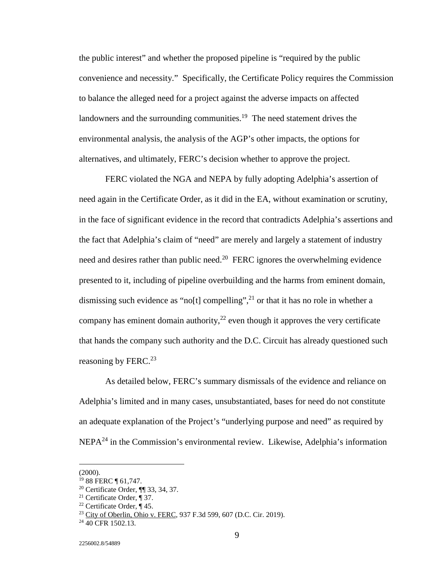the public interest" and whether the proposed pipeline is "required by the public convenience and necessity." Specifically, the Certificate Policy requires the Commission to balance the alleged need for a project against the adverse impacts on affected landowners and the surrounding communities.<sup>19</sup> The need statement drives the environmental analysis, the analysis of the AGP's other impacts, the options for alternatives, and ultimately, FERC's decision whether to approve the project.

 FERC violated the NGA and NEPA by fully adopting Adelphia's assertion of need again in the Certificate Order, as it did in the EA, without examination or scrutiny, in the face of significant evidence in the record that contradicts Adelphia's assertions and the fact that Adelphia's claim of "need" are merely and largely a statement of industry need and desires rather than public need.<sup>20</sup> FERC ignores the overwhelming evidence presented to it, including of pipeline overbuilding and the harms from eminent domain, dismissing such evidence as "no[t] compelling",<sup>21</sup> or that it has no role in whether a company has eminent domain authority,  $2^2$  even though it approves the very certificate that hands the company such authority and the D.C. Circuit has already questioned such reasoning by FERC.<sup>23</sup>

 As detailed below, FERC's summary dismissals of the evidence and reliance on Adelphia's limited and in many cases, unsubstantiated, bases for need do not constitute an adequate explanation of the Project's "underlying purpose and need" as required by  $NEPA<sup>24</sup>$  in the Commission's environmental review. Likewise, Adelphia's information

<sup>(2000).</sup> 

<sup>&</sup>lt;sup>19</sup> 88 FERC ¶ 61,747.

<sup>20</sup> Certificate Order, ¶¶ 33, 34, 37.

<sup>21</sup> Certificate Order, ¶ 37.

<sup>&</sup>lt;sup>22</sup> Certificate Order,  $\P$  45.

<sup>23</sup> City of Oberlin, Ohio v. FERC, 937 F.3d 599, 607 (D.C. Cir. 2019).

 $24$  40 CFR 1502.13.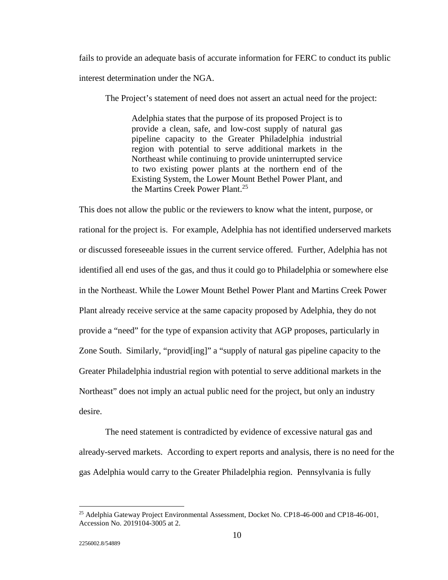fails to provide an adequate basis of accurate information for FERC to conduct its public interest determination under the NGA.

The Project's statement of need does not assert an actual need for the project:

Adelphia states that the purpose of its proposed Project is to provide a clean, safe, and low-cost supply of natural gas pipeline capacity to the Greater Philadelphia industrial region with potential to serve additional markets in the Northeast while continuing to provide uninterrupted service to two existing power plants at the northern end of the Existing System, the Lower Mount Bethel Power Plant, and the Martins Creek Power Plant.<sup>25</sup>

This does not allow the public or the reviewers to know what the intent, purpose, or rational for the project is. For example, Adelphia has not identified underserved markets or discussed foreseeable issues in the current service offered. Further, Adelphia has not identified all end uses of the gas, and thus it could go to Philadelphia or somewhere else in the Northeast. While the Lower Mount Bethel Power Plant and Martins Creek Power Plant already receive service at the same capacity proposed by Adelphia, they do not provide a "need" for the type of expansion activity that AGP proposes, particularly in Zone South. Similarly, "provid[ing]" a "supply of natural gas pipeline capacity to the Greater Philadelphia industrial region with potential to serve additional markets in the Northeast" does not imply an actual public need for the project, but only an industry desire.

 The need statement is contradicted by evidence of excessive natural gas and already-served markets. According to expert reports and analysis, there is no need for the gas Adelphia would carry to the Greater Philadelphia region. Pennsylvania is fully

<sup>&</sup>lt;sup>25</sup> Adelphia Gateway Project Environmental Assessment, Docket No. CP18-46-000 and CP18-46-001, Accession No. 2019104-3005 at 2.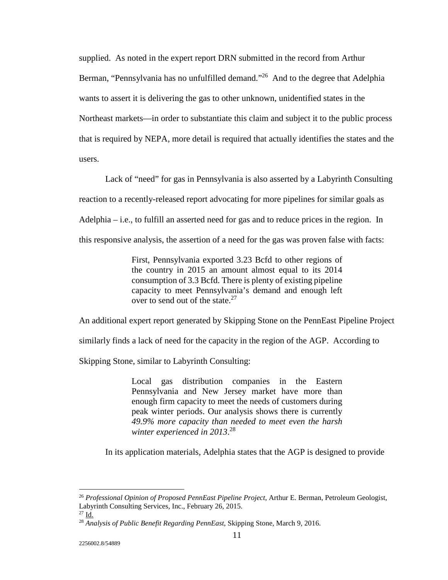supplied. As noted in the expert report DRN submitted in the record from Arthur Berman, "Pennsylvania has no unfulfilled demand."<sup>26</sup> And to the degree that Adelphia wants to assert it is delivering the gas to other unknown, unidentified states in the Northeast markets—in order to substantiate this claim and subject it to the public process that is required by NEPA, more detail is required that actually identifies the states and the users.

 Lack of "need" for gas in Pennsylvania is also asserted by a Labyrinth Consulting reaction to a recently-released report advocating for more pipelines for similar goals as Adelphia – i.e., to fulfill an asserted need for gas and to reduce prices in the region. In this responsive analysis, the assertion of a need for the gas was proven false with facts:

> First, Pennsylvania exported 3.23 Bcfd to other regions of the country in 2015 an amount almost equal to its 2014 consumption of 3.3 Bcfd. There is plenty of existing pipeline capacity to meet Pennsylvania's demand and enough left over to send out of the state.<sup>27</sup>

An additional expert report generated by Skipping Stone on the PennEast Pipeline Project

similarly finds a lack of need for the capacity in the region of the AGP. According to

Skipping Stone, similar to Labyrinth Consulting:

Local gas distribution companies in the Eastern Pennsylvania and New Jersey market have more than enough firm capacity to meet the needs of customers during peak winter periods. Our analysis shows there is currently *49.9% more capacity than needed to meet even the harsh winter experienced in 2013*. 28

In its application materials, Adelphia states that the AGP is designed to provide

<sup>26</sup> *Professional Opinion of Proposed PennEast Pipeline Project*, Arthur E. Berman, Petroleum Geologist, Labyrinth Consulting Services, Inc., February 26, 2015.

 $^{27}$  Id.

<sup>28</sup> *Analysis of Public Benefit Regarding PennEast,* Skipping Stone, March 9, 2016.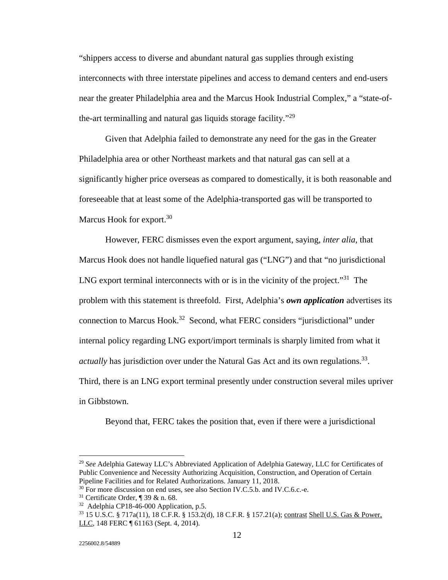"shippers access to diverse and abundant natural gas supplies through existing interconnects with three interstate pipelines and access to demand centers and end-users near the greater Philadelphia area and the Marcus Hook Industrial Complex," a "state-ofthe-art terminalling and natural gas liquids storage facility."29

 Given that Adelphia failed to demonstrate any need for the gas in the Greater Philadelphia area or other Northeast markets and that natural gas can sell at a significantly higher price overseas as compared to domestically, it is both reasonable and foreseeable that at least some of the Adelphia-transported gas will be transported to Marcus Hook for export.<sup>30</sup>

 However, FERC dismisses even the export argument, saying, *inter alia*, that Marcus Hook does not handle liquefied natural gas ("LNG") and that "no jurisdictional LNG export terminal interconnects with or is in the vicinity of the project.<sup> $31$ </sup> The problem with this statement is threefold. First, Adelphia's *own application* advertises its connection to Marcus Hook.32 Second, what FERC considers "jurisdictional" under internal policy regarding LNG export/import terminals is sharply limited from what it *actually* has jurisdiction over under the Natural Gas Act and its own regulations.<sup>33</sup>. Third, there is an LNG export terminal presently under construction several miles upriver in Gibbstown.

Beyond that, FERC takes the position that, even if there were a jurisdictional

<sup>29</sup> *See* Adelphia Gateway LLC's Abbreviated Application of Adelphia Gateway, LLC for Certificates of Public Convenience and Necessity Authorizing Acquisition, Construction, and Operation of Certain Pipeline Facilities and for Related Authorizations. January 11, 2018.

<sup>&</sup>lt;sup>30</sup> For more discussion on end uses, see also Section IV.C.5.b. and IV.C.6.c.-e.

 $31$  Certificate Order, ¶ 39 & n. 68.

<sup>32</sup> Adelphia CP18-46-000 Application, p.5.

<sup>33 15</sup> U.S.C. § 717a(11), 18 C.F.R. § 153.2(d), 18 C.F.R. § 157.21(a); contrast Shell U.S. Gas & Power, LLC, 148 FERC ¶ 61163 (Sept. 4, 2014).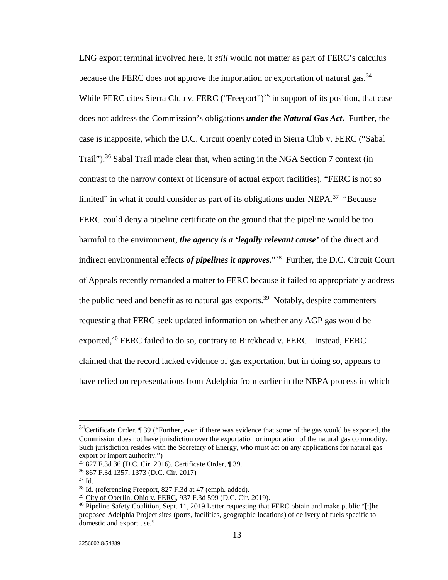LNG export terminal involved here, it *still* would not matter as part of FERC's calculus because the FERC does not approve the importation or exportation of natural gas.<sup>34</sup> While FERC cites Sierra Club v. FERC ("Freeport")<sup>35</sup> in support of its position, that case does not address the Commission's obligations *under the Natural Gas Act***.** Further, the case is inapposite, which the D.C. Circuit openly noted in Sierra Club v. FERC ("Sabal Trail").<sup>36</sup> Sabal Trail made clear that, when acting in the NGA Section 7 context (in contrast to the narrow context of licensure of actual export facilities), "FERC is not so limited" in what it could consider as part of its obligations under NEPA.<sup>37</sup> "Because" FERC could deny a pipeline certificate on the ground that the pipeline would be too harmful to the environment, *the agency is a 'legally relevant cause'* of the direct and indirect environmental effects *of pipelines it approves*."38 Further, the D.C. Circuit Court of Appeals recently remanded a matter to FERC because it failed to appropriately address the public need and benefit as to natural gas exports.<sup>39</sup> Notably, despite commenters requesting that FERC seek updated information on whether any AGP gas would be exported,<sup>40</sup> FERC failed to do so, contrary to Birckhead v. FERC. Instead, FERC claimed that the record lacked evidence of gas exportation, but in doing so, appears to have relied on representations from Adelphia from earlier in the NEPA process in which

 $34$ Certificate Order, ¶ 39 ("Further, even if there was evidence that some of the gas would be exported, the Commission does not have jurisdiction over the exportation or importation of the natural gas commodity. Such jurisdiction resides with the Secretary of Energy, who must act on any applications for natural gas export or import authority.")

<sup>35 827</sup> F.3d 36 (D.C. Cir. 2016). Certificate Order, ¶ 39.

<sup>36 867</sup> F.3d 1357, 1373 (D.C. Cir. 2017)

<sup>37</sup> Id.

<sup>38</sup> Id. (referencing Freeport, 827 F.3d at 47 (emph. added).

<sup>39</sup> City of Oberlin, Ohio v. FERC, 937 F.3d 599 (D.C. Cir. 2019).

 $40$  Pipeline Safety Coalition, Sept. 11, 2019 Letter requesting that FERC obtain and make public "[t]he proposed Adelphia Project sites (ports, facilities, geographic locations) of delivery of fuels specific to domestic and export use."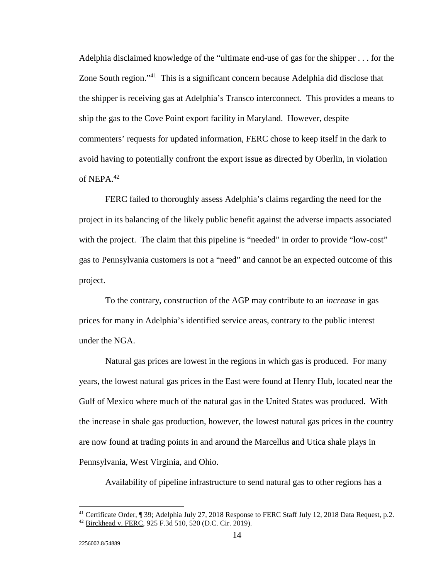Adelphia disclaimed knowledge of the "ultimate end-use of gas for the shipper . . . for the Zone South region."<sup>41</sup> This is a significant concern because Adelphia did disclose that the shipper is receiving gas at Adelphia's Transco interconnect. This provides a means to ship the gas to the Cove Point export facility in Maryland. However, despite commenters' requests for updated information, FERC chose to keep itself in the dark to avoid having to potentially confront the export issue as directed by Oberlin, in violation of NEPA. $42$ 

 FERC failed to thoroughly assess Adelphia's claims regarding the need for the project in its balancing of the likely public benefit against the adverse impacts associated with the project. The claim that this pipeline is "needed" in order to provide "low-cost" gas to Pennsylvania customers is not a "need" and cannot be an expected outcome of this project.

 To the contrary, construction of the AGP may contribute to an *increase* in gas prices for many in Adelphia's identified service areas, contrary to the public interest under the NGA.

 Natural gas prices are lowest in the regions in which gas is produced. For many years, the lowest natural gas prices in the East were found at Henry Hub, located near the Gulf of Mexico where much of the natural gas in the United States was produced. With the increase in shale gas production, however, the lowest natural gas prices in the country are now found at trading points in and around the Marcellus and Utica shale plays in Pennsylvania, West Virginia, and Ohio.

Availability of pipeline infrastructure to send natural gas to other regions has a

<sup>41</sup> Certificate Order, ¶ 39; Adelphia July 27, 2018 Response to FERC Staff July 12, 2018 Data Request, p.2.

<sup>42</sup> Birckhead v. FERC, 925 F.3d 510, 520 (D.C. Cir. 2019).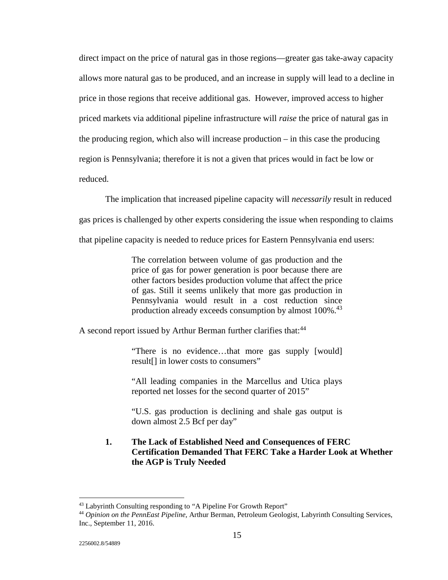direct impact on the price of natural gas in those regions—greater gas take-away capacity allows more natural gas to be produced, and an increase in supply will lead to a decline in price in those regions that receive additional gas. However, improved access to higher priced markets via additional pipeline infrastructure will *raise* the price of natural gas in the producing region, which also will increase production – in this case the producing region is Pennsylvania; therefore it is not a given that prices would in fact be low or reduced.

 The implication that increased pipeline capacity will *necessarily* result in reduced gas prices is challenged by other experts considering the issue when responding to claims that pipeline capacity is needed to reduce prices for Eastern Pennsylvania end users:

> The correlation between volume of gas production and the price of gas for power generation is poor because there are other factors besides production volume that affect the price of gas. Still it seems unlikely that more gas production in Pennsylvania would result in a cost reduction since production already exceeds consumption by almost 100%.<sup>43</sup>

A second report issued by Arthur Berman further clarifies that:<sup>44</sup>

"There is no evidence…that more gas supply [would] result[] in lower costs to consumers"

"All leading companies in the Marcellus and Utica plays reported net losses for the second quarter of 2015"

"U.S. gas production is declining and shale gas output is down almost 2.5 Bcf per day"

# **1. The Lack of Established Need and Consequences of FERC Certification Demanded That FERC Take a Harder Look at Whether the AGP is Truly Needed**

<sup>43</sup> Labyrinth Consulting responding to "A Pipeline For Growth Report"

<sup>44</sup> *Opinion on the PennEast Pipeline,* Arthur Berman, Petroleum Geologist, Labyrinth Consulting Services, Inc., September 11, 2016.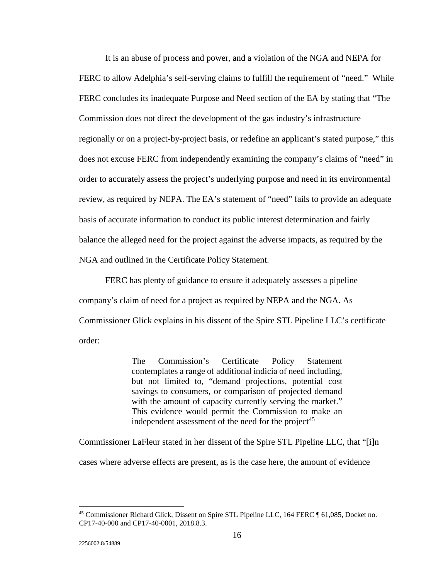It is an abuse of process and power, and a violation of the NGA and NEPA for FERC to allow Adelphia's self-serving claims to fulfill the requirement of "need." While FERC concludes its inadequate Purpose and Need section of the EA by stating that "The Commission does not direct the development of the gas industry's infrastructure regionally or on a project-by-project basis, or redefine an applicant's stated purpose," this does not excuse FERC from independently examining the company's claims of "need" in order to accurately assess the project's underlying purpose and need in its environmental review, as required by NEPA. The EA's statement of "need" fails to provide an adequate basis of accurate information to conduct its public interest determination and fairly balance the alleged need for the project against the adverse impacts, as required by the NGA and outlined in the Certificate Policy Statement.

 FERC has plenty of guidance to ensure it adequately assesses a pipeline company's claim of need for a project as required by NEPA and the NGA. As Commissioner Glick explains in his dissent of the Spire STL Pipeline LLC's certificate order:

> The Commission's Certificate Policy Statement contemplates a range of additional indicia of need including, but not limited to, "demand projections, potential cost savings to consumers, or comparison of projected demand with the amount of capacity currently serving the market." This evidence would permit the Commission to make an independent assessment of the need for the project<sup>45</sup>

Commissioner LaFleur stated in her dissent of the Spire STL Pipeline LLC, that "[i]n

cases where adverse effects are present, as is the case here, the amount of evidence

<sup>45</sup> Commissioner Richard Glick, Dissent on Spire STL Pipeline LLC, 164 FERC ¶ 61,085, Docket no. CP17-40-000 and CP17-40-0001, 2018.8.3.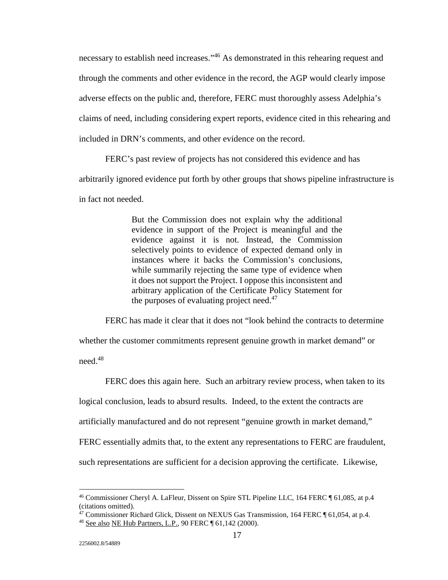necessary to establish need increases."46 As demonstrated in this rehearing request and through the comments and other evidence in the record, the AGP would clearly impose adverse effects on the public and, therefore, FERC must thoroughly assess Adelphia's claims of need, including considering expert reports, evidence cited in this rehearing and included in DRN's comments, and other evidence on the record.

FERC's past review of projects has not considered this evidence and has

arbitrarily ignored evidence put forth by other groups that shows pipeline infrastructure is

in fact not needed.

But the Commission does not explain why the additional evidence in support of the Project is meaningful and the evidence against it is not. Instead, the Commission selectively points to evidence of expected demand only in instances where it backs the Commission's conclusions, while summarily rejecting the same type of evidence when it does not support the Project. I oppose this inconsistent and arbitrary application of the Certificate Policy Statement for the purposes of evaluating project need. $47$ 

 FERC has made it clear that it does not "look behind the contracts to determine whether the customer commitments represent genuine growth in market demand" or need.48

 FERC does this again here. Such an arbitrary review process, when taken to its logical conclusion, leads to absurd results. Indeed, to the extent the contracts are artificially manufactured and do not represent "genuine growth in market demand," FERC essentially admits that, to the extent any representations to FERC are fraudulent, such representations are sufficient for a decision approving the certificate. Likewise,

<sup>&</sup>lt;sup>46</sup> Commissioner Cheryl A. LaFleur, Dissent on Spire STL Pipeline LLC, 164 FERC ¶ 61,085, at p.4 (citations omitted).

<sup>47</sup> Commissioner Richard Glick, Dissent on NEXUS Gas Transmission, 164 FERC ¶ 61,054, at p.4.

<sup>48</sup> See also NE Hub Partners, L.P., 90 FERC ¶ 61,142 (2000).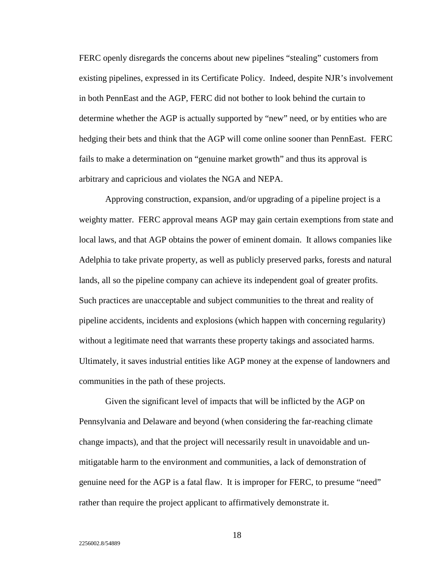FERC openly disregards the concerns about new pipelines "stealing" customers from existing pipelines, expressed in its Certificate Policy. Indeed, despite NJR's involvement in both PennEast and the AGP, FERC did not bother to look behind the curtain to determine whether the AGP is actually supported by "new" need, or by entities who are hedging their bets and think that the AGP will come online sooner than PennEast. FERC fails to make a determination on "genuine market growth" and thus its approval is arbitrary and capricious and violates the NGA and NEPA.

 Approving construction, expansion, and/or upgrading of a pipeline project is a weighty matter. FERC approval means AGP may gain certain exemptions from state and local laws, and that AGP obtains the power of eminent domain. It allows companies like Adelphia to take private property, as well as publicly preserved parks, forests and natural lands, all so the pipeline company can achieve its independent goal of greater profits. Such practices are unacceptable and subject communities to the threat and reality of pipeline accidents, incidents and explosions (which happen with concerning regularity) without a legitimate need that warrants these property takings and associated harms. Ultimately, it saves industrial entities like AGP money at the expense of landowners and communities in the path of these projects.

 Given the significant level of impacts that will be inflicted by the AGP on Pennsylvania and Delaware and beyond (when considering the far-reaching climate change impacts), and that the project will necessarily result in unavoidable and unmitigatable harm to the environment and communities, a lack of demonstration of genuine need for the AGP is a fatal flaw. It is improper for FERC, to presume "need" rather than require the project applicant to affirmatively demonstrate it.

18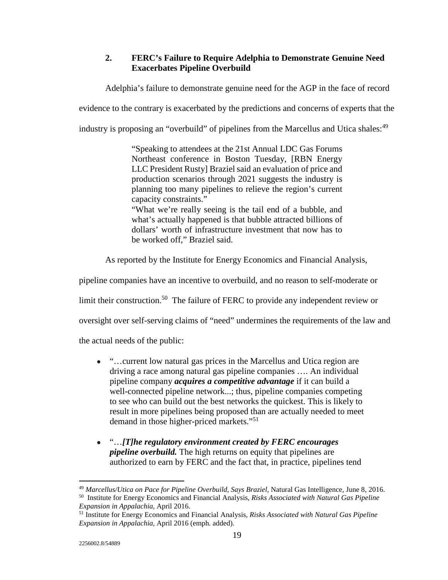# **2. FERC's Failure to Require Adelphia to Demonstrate Genuine Need Exacerbates Pipeline Overbuild**

Adelphia's failure to demonstrate genuine need for the AGP in the face of record

evidence to the contrary is exacerbated by the predictions and concerns of experts that the

industry is proposing an "overbuild" of pipelines from the Marcellus and Utica shales: <sup>49</sup>

"Speaking to attendees at the 21st Annual LDC Gas Forums Northeast conference in Boston Tuesday, [RBN Energy LLC President Rusty] Braziel said an evaluation of price and production scenarios through 2021 suggests the industry is planning too many pipelines to relieve the region's current capacity constraints." "What we're really seeing is the tail end of a bubble, and

what's actually happened is that bubble attracted billions of dollars' worth of infrastructure investment that now has to be worked off," Braziel said.

As reported by the Institute for Energy Economics and Financial Analysis,

pipeline companies have an incentive to overbuild, and no reason to self-moderate or

limit their construction.<sup>50</sup> The failure of FERC to provide any independent review or

oversight over self-serving claims of "need" undermines the requirements of the law and

the actual needs of the public:

- "... current low natural gas prices in the Marcellus and Utica region are driving a race among natural gas pipeline companies …. An individual pipeline company *acquires a competitive advantage* if it can build a well-connected pipeline network...; thus, pipeline companies competing to see who can build out the best networks the quickest. This is likely to result in more pipelines being proposed than are actually needed to meet demand in those higher-priced markets."<sup>51</sup>
- "…*[T]he regulatory environment created by FERC encourages pipeline overbuild.* The high returns on equity that pipelines are authorized to earn by FERC and the fact that, in practice, pipelines tend

<u>.</u>

<sup>&</sup>lt;sup>49</sup> Marcellus/Utica on Pace for Pipeline Overbuild, Says Braziel, Natural Gas Intelligence, June 8, 2016.<br><sup>50</sup> Institute for Energy Economics and Financial Analysis, *Risks Associated with Natural Gas Pipeline*<br>*Expansio* 

*Expansion in Appalachia*, April 2016. 51 Institute for Energy Economics and Financial Analysis, *Risks Associated with Natural Gas Pipeline Expansion in Appalachia*, April 2016 (emph. added).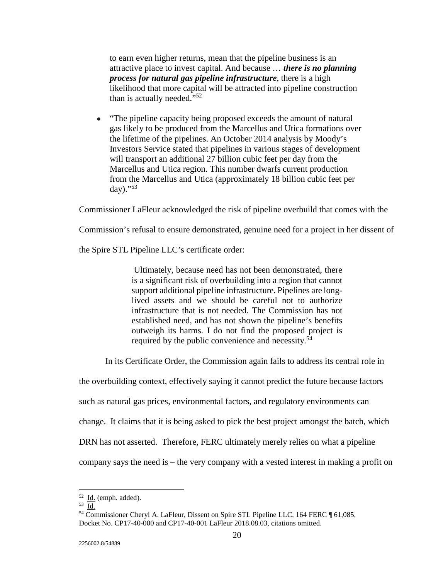to earn even higher returns, mean that the pipeline business is an attractive place to invest capital. And because … *there is no planning process for natural gas pipeline infrastructure*, there is a high likelihood that more capital will be attracted into pipeline construction than is actually needed."<sup>52</sup>

• "The pipeline capacity being proposed exceeds the amount of natural gas likely to be produced from the Marcellus and Utica formations over the lifetime of the pipelines. An October 2014 analysis by Moody's Investors Service stated that pipelines in various stages of development will transport an additional 27 billion cubic feet per day from the Marcellus and Utica region. This number dwarfs current production from the Marcellus and Utica (approximately 18 billion cubic feet per day)."<sup>53</sup>

Commissioner LaFleur acknowledged the risk of pipeline overbuild that comes with the

Commission's refusal to ensure demonstrated, genuine need for a project in her dissent of

the Spire STL Pipeline LLC's certificate order:

 Ultimately, because need has not been demonstrated, there is a significant risk of overbuilding into a region that cannot support additional pipeline infrastructure. Pipelines are longlived assets and we should be careful not to authorize infrastructure that is not needed. The Commission has not established need, and has not shown the pipeline's benefits outweigh its harms. I do not find the proposed project is required by the public convenience and necessity.<sup>54</sup>

In its Certificate Order, the Commission again fails to address its central role in

the overbuilding context, effectively saying it cannot predict the future because factors

such as natural gas prices, environmental factors, and regulatory environments can

change. It claims that it is being asked to pick the best project amongst the batch, which

DRN has not asserted. Therefore, FERC ultimately merely relies on what a pipeline

company says the need is – the very company with a vested interest in making a profit on

 $52$  **Id.** (emph. added).

<sup>53</sup> Id.<br>54 Commissioner Cheryl A. LaFleur, Dissent on Spire STL Pipeline LLC, 164 FERC ¶ 61,085, Docket No. CP17-40-000 and CP17-40-001 LaFleur 2018.08.03, citations omitted.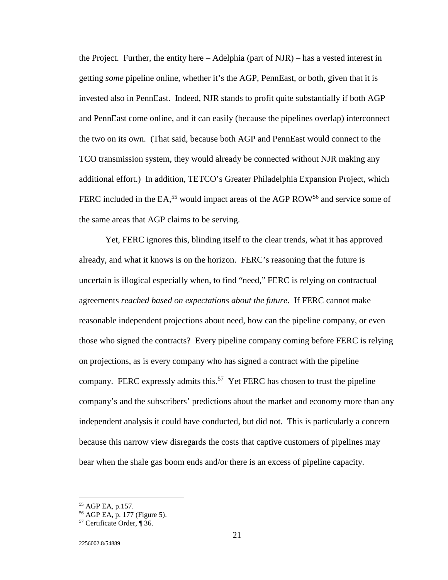the Project. Further, the entity here  $-$  Adelphia (part of NJR)  $-$  has a vested interest in getting *some* pipeline online, whether it's the AGP, PennEast, or both, given that it is invested also in PennEast. Indeed, NJR stands to profit quite substantially if both AGP and PennEast come online, and it can easily (because the pipelines overlap) interconnect the two on its own. (That said, because both AGP and PennEast would connect to the TCO transmission system, they would already be connected without NJR making any additional effort.) In addition, TETCO's Greater Philadelphia Expansion Project, which FERC included in the EA,<sup>55</sup> would impact areas of the AGP ROW<sup>56</sup> and service some of the same areas that AGP claims to be serving.

 Yet, FERC ignores this, blinding itself to the clear trends, what it has approved already, and what it knows is on the horizon. FERC's reasoning that the future is uncertain is illogical especially when, to find "need," FERC is relying on contractual agreements *reached based on expectations about the future*. If FERC cannot make reasonable independent projections about need, how can the pipeline company, or even those who signed the contracts? Every pipeline company coming before FERC is relying on projections, as is every company who has signed a contract with the pipeline company. FERC expressly admits this.<sup>57</sup> Yet FERC has chosen to trust the pipeline company's and the subscribers' predictions about the market and economy more than any independent analysis it could have conducted, but did not. This is particularly a concern because this narrow view disregards the costs that captive customers of pipelines may bear when the shale gas boom ends and/or there is an excess of pipeline capacity.

<sup>55</sup> AGP EA, p.157.

<sup>56</sup> AGP EA, p. 177 (Figure 5).

<sup>57</sup> Certificate Order, ¶ 36.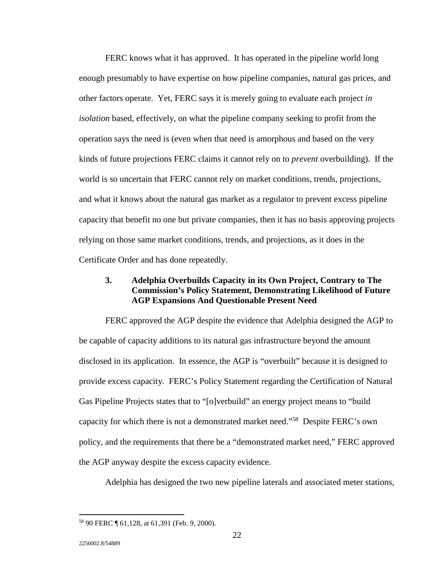FERC knows what it has approved. It has operated in the pipeline world long enough presumably to have expertise on how pipeline companies, natural gas prices, and other factors operate. Yet, FERC says it is merely going to evaluate each project *in isolation* based, effectively, on what the pipeline company seeking to profit from the operation says the need is (even when that need is amorphous and based on the very kinds of future projections FERC claims it cannot rely on to *prevent* overbuilding). If the world is so uncertain that FERC cannot rely on market conditions, trends, projections, and what it knows about the natural gas market as a regulator to prevent excess pipeline capacity that benefit no one but private companies, then it has no basis approving projects relying on those same market conditions, trends, and projections, as it does in the Certificate Order and has done repeatedly.

### **3. Adelphia Overbuilds Capacity in its Own Project, Contrary to The Commission's Policy Statement, Demonstrating Likelihood of Future AGP Expansions And Questionable Present Need**

 FERC approved the AGP despite the evidence that Adelphia designed the AGP to be capable of capacity additions to its natural gas infrastructure beyond the amount disclosed in its application. In essence, the AGP is "overbuilt" because it is designed to provide excess capacity. FERC's Policy Statement regarding the Certification of Natural Gas Pipeline Projects states that to "[o]verbuild" an energy project means to "build capacity for which there is not a demonstrated market need."58 Despite FERC's own policy, and the requirements that there be a "demonstrated market need," FERC approved the AGP anyway despite the excess capacity evidence.

Adelphia has designed the two new pipeline laterals and associated meter stations,

<sup>58 90</sup> FERC ¶ 61,128, at 61,391 (Feb. 9, 2000).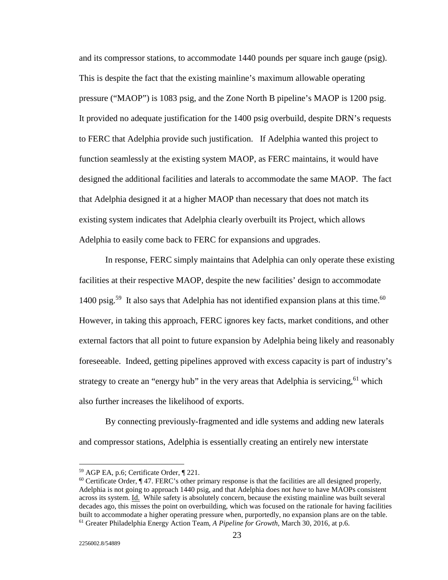and its compressor stations, to accommodate 1440 pounds per square inch gauge (psig). This is despite the fact that the existing mainline's maximum allowable operating pressure ("MAOP") is 1083 psig, and the Zone North B pipeline's MAOP is 1200 psig. It provided no adequate justification for the 1400 psig overbuild, despite DRN's requests to FERC that Adelphia provide such justification. If Adelphia wanted this project to function seamlessly at the existing system MAOP, as FERC maintains, it would have designed the additional facilities and laterals to accommodate the same MAOP. The fact that Adelphia designed it at a higher MAOP than necessary that does not match its existing system indicates that Adelphia clearly overbuilt its Project, which allows Adelphia to easily come back to FERC for expansions and upgrades.

 In response, FERC simply maintains that Adelphia can only operate these existing facilities at their respective MAOP, despite the new facilities' design to accommodate 1400 psig.<sup>59</sup> It also says that Adelphia has not identified expansion plans at this time.<sup>60</sup> However, in taking this approach, FERC ignores key facts, market conditions, and other external factors that all point to future expansion by Adelphia being likely and reasonably foreseeable. Indeed, getting pipelines approved with excess capacity is part of industry's strategy to create an "energy hub" in the very areas that Adelphia is servicing,  $61$  which also further increases the likelihood of exports.

 By connecting previously-fragmented and idle systems and adding new laterals and compressor stations, Adelphia is essentially creating an entirely new interstate

<sup>59</sup> AGP EA, p.6; Certificate Order, ¶ 221.

 $60$  Certificate Order,  $\sqrt{ }$  47. FERC's other primary response is that the facilities are all designed properly, Adelphia is not going to approach 1440 psig, and that Adelphia does not *have* to have MAOPs consistent across its system. Id. While safety is absolutely concern, because the existing mainline was built several decades ago, this misses the point on overbuilding, which was focused on the rationale for having facilities built to accommodate a higher operating pressure when, purportedly, no expansion plans are on the table. 61 Greater Philadelphia Energy Action Team, *A Pipeline for Growth*, March 30, 2016, at p.6.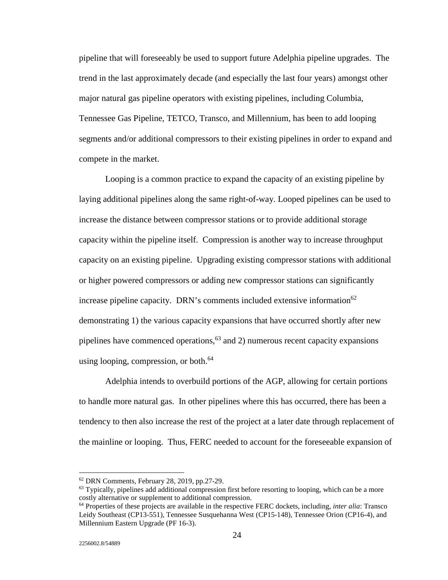pipeline that will foreseeably be used to support future Adelphia pipeline upgrades. The trend in the last approximately decade (and especially the last four years) amongst other major natural gas pipeline operators with existing pipelines, including Columbia, Tennessee Gas Pipeline, TETCO, Transco, and Millennium, has been to add looping segments and/or additional compressors to their existing pipelines in order to expand and compete in the market.

 Looping is a common practice to expand the capacity of an existing pipeline by laying additional pipelines along the same right-of-way. Looped pipelines can be used to increase the distance between compressor stations or to provide additional storage capacity within the pipeline itself. Compression is another way to increase throughput capacity on an existing pipeline. Upgrading existing compressor stations with additional or higher powered compressors or adding new compressor stations can significantly increase pipeline capacity. DRN's comments included extensive information<sup>62</sup> demonstrating 1) the various capacity expansions that have occurred shortly after new pipelines have commenced operations,  $63$  and 2) numerous recent capacity expansions using looping, compression, or both. $^{64}$ 

 Adelphia intends to overbuild portions of the AGP, allowing for certain portions to handle more natural gas. In other pipelines where this has occurred, there has been a tendency to then also increase the rest of the project at a later date through replacement of the mainline or looping. Thus, FERC needed to account for the foreseeable expansion of

<u>.</u>

<sup>62</sup> DRN Comments, February 28, 2019, pp.27-29.

<sup>&</sup>lt;sup>63</sup> Typically, pipelines add additional compression first before resorting to looping, which can be a more costly alternative or supplement to additional compression.

<sup>64</sup> Properties of these projects are available in the respective FERC dockets, including, *inter alia*: Transco Leidy Southeast (CP13-551), Tennessee Susquehanna West (CP15-148), Tennessee Orion (CP16-4), and Millennium Eastern Upgrade (PF 16-3).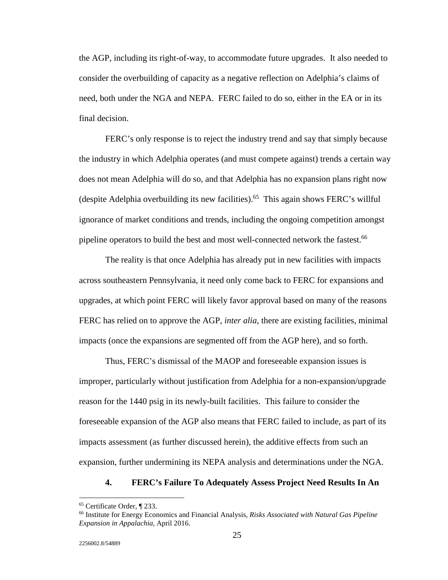the AGP, including its right-of-way, to accommodate future upgrades. It also needed to consider the overbuilding of capacity as a negative reflection on Adelphia's claims of need, both under the NGA and NEPA. FERC failed to do so, either in the EA or in its final decision.

 FERC's only response is to reject the industry trend and say that simply because the industry in which Adelphia operates (and must compete against) trends a certain way does not mean Adelphia will do so, and that Adelphia has no expansion plans right now (despite Adelphia overbuilding its new facilities).65 This again shows FERC's willful ignorance of market conditions and trends, including the ongoing competition amongst pipeline operators to build the best and most well-connected network the fastest.<sup>66</sup>

 The reality is that once Adelphia has already put in new facilities with impacts across southeastern Pennsylvania, it need only come back to FERC for expansions and upgrades, at which point FERC will likely favor approval based on many of the reasons FERC has relied on to approve the AGP, *inter alia*, there are existing facilities, minimal impacts (once the expansions are segmented off from the AGP here), and so forth.

 Thus, FERC's dismissal of the MAOP and foreseeable expansion issues is improper, particularly without justification from Adelphia for a non-expansion/upgrade reason for the 1440 psig in its newly-built facilities. This failure to consider the foreseeable expansion of the AGP also means that FERC failed to include, as part of its impacts assessment (as further discussed herein), the additive effects from such an expansion, further undermining its NEPA analysis and determinations under the NGA.

### **4. FERC's Failure To Adequately Assess Project Need Results In An**

<sup>65</sup> Certificate Order, ¶ 233.

<sup>66</sup> Institute for Energy Economics and Financial Analysis, *Risks Associated with Natural Gas Pipeline Expansion in Appalachia*, April 2016.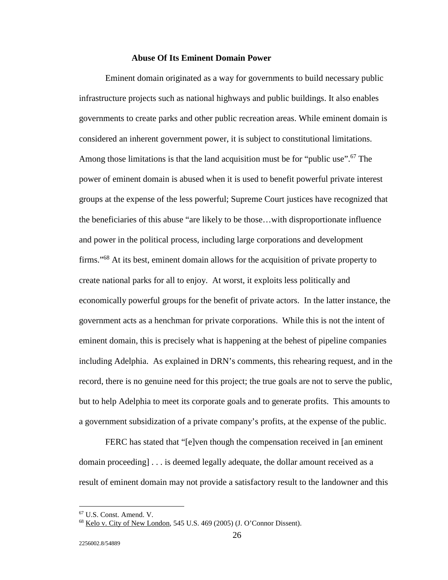#### **Abuse Of Its Eminent Domain Power**

 Eminent domain originated as a way for governments to build necessary public infrastructure projects such as national highways and public buildings. It also enables governments to create parks and other public recreation areas. While eminent domain is considered an inherent government power, it is subject to constitutional limitations. Among those limitations is that the land acquisition must be for "public use".<sup>67</sup> The power of eminent domain is abused when it is used to benefit powerful private interest groups at the expense of the less powerful; Supreme Court justices have recognized that the beneficiaries of this abuse "are likely to be those…with disproportionate influence and power in the political process, including large corporations and development firms."68 At its best, eminent domain allows for the acquisition of private property to create national parks for all to enjoy. At worst, it exploits less politically and economically powerful groups for the benefit of private actors. In the latter instance, the government acts as a henchman for private corporations. While this is not the intent of eminent domain, this is precisely what is happening at the behest of pipeline companies including Adelphia. As explained in DRN's comments, this rehearing request, and in the record, there is no genuine need for this project; the true goals are not to serve the public, but to help Adelphia to meet its corporate goals and to generate profits. This amounts to a government subsidization of a private company's profits, at the expense of the public.

 FERC has stated that "[e]ven though the compensation received in [an eminent domain proceeding] . . . is deemed legally adequate, the dollar amount received as a result of eminent domain may not provide a satisfactory result to the landowner and this

<sup>67</sup> U.S. Const. Amend. V.

<sup>68</sup> Kelo v. City of New London*,* 545 U.S. 469 (2005) (J. O'Connor Dissent).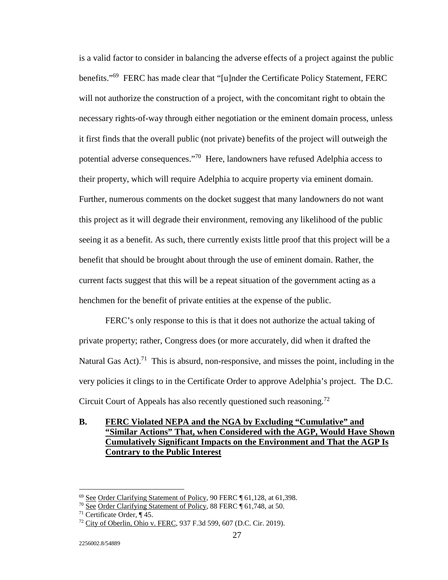is a valid factor to consider in balancing the adverse effects of a project against the public benefits."<sup>69</sup> FERC has made clear that "[u]nder the Certificate Policy Statement, FERC will not authorize the construction of a project, with the concomitant right to obtain the necessary rights-of-way through either negotiation or the eminent domain process, unless it first finds that the overall public (not private) benefits of the project will outweigh the potential adverse consequences."70 Here, landowners have refused Adelphia access to their property, which will require Adelphia to acquire property via eminent domain. Further, numerous comments on the docket suggest that many landowners do not want this project as it will degrade their environment, removing any likelihood of the public seeing it as a benefit. As such, there currently exists little proof that this project will be a benefit that should be brought about through the use of eminent domain. Rather, the current facts suggest that this will be a repeat situation of the government acting as a henchmen for the benefit of private entities at the expense of the public.

 FERC's only response to this is that it does not authorize the actual taking of private property; rather, Congress does (or more accurately, did when it drafted the Natural Gas Act).<sup>71</sup> This is absurd, non-responsive, and misses the point, including in the very policies it clings to in the Certificate Order to approve Adelphia's project. The D.C. Circuit Court of Appeals has also recently questioned such reasoning.<sup>72</sup>

# **B. FERC Violated NEPA and the NGA by Excluding "Cumulative" and "Similar Actions" That, when Considered with the AGP, Would Have Shown Cumulatively Significant Impacts on the Environment and That the AGP Is Contrary to the Public Interest**

 $69$  See Order Clarifying Statement of Policy, 90 FERC  $\P$  61,128, at 61,398.

<sup>&</sup>lt;sup>70</sup> See Order Clarifying Statement of Policy, 88 FERC ¶ 61,748, at 50.

 $71$  Certificate Order, ¶ 45.

<sup>72</sup> City of Oberlin, Ohio v. FERC, 937 F.3d 599, 607 (D.C. Cir. 2019).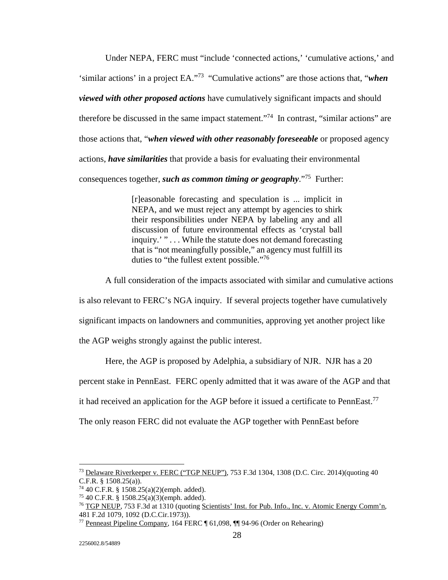Under NEPA, FERC must "include 'connected actions,' 'cumulative actions,' and 'similar actions' in a project EA."73 "Cumulative actions" are those actions that, "*when viewed with other proposed actions* have cumulatively significant impacts and should therefore be discussed in the same impact statement."74 In contrast, "similar actions" are those actions that, "*when viewed with other reasonably foreseeable* or proposed agency actions, *have similarities* that provide a basis for evaluating their environmental consequences together, *such as common timing or geography*."75 Further:

> [r]easonable forecasting and speculation is ... implicit in NEPA, and we must reject any attempt by agencies to shirk their responsibilities under NEPA by labeling any and all discussion of future environmental effects as 'crystal ball inquiry.' " . . . While the statute does not demand forecasting that is "not meaningfully possible," an agency must fulfill its duties to "the fullest extent possible."<sup>76</sup>

A full consideration of the impacts associated with similar and cumulative actions

is also relevant to FERC's NGA inquiry. If several projects together have cumulatively

significant impacts on landowners and communities, approving yet another project like

the AGP weighs strongly against the public interest.

Here, the AGP is proposed by Adelphia, a subsidiary of NJR. NJR has a 20

percent stake in PennEast. FERC openly admitted that it was aware of the AGP and that

it had received an application for the AGP before it issued a certificate to PennEast.<sup>77</sup>

The only reason FERC did not evaluate the AGP together with PennEast before

<sup>-</sup> $^{73}$  Delaware Riverkeeper v. FERC ("TGP NEUP"), 753 F.3d 1304, 1308 (D.C. Circ. 2014)(quoting 40 C.F.R. § 1508.25(a)).

<sup>74 40</sup> C.F.R. § 1508.25(a)(2)(emph. added).

<sup>75 40</sup> C.F.R. § 1508.25(a)(3)(emph. added).

<sup>76</sup> TGP NEUP, 753 F.3d at 1310 (quoting Scientists' Inst. for Pub. Info., Inc. v. Atomic Energy Comm'n, 481 F.2d 1079, 1092 (D.C.Cir.1973)).

<sup>77</sup> Penneast Pipeline Company, 164 FERC ¶ 61,098, ¶¶ 94-96 (Order on Rehearing)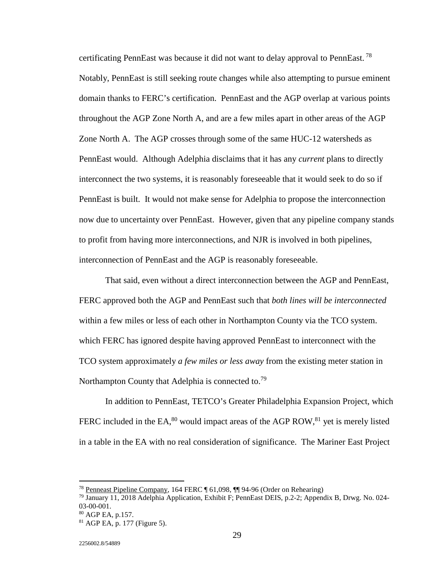certificating PennEast was because it did not want to delay approval to PennEast.<sup>78</sup> Notably, PennEast is still seeking route changes while also attempting to pursue eminent domain thanks to FERC's certification. PennEast and the AGP overlap at various points throughout the AGP Zone North A, and are a few miles apart in other areas of the AGP Zone North A. The AGP crosses through some of the same HUC-12 watersheds as PennEast would. Although Adelphia disclaims that it has any *current* plans to directly interconnect the two systems, it is reasonably foreseeable that it would seek to do so if PennEast is built. It would not make sense for Adelphia to propose the interconnection now due to uncertainty over PennEast. However, given that any pipeline company stands to profit from having more interconnections, and NJR is involved in both pipelines, interconnection of PennEast and the AGP is reasonably foreseeable.

That said, even without a direct interconnection between the AGP and PennEast, FERC approved both the AGP and PennEast such that *both lines will be interconnected* within a few miles or less of each other in Northampton County via the TCO system. which FERC has ignored despite having approved PennEast to interconnect with the TCO system approximately *a few miles or less away* from the existing meter station in Northampton County that Adelphia is connected to.<sup>79</sup>

In addition to PennEast, TETCO's Greater Philadelphia Expansion Project, which FERC included in the EA, $^{80}$  would impact areas of the AGP ROW, $^{81}$  yet is merely listed in a table in the EA with no real consideration of significance. The Mariner East Project

<u>.</u>

<sup>78</sup> Penneast Pipeline Company, 164 FERC ¶ 61,098, ¶¶ 94-96 (Order on Rehearing)

<sup>79</sup> January 11, 2018 Adelphia Application, Exhibit F; PennEast DEIS, p.2-2; Appendix B, Drwg. No. 024- 03-00-001.

<sup>80</sup> AGP EA, p.157.

<sup>81</sup> AGP EA, p. 177 (Figure 5).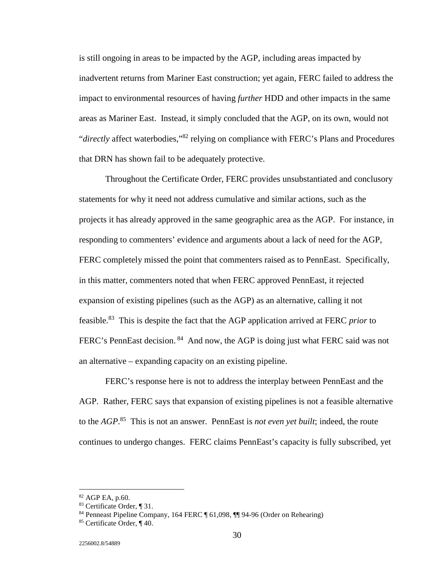is still ongoing in areas to be impacted by the AGP, including areas impacted by inadvertent returns from Mariner East construction; yet again, FERC failed to address the impact to environmental resources of having *further* HDD and other impacts in the same areas as Mariner East. Instead, it simply concluded that the AGP, on its own, would not "*directly* affect waterbodies,"82 relying on compliance with FERC's Plans and Procedures that DRN has shown fail to be adequately protective.

Throughout the Certificate Order, FERC provides unsubstantiated and conclusory statements for why it need not address cumulative and similar actions, such as the projects it has already approved in the same geographic area as the AGP. For instance, in responding to commenters' evidence and arguments about a lack of need for the AGP, FERC completely missed the point that commenters raised as to PennEast. Specifically, in this matter, commenters noted that when FERC approved PennEast, it rejected expansion of existing pipelines (such as the AGP) as an alternative, calling it not feasible.83 This is despite the fact that the AGP application arrived at FERC *prior* to FERC's PennEast decision. <sup>84</sup> And now, the AGP is doing just what FERC said was not an alternative – expanding capacity on an existing pipeline.

FERC's response here is not to address the interplay between PennEast and the AGP. Rather, FERC says that expansion of existing pipelines is not a feasible alternative to the *AGP*. 85 This is not an answer. PennEast is *not even yet built*; indeed, the route continues to undergo changes. FERC claims PennEast's capacity is fully subscribed, yet

<sup>82</sup> AGP EA, p.60.

<sup>83</sup> Certificate Order, ¶ 31.

<sup>84</sup> Penneast Pipeline Company, 164 FERC ¶ 61,098, ¶¶ 94-96 (Order on Rehearing)

<sup>85</sup> Certificate Order, ¶ 40.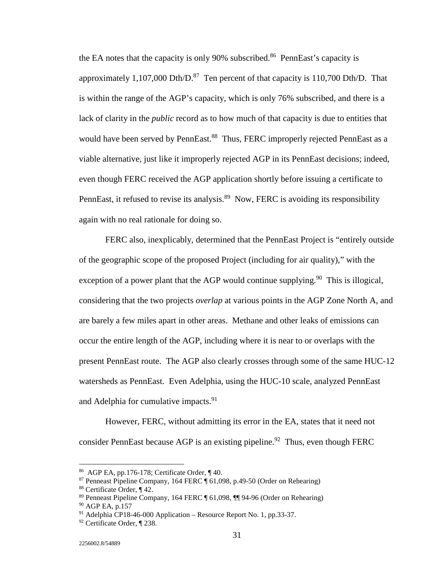the EA notes that the capacity is only 90% subscribed.<sup>86</sup> PennEast's capacity is approximately 1,107,000 Dth/D. $^{87}$  Ten percent of that capacity is 110,700 Dth/D. That is within the range of the AGP's capacity, which is only 76% subscribed, and there is a lack of clarity in the *public* record as to how much of that capacity is due to entities that would have been served by PennEast.<sup>88</sup> Thus, FERC improperly rejected PennEast as a viable alternative, just like it improperly rejected AGP in its PennEast decisions; indeed, even though FERC received the AGP application shortly before issuing a certificate to PennEast, it refused to revise its analysis.<sup>89</sup> Now, FERC is avoiding its responsibility again with no real rationale for doing so.

 FERC also, inexplicably, determined that the PennEast Project is "entirely outside of the geographic scope of the proposed Project (including for air quality)," with the exception of a power plant that the AGP would continue supplying.<sup>90</sup> This is illogical, considering that the two projects *overlap* at various points in the AGP Zone North A, and are barely a few miles apart in other areas. Methane and other leaks of emissions can occur the entire length of the AGP, including where it is near to or overlaps with the present PennEast route. The AGP also clearly crosses through some of the same HUC-12 watersheds as PennEast. Even Adelphia, using the HUC-10 scale, analyzed PennEast and Adelphia for cumulative impacts.<sup>91</sup>

 However, FERC, without admitting its error in the EA, states that it need not consider PennEast because AGP is an existing pipeline.<sup>92</sup> Thus, even though FERC

<sup>86</sup> AGP EA, pp.176-178; Certificate Order, ¶ 40.

<sup>&</sup>lt;sup>87</sup> Penneast Pipeline Company, 164 FERC  $\frac{1}{10}$  61,098, p.49-50 (Order on Rehearing)

<sup>88</sup> Certificate Order, ¶ 42.

<sup>89</sup> Penneast Pipeline Company, 164 FERC ¶ 61,098, ¶¶ 94-96 (Order on Rehearing)

<sup>90</sup> AGP EA, p.157

 $91$  Adelphia CP18-46-000 Application – Resource Report No. 1, pp.33-37.

<sup>92</sup> Certificate Order, ¶ 238.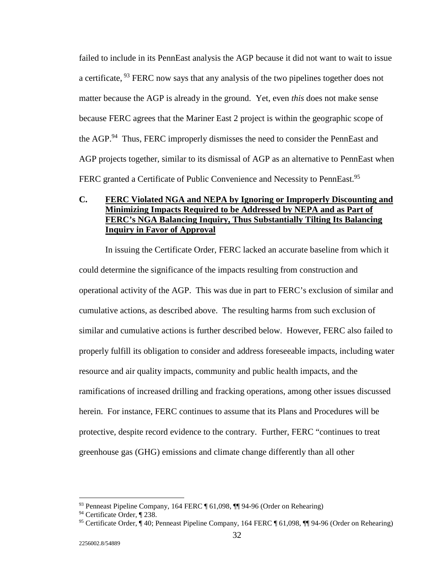failed to include in its PennEast analysis the AGP because it did not want to wait to issue a certificate, <sup>93</sup> FERC now says that any analysis of the two pipelines together does not matter because the AGP is already in the ground. Yet, even *this* does not make sense because FERC agrees that the Mariner East 2 project is within the geographic scope of the AGP.<sup>94</sup> Thus, FERC improperly dismisses the need to consider the PennEast and AGP projects together, similar to its dismissal of AGP as an alternative to PennEast when FERC granted a Certificate of Public Convenience and Necessity to PennEast.<sup>95</sup>

# **C. FERC Violated NGA and NEPA by Ignoring or Improperly Discounting and Minimizing Impacts Required to be Addressed by NEPA and as Part of FERC's NGA Balancing Inquiry, Thus Substantially Tilting Its Balancing Inquiry in Favor of Approval**

 In issuing the Certificate Order, FERC lacked an accurate baseline from which it could determine the significance of the impacts resulting from construction and operational activity of the AGP. This was due in part to FERC's exclusion of similar and cumulative actions, as described above. The resulting harms from such exclusion of similar and cumulative actions is further described below. However, FERC also failed to properly fulfill its obligation to consider and address foreseeable impacts, including water resource and air quality impacts, community and public health impacts, and the ramifications of increased drilling and fracking operations, among other issues discussed herein. For instance, FERC continues to assume that its Plans and Procedures will be protective, despite record evidence to the contrary. Further, FERC "continues to treat greenhouse gas (GHG) emissions and climate change differently than all other

<sup>93</sup> Penneast Pipeline Company, 164 FERC ¶ 61,098, ¶¶ 94-96 (Order on Rehearing)

<sup>94</sup> Certificate Order, ¶ 238.

<sup>95</sup> Certificate Order, ¶ 40; Penneast Pipeline Company, 164 FERC ¶ 61,098, ¶¶ 94-96 (Order on Rehearing)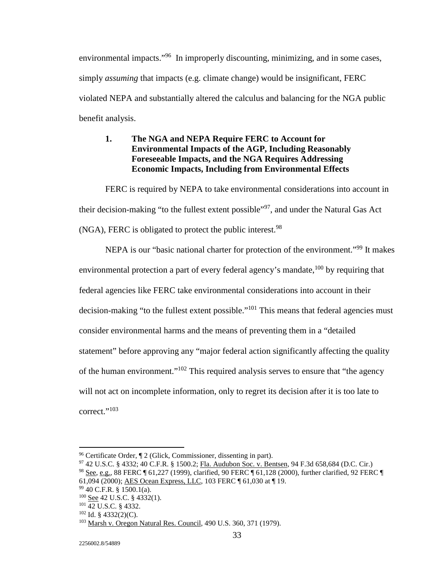environmental impacts."<sup>96</sup> In improperly discounting, minimizing, and in some cases, simply *assuming* that impacts (e.g. climate change) would be insignificant, FERC violated NEPA and substantially altered the calculus and balancing for the NGA public benefit analysis.

# **1. The NGA and NEPA Require FERC to Account for Environmental Impacts of the AGP, Including Reasonably Foreseeable Impacts, and the NGA Requires Addressing Economic Impacts, Including from Environmental Effects**

 FERC is required by NEPA to take environmental considerations into account in their decision-making "to the fullest extent possible"<sup>97</sup>, and under the Natural Gas Act (NGA), FERC is obligated to protect the public interest.<sup>98</sup>

 NEPA is our "basic national charter for protection of the environment."99 It makes environmental protection a part of every federal agency's mandate, <sup>100</sup> by requiring that federal agencies like FERC take environmental considerations into account in their decision-making "to the fullest extent possible."<sup>101</sup> This means that federal agencies must consider environmental harms and the means of preventing them in a "detailed statement" before approving any "major federal action significantly affecting the quality of the human environment."102 This required analysis serves to ensure that "the agency will not act on incomplete information, only to regret its decision after it is too late to correct."<sup>103</sup>

 $96$  Certificate Order,  $\P$  2 (Glick, Commissioner, dissenting in part).

<sup>97 42</sup> U.S.C. § 4332; 40 C.F.R. § 1500.2; Fla. Audubon Soc. v. Bentsen, 94 F.3d 658,684 (D.C. Cir.) 98 See, e.g., 88 FERC ¶ 61,227 (1999), clarified, 90 FERC ¶ 61,128 (2000), further clarified, 92 FERC ¶

<sup>61,094 (2000); &</sup>lt;u>AES Ocean Express, LLC</u>, 103 FERC ¶ 61,030 at ¶ 19.<br><sup>99</sup> 40 C.F.R. § 1500.1(a).<br><sup>100</sup> See 42 U.S.C. § 4332(1).

<sup>&</sup>lt;sup>101</sup> 42 U.S.C. § 4332.<br><sup>102</sup> Id. § 4332(2)(C).<br><sup>103</sup> Marsh v. Oregon Natural Res. Council, 490 U.S. 360, 371 (1979).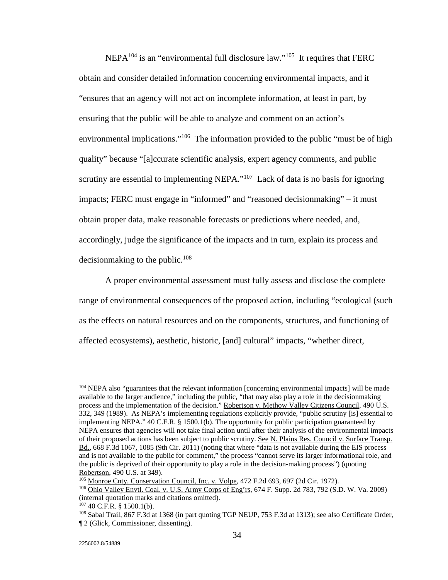NEPA104 is an "environmental full disclosure law."105 It requires that FERC obtain and consider detailed information concerning environmental impacts, and it "ensures that an agency will not act on incomplete information, at least in part, by ensuring that the public will be able to analyze and comment on an action's environmental implications."<sup>106</sup> The information provided to the public "must be of high quality" because "[a]ccurate scientific analysis, expert agency comments, and public scrutiny are essential to implementing NEPA."<sup>107</sup> Lack of data is no basis for ignoring impacts; FERC must engage in "informed" and "reasoned decisionmaking" – it must obtain proper data, make reasonable forecasts or predictions where needed, and, accordingly, judge the significance of the impacts and in turn, explain its process and decisionmaking to the public.108

 A proper environmental assessment must fully assess and disclose the complete range of environmental consequences of the proposed action, including "ecological (such as the effects on natural resources and on the components, structures, and functioning of affected ecosystems), aesthetic, historic, [and] cultural" impacts, "whether direct,

<sup>&</sup>lt;u>.</u> 104 NEPA also "guarantees that the relevant information [concerning environmental impacts] will be made available to the larger audience," including the public, "that may also play a role in the decisionmaking process and the implementation of the decision." Robertson v. Methow Valley Citizens Council, 490 U.S. 332, 349 (1989). As NEPA's implementing regulations explicitly provide, "public scrutiny [is] essential to implementing NEPA." 40 C.F.R. § 1500.1(b). The opportunity for public participation guaranteed by NEPA ensures that agencies will not take final action until after their analysis of the environmental impacts of their proposed actions has been subject to public scrutiny. See N. Plains Res. Council v. Surface Transp. Bd., 668 F.3d 1067, 1085 (9th Cir. 2011) (noting that where "data is not available during the EIS process and is not available to the public for comment," the process "cannot serve its larger informational role, and the public is deprived of their opportunity to play a role in the decision-making process") (quoting Robertson, 490 U.S. at 349).<br><sup>105</sup> Monroe Cnty. Conservation Council, Inc. v. Volpe, 472 F.2d 693, 697 (2d Cir. 1972).

<sup>&</sup>lt;sup>106</sup> Ohio Valley Envtl. Coal. v. U.S. Army Corps of Eng'rs, 674 F. Supp. 2d 783, 792 (S.D. W. Va. 2009) (internal quotation marks and citations omitted).<br> $^{107}$  40 C.F.R. § 1500.1(b).

<sup>&</sup>lt;sup>108</sup> Sabal Trail, 867 F.3d at 1368 (in part quoting TGP NEUP, 753 F.3d at 1313); see also Certificate Order, ¶ 2 (Glick, Commissioner, dissenting).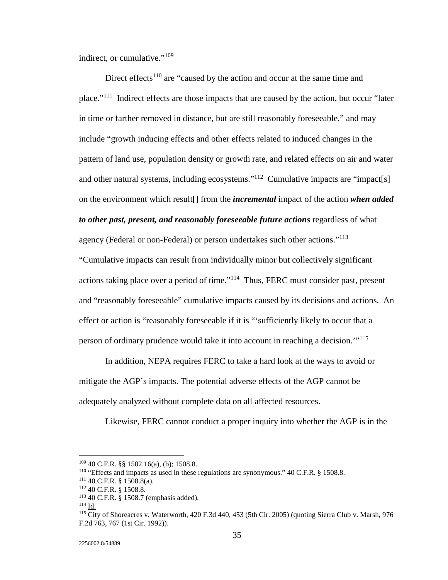indirect, or cumulative."<sup>109</sup>

Direct effects<sup>110</sup> are "caused by the action and occur at the same time and place."111 Indirect effects are those impacts that are caused by the action, but occur "later in time or farther removed in distance, but are still reasonably foreseeable," and may include "growth inducing effects and other effects related to induced changes in the pattern of land use, population density or growth rate, and related effects on air and water and other natural systems, including ecosystems."<sup>112</sup> Cumulative impacts are "impact[s] on the environment which result[] from the *incremental* impact of the action *when added to other past, present, and reasonably foreseeable future actions* regardless of what agency (Federal or non-Federal) or person undertakes such other actions."<sup>113</sup>

"Cumulative impacts can result from individually minor but collectively significant actions taking place over a period of time."114 Thus, FERC must consider past, present and "reasonably foreseeable" cumulative impacts caused by its decisions and actions. An effect or action is "reasonably foreseeable if it is "'sufficiently likely to occur that a person of ordinary prudence would take it into account in reaching a decision.'"<sup>115</sup>

 In addition, NEPA requires FERC to take a hard look at the ways to avoid or mitigate the AGP's impacts. The potential adverse effects of the AGP cannot be adequately analyzed without complete data on all affected resources.

Likewise, FERC cannot conduct a proper inquiry into whether the AGP is in the

<sup>&</sup>lt;sup>109</sup> 40 C.F.R. §§ 1502.16(a), (b); 1508.8.<br><sup>110</sup> "Effects and impacts as used in these regulations are synonymous." 40 C.F.R. § 1508.8.<br><sup>111</sup> 40 C.F.R. § 1508.8(a).<br><sup>112</sup> 40 C.F.R. § 1508.8.<br><sup>112</sup> 40 C.F.R. § 1508.7 (emp F.2d 763, 767 (1st Cir. 1992)).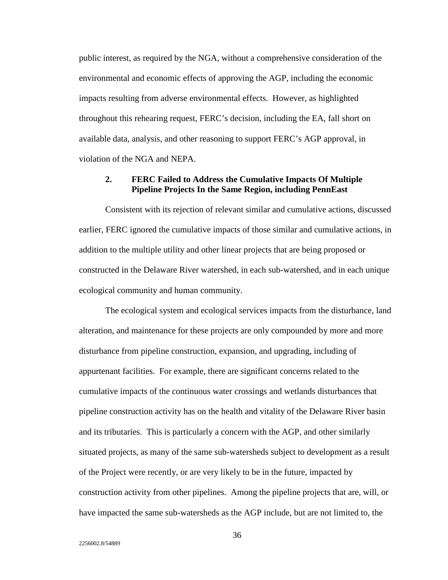public interest, as required by the NGA, without a comprehensive consideration of the environmental and economic effects of approving the AGP, including the economic impacts resulting from adverse environmental effects. However, as highlighted throughout this rehearing request, FERC's decision, including the EA, fall short on available data, analysis, and other reasoning to support FERC's AGP approval, in violation of the NGA and NEPA.

## **2. FERC Failed to Address the Cumulative Impacts Of Multiple Pipeline Projects In the Same Region, including PennEast**

 Consistent with its rejection of relevant similar and cumulative actions, discussed earlier, FERC ignored the cumulative impacts of those similar and cumulative actions, in addition to the multiple utility and other linear projects that are being proposed or constructed in the Delaware River watershed, in each sub-watershed, and in each unique ecological community and human community.

 The ecological system and ecological services impacts from the disturbance, land alteration, and maintenance for these projects are only compounded by more and more disturbance from pipeline construction, expansion, and upgrading, including of appurtenant facilities. For example, there are significant concerns related to the cumulative impacts of the continuous water crossings and wetlands disturbances that pipeline construction activity has on the health and vitality of the Delaware River basin and its tributaries. This is particularly a concern with the AGP, and other similarly situated projects, as many of the same sub-watersheds subject to development as a result of the Project were recently, or are very likely to be in the future, impacted by construction activity from other pipelines. Among the pipeline projects that are, will, or have impacted the same sub-watersheds as the AGP include, but are not limited to, the

36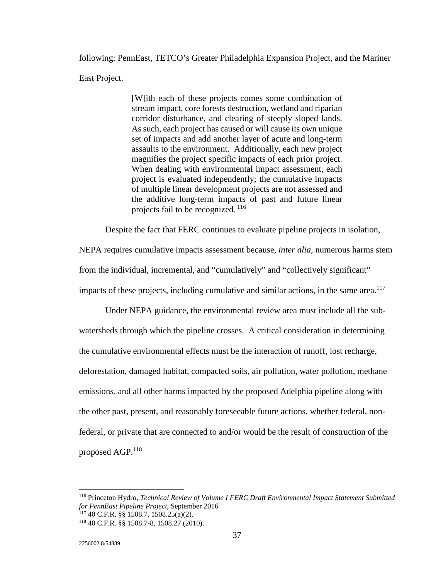following: PennEast, TETCO's Greater Philadelphia Expansion Project, and the Mariner East Project.

> [W]ith each of these projects comes some combination of stream impact, core forests destruction, wetland and riparian corridor disturbance, and clearing of steeply sloped lands. As such, each project has caused or will cause its own unique set of impacts and add another layer of acute and long-term assaults to the environment. Additionally, each new project magnifies the project specific impacts of each prior project. When dealing with environmental impact assessment, each project is evaluated independently; the cumulative impacts of multiple linear development projects are not assessed and the additive long-term impacts of past and future linear projects fail to be recognized.<sup>116</sup>

Despite the fact that FERC continues to evaluate pipeline projects in isolation,

NEPA requires cumulative impacts assessment because, *inter alia*, numerous harms stem from the individual, incremental, and "cumulatively" and "collectively significant" impacts of these projects, including cumulative and similar actions, in the same area.<sup>117</sup>

 Under NEPA guidance, the environmental review area must include all the subwatersheds through which the pipeline crosses. A critical consideration in determining the cumulative environmental effects must be the interaction of runoff, lost recharge, deforestation, damaged habitat, compacted soils, air pollution, water pollution, methane emissions, and all other harms impacted by the proposed Adelphia pipeline along with the other past, present, and reasonably foreseeable future actions, whether federal, nonfederal, or private that are connected to and/or would be the result of construction of the proposed AGP.118

<u>.</u>

<sup>116</sup> Princeton Hydro, *Technical Review of Volume I FERC Draft Environmental Impact Statement Submitted for PennEast Pipeline Project, September 2016* 117 40 C.F.R. §§ 1508.7, 1508.25(a)(2). <sup>118</sup> 40 C.F.R. §§ 1508.7-8, 1508.27 (2010).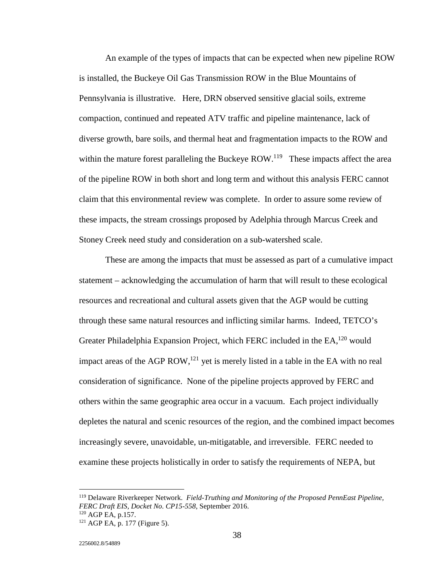An example of the types of impacts that can be expected when new pipeline ROW is installed, the Buckeye Oil Gas Transmission ROW in the Blue Mountains of Pennsylvania is illustrative. Here, DRN observed sensitive glacial soils, extreme compaction, continued and repeated ATV traffic and pipeline maintenance, lack of diverse growth, bare soils, and thermal heat and fragmentation impacts to the ROW and within the mature forest paralleling the Buckeye ROW.<sup>119</sup> These impacts affect the area of the pipeline ROW in both short and long term and without this analysis FERC cannot claim that this environmental review was complete. In order to assure some review of these impacts, the stream crossings proposed by Adelphia through Marcus Creek and Stoney Creek need study and consideration on a sub-watershed scale.

 These are among the impacts that must be assessed as part of a cumulative impact statement – acknowledging the accumulation of harm that will result to these ecological resources and recreational and cultural assets given that the AGP would be cutting through these same natural resources and inflicting similar harms. Indeed, TETCO's Greater Philadelphia Expansion Project, which FERC included in the  $EA<sub>1</sub><sup>120</sup>$  would impact areas of the AGP ROW,<sup>121</sup> yet is merely listed in a table in the EA with no real consideration of significance. None of the pipeline projects approved by FERC and others within the same geographic area occur in a vacuum. Each project individually depletes the natural and scenic resources of the region, and the combined impact becomes increasingly severe, unavoidable, un-mitigatable, and irreversible. FERC needed to examine these projects holistically in order to satisfy the requirements of NEPA, but

<sup>119</sup> Delaware Riverkeeper Network. *Field-Truthing and Monitoring of the Proposed PennEast Pipeline, FERC Draft EIS, Docket No. CP15-558*, September 2016.<br><sup>120</sup> AGP EA, p.157.<br><sup>121</sup> AGP EA, p. 177 (Figure 5).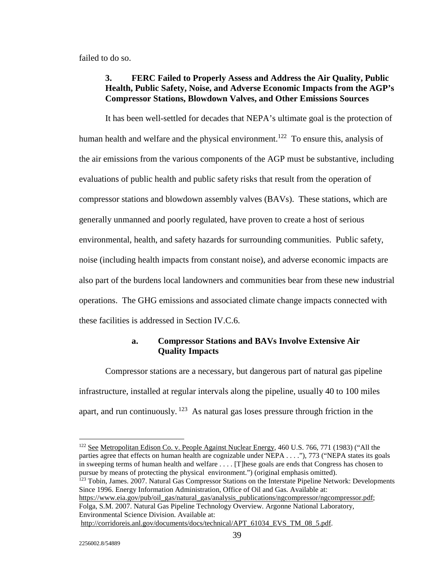failed to do so.

## **3. FERC Failed to Properly Assess and Address the Air Quality, Public Health, Public Safety, Noise, and Adverse Economic Impacts from the AGP's Compressor Stations, Blowdown Valves, and Other Emissions Sources**

 It has been well-settled for decades that NEPA's ultimate goal is the protection of human health and welfare and the physical environment.<sup>122</sup> To ensure this, analysis of the air emissions from the various components of the AGP must be substantive, including evaluations of public health and public safety risks that result from the operation of compressor stations and blowdown assembly valves (BAVs). These stations, which are generally unmanned and poorly regulated, have proven to create a host of serious environmental, health, and safety hazards for surrounding communities. Public safety, noise (including health impacts from constant noise), and adverse economic impacts are also part of the burdens local landowners and communities bear from these new industrial operations. The GHG emissions and associated climate change impacts connected with these facilities is addressed in Section IV.C.6.

#### **a. Compressor Stations and BAVs Involve Extensive Air Quality Impacts**

 Compressor stations are a necessary, but dangerous part of natural gas pipeline infrastructure, installed at regular intervals along the pipeline, usually 40 to 100 miles apart, and run continuously.  $123$  As natural gas loses pressure through friction in the

<sup>&</sup>lt;sup>122</sup> See Metropolitan Edison Co. v. People Against Nuclear Energy, 460 U.S. 766, 771 (1983) ("All the parties agree that effects on human health are cognizable under NEPA . . . ."), 773 ("NEPA states its goals in sweeping terms of human health and welfare . . . . [T]hese goals are ends that Congress has chosen to pursue by means of protecting the physical environment.") (original emphasis omitted). <sup>123</sup> Tobin, James. 2007. Natural Gas Compressor Stations on the Interstate Pipeline Network: Developments Since 1996. Energy Information Administration, Office of Oil and Gas. Available at: https://www.eia.gov/pub/oil\_gas/natural\_gas/analysis\_publications/ngcompressor/ngcompressor.pdf; Folga, S.M. 2007. Natural Gas Pipeline Technology Overview. Argonne National Laboratory, Environmental Science Division. Available at: http://corridoreis.anl.gov/documents/docs/technical/APT\_61034\_EVS\_TM\_08\_5.pdf.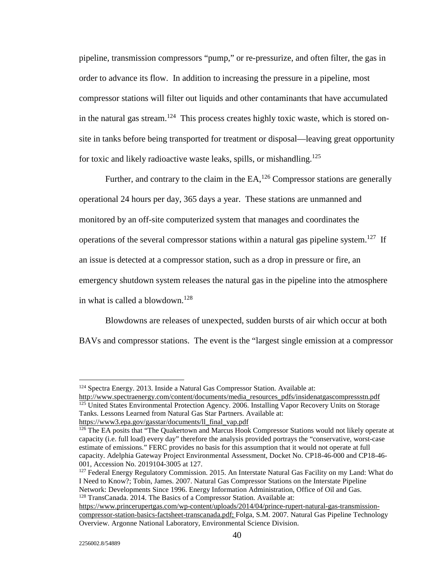pipeline, transmission compressors "pump," or re-pressurize, and often filter, the gas in order to advance its flow. In addition to increasing the pressure in a pipeline, most compressor stations will filter out liquids and other contaminants that have accumulated in the natural gas stream.<sup>124</sup> This process creates highly toxic waste, which is stored onsite in tanks before being transported for treatment or disposal—leaving great opportunity for toxic and likely radioactive waste leaks, spills, or mishandling.<sup>125</sup>

Further, and contrary to the claim in the EA,<sup>126</sup> Compressor stations are generally operational 24 hours per day, 365 days a year. These stations are unmanned and monitored by an off-site computerized system that manages and coordinates the operations of the several compressor stations within a natural gas pipeline system.<sup>127</sup> If an issue is detected at a compressor station, such as a drop in pressure or fire, an emergency shutdown system releases the natural gas in the pipeline into the atmosphere in what is called a blowdown.<sup>128</sup>

 Blowdowns are releases of unexpected, sudden bursts of air which occur at both BAVs and compressor stations. The event is the "largest single emission at a compressor

http://www.spectraenergy.com/content/documents/media\_resources\_pdfs/insidenatgascompressstn.pdf <sup>125</sup> United States Environmental Protection Agency. 2006. Installing Vapor Recovery Units on Storage Tanks. Lessons Learned from Natural Gas Star Partners. Available at:

```
https://www3.epa.gov/gasstar/documents/ll_final_vap.pdf
```
 $127$  Federal Energy Regulatory Commission. 2015. An Interstate Natural Gas Facility on my Land: What do I Need to Know?; Tobin, James. 2007. Natural Gas Compressor Stations on the Interstate Pipeline Network: Developments Since 1996. Energy Information Administration, Office of Oil and Gas. 128 TransCanada. 2014. The Basics of a Compressor Station. Available at:

<u>.</u>

<sup>124</sup> Spectra Energy. 2013. Inside a Natural Gas Compressor Station. Available at:

<sup>&</sup>lt;sup>126</sup> The EA posits that "The Quakertown and Marcus Hook Compressor Stations would not likely operate at capacity (i.e. full load) every day" therefore the analysis provided portrays the "conservative, worst-case estimate of emissions." FERC provides no basis for this assumption that it would not operate at full capacity. Adelphia Gateway Project Environmental Assessment, Docket No. CP18-46-000 and CP18-46-

https://www.princerupertgas.com/wp-content/uploads/2014/04/prince-rupert-natural-gas-transmissioncompressor-station-basics-factsheet-transcanada.pdf; Folga, S.M. 2007. Natural Gas Pipeline Technology Overview. Argonne National Laboratory, Environmental Science Division.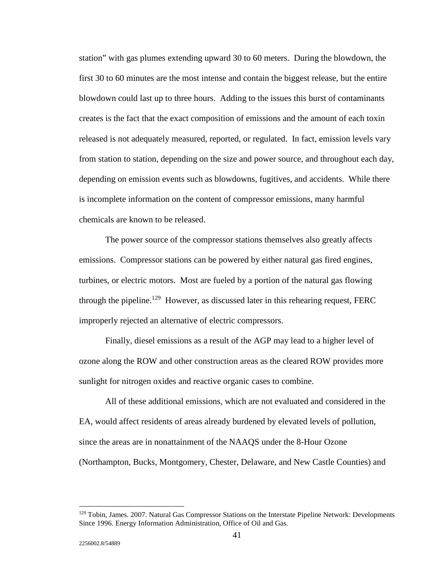station" with gas plumes extending upward 30 to 60 meters. During the blowdown, the first 30 to 60 minutes are the most intense and contain the biggest release, but the entire blowdown could last up to three hours. Adding to the issues this burst of contaminants creates is the fact that the exact composition of emissions and the amount of each toxin released is not adequately measured, reported, or regulated. In fact, emission levels vary from station to station, depending on the size and power source, and throughout each day, depending on emission events such as blowdowns, fugitives, and accidents. While there is incomplete information on the content of compressor emissions, many harmful chemicals are known to be released.

 The power source of the compressor stations themselves also greatly affects emissions. Compressor stations can be powered by either natural gas fired engines, turbines, or electric motors. Most are fueled by a portion of the natural gas flowing through the pipeline.129 However, as discussed later in this rehearing request, FERC improperly rejected an alternative of electric compressors.

 Finally, diesel emissions as a result of the AGP may lead to a higher level of ozone along the ROW and other construction areas as the cleared ROW provides more sunlight for nitrogen oxides and reactive organic cases to combine.

 All of these additional emissions, which are not evaluated and considered in the EA, would affect residents of areas already burdened by elevated levels of pollution, since the areas are in nonattainment of the NAAQS under the 8-Hour Ozone (Northampton, Bucks, Montgomery, Chester, Delaware, and New Castle Counties) and

 $\overline{a}$ 

<sup>&</sup>lt;sup>129</sup> Tobin, James. 2007. Natural Gas Compressor Stations on the Interstate Pipeline Network: Developments Since 1996. Energy Information Administration, Office of Oil and Gas.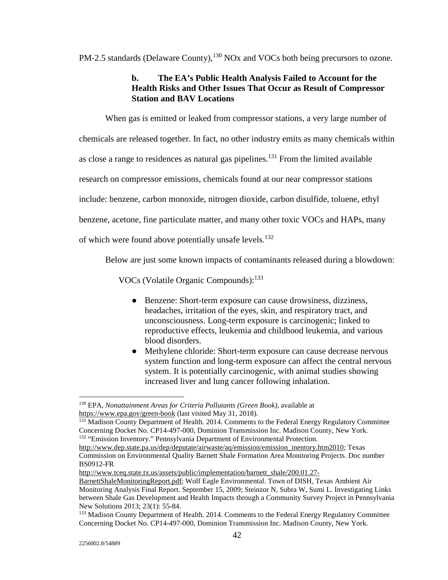PM-2.5 standards (Delaware County),<sup>130</sup> NOx and VOCs both being precursors to ozone.

# **b. The EA's Public Health Analysis Failed to Account for the Health Risks and Other Issues That Occur as Result of Compressor Station and BAV Locations**

When gas is emitted or leaked from compressor stations, a very large number of

chemicals are released together. In fact, no other industry emits as many chemicals within

as close a range to residences as natural gas pipelines.<sup>131</sup> From the limited available

research on compressor emissions, chemicals found at our near compressor stations

include: benzene, carbon monoxide, nitrogen dioxide, carbon disulfide, toluene, ethyl

benzene, acetone, fine particulate matter, and many other toxic VOCs and HAPs, many

of which were found above potentially unsafe levels.<sup>132</sup>

Below are just some known impacts of contaminants released during a blowdown:

VOCs (Volatile Organic Compounds):<sup>133</sup>

- Benzene: Short-term exposure can cause drowsiness, dizziness, headaches, irritation of the eyes, skin, and respiratory tract, and unconsciousness. Long-term exposure is carcinogenic; linked to reproductive effects, leukemia and childhood leukemia, and various blood disorders.
- Methylene chloride: Short-term exposure can cause decrease nervous system function and long-term exposure can affect the central nervous system. It is potentially carcinogenic, with animal studies showing increased liver and lung cancer following inhalation.

<sup>130</sup> EPA, *Nonattainment Areas for Criteria Pollutants (Green Book)*, available at https://www.epa.gov/green-book (last visited May 31, 2018).

<sup>&</sup>lt;sup>131</sup> Madison County Department of Health. 2014. Comments to the Federal Energy Regulatory Committee Concerning Docket No. CP14-497-000, Dominion Transmission Inc. Madison County, New York. <sup>132</sup> "Emission Inventory." Pennsylvania Department of Environmental Protection.

http://www.dep.state.pa.us/dep/deputate/airwaste/aq/emission/emission\_inentory.htm2010; Texas Commission on Environmental Quality Barnett Shale Formation Area Monitoring Projects. Doc number BS0912-FR

http://www.tceq.state.tx.us/assets/public/implementation/barnett\_shale/200.01.27-

BarnettShaleMonitoringReport.pdf; Wolf Eagle Environmental. Town of DISH, Texas Ambient Air Monitoring Analysis Final Report. September 15, 2009; Steinzor N, Subra W, Sumi L. Investigating Links between Shale Gas Development and Health Impacts through a Community Survey Project in Pennsylvania New Solutions 2013; 23(1): 55-84.

<sup>&</sup>lt;sup>133</sup> Madison County Department of Health. 2014. Comments to the Federal Energy Regulatory Committee Concerning Docket No. CP14-497-000, Dominion Transmission Inc. Madison County, New York.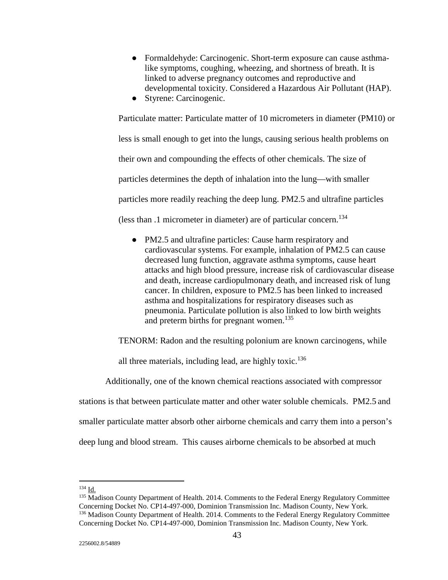- Formaldehyde: Carcinogenic. Short-term exposure can cause asthmalike symptoms, coughing, wheezing, and shortness of breath. It is linked to adverse pregnancy outcomes and reproductive and developmental toxicity. Considered a Hazardous Air Pollutant (HAP).
- Styrene: Carcinogenic.

Particulate matter: Particulate matter of 10 micrometers in diameter (PM10) or less is small enough to get into the lungs, causing serious health problems on their own and compounding the effects of other chemicals. The size of particles determines the depth of inhalation into the lung—with smaller particles more readily reaching the deep lung. PM2.5 and ultrafine particles (less than .1 micrometer in diameter) are of particular concern.<sup>134</sup>

● PM2.5 and ultrafine particles: Cause harm respiratory and cardiovascular systems. For example, inhalation of PM2.5 can cause decreased lung function, aggravate asthma symptoms, cause heart attacks and high blood pressure, increase risk of cardiovascular disease and death, increase cardiopulmonary death, and increased risk of lung cancer. In children, exposure to PM2.5 has been linked to increased asthma and hospitalizations for respiratory diseases such as pneumonia. Particulate pollution is also linked to low birth weights and preterm births for pregnant women.<sup>135</sup>

TENORM: Radon and the resulting polonium are known carcinogens, while

all three materials, including lead, are highly toxic.<sup>136</sup>

Additionally, one of the known chemical reactions associated with compressor

stations is that between particulate matter and other water soluble chemicals. PM2.5 and smaller particulate matter absorb other airborne chemicals and carry them into a person's

deep lung and blood stream. This causes airborne chemicals to be absorbed at much

<u>.</u>

<sup>&</sup>lt;sup>134</sup> Id.  $\frac{Id}{105}$  Madison County Department of Health. 2014. Comments to the Federal Energy Regulatory Committee Concerning Docket No. CP14-497-000, Dominion Transmission Inc. Madison County, New York. <sup>136</sup> Madison County Department of Health. 2014. Comments to the Federal Energy Regulatory Committee Concerning Docket No. CP14-497-000, Dominion Transmission Inc. Madison County, New York.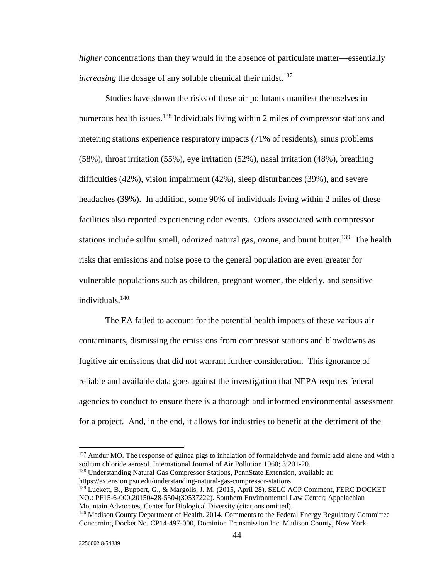*higher* concentrations than they would in the absence of particulate matter—essentially *increasing* the dosage of any soluble chemical their midst.<sup>137</sup>

 Studies have shown the risks of these air pollutants manifest themselves in numerous health issues.<sup>138</sup> Individuals living within 2 miles of compressor stations and metering stations experience respiratory impacts (71% of residents), sinus problems (58%), throat irritation (55%), eye irritation (52%), nasal irritation (48%), breathing difficulties (42%), vision impairment (42%), sleep disturbances (39%), and severe headaches (39%). In addition, some 90% of individuals living within 2 miles of these facilities also reported experiencing odor events. Odors associated with compressor stations include sulfur smell, odorized natural gas, ozone, and burnt butter.<sup>139</sup> The health risks that emissions and noise pose to the general population are even greater for vulnerable populations such as children, pregnant women, the elderly, and sensitive individuals.140

 The EA failed to account for the potential health impacts of these various air contaminants, dismissing the emissions from compressor stations and blowdowns as fugitive air emissions that did not warrant further consideration. This ignorance of reliable and available data goes against the investigation that NEPA requires federal agencies to conduct to ensure there is a thorough and informed environmental assessment for a project. And, in the end, it allows for industries to benefit at the detriment of the

138 Understanding Natural Gas Compressor Stations, PennState Extension, available at: https://extension.psu.edu/understanding-natural-gas-compressor-stations

 $\overline{a}$ 

<sup>&</sup>lt;sup>137</sup> Amdur MO. The response of guinea pigs to inhalation of formaldehyde and formic acid alone and with a sodium chloride aerosol. International Journal of Air Pollution 1960; 3:201-20.

<sup>139</sup> Luckett, B., Buppert, G., & Margolis, J. M. (2015, April 28). SELC ACP Comment, FERC DOCKET NO.: PF15-6-000,20150428-5504(30537222). Southern Environmental Law Center; Appalachian Mountain Advocates; Center for Biological Diversity (citations omitted).

<sup>140</sup> Madison County Department of Health. 2014. Comments to the Federal Energy Regulatory Committee Concerning Docket No. CP14-497-000, Dominion Transmission Inc. Madison County, New York.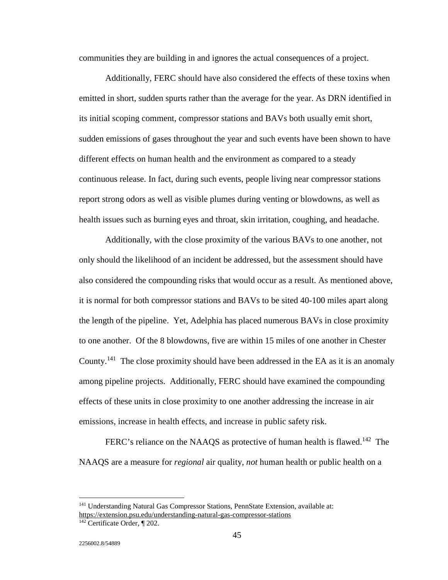communities they are building in and ignores the actual consequences of a project.

 Additionally, FERC should have also considered the effects of these toxins when emitted in short, sudden spurts rather than the average for the year. As DRN identified in its initial scoping comment, compressor stations and BAVs both usually emit short, sudden emissions of gases throughout the year and such events have been shown to have different effects on human health and the environment as compared to a steady continuous release. In fact, during such events, people living near compressor stations report strong odors as well as visible plumes during venting or blowdowns, as well as health issues such as burning eyes and throat, skin irritation, coughing, and headache.

 Additionally, with the close proximity of the various BAVs to one another, not only should the likelihood of an incident be addressed, but the assessment should have also considered the compounding risks that would occur as a result. As mentioned above, it is normal for both compressor stations and BAVs to be sited 40-100 miles apart along the length of the pipeline. Yet, Adelphia has placed numerous BAVs in close proximity to one another. Of the 8 blowdowns, five are within 15 miles of one another in Chester County.141 The close proximity should have been addressed in the EA as it is an anomaly among pipeline projects. Additionally, FERC should have examined the compounding effects of these units in close proximity to one another addressing the increase in air emissions, increase in health effects, and increase in public safety risk.

FERC's reliance on the NAAQS as protective of human health is flawed.<sup>142</sup> The NAAQS are a measure for *regional* air quality, *not* human health or public health on a

 $\overline{a}$ 

<sup>&</sup>lt;sup>141</sup> Understanding Natural Gas Compressor Stations, PennState Extension, available at: https://extension.psu.edu/understanding-natural-gas-compressor-stations

<sup>&</sup>lt;sup>142</sup> Certificate Order, ¶ 202.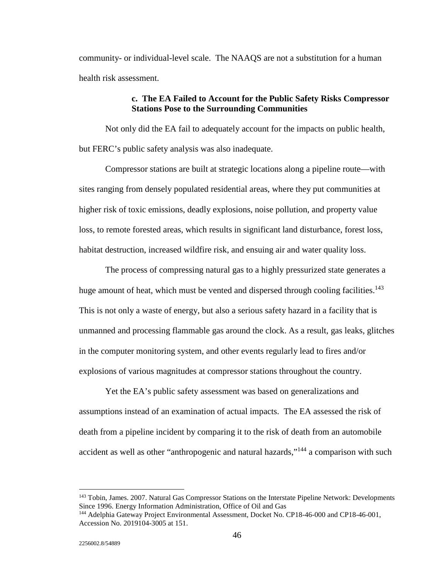community- or individual-level scale. The NAAQS are not a substitution for a human health risk assessment.

## **c. The EA Failed to Account for the Public Safety Risks Compressor Stations Pose to the Surrounding Communities**

 Not only did the EA fail to adequately account for the impacts on public health, but FERC's public safety analysis was also inadequate.

 Compressor stations are built at strategic locations along a pipeline route—with sites ranging from densely populated residential areas, where they put communities at higher risk of toxic emissions, deadly explosions, noise pollution, and property value loss, to remote forested areas, which results in significant land disturbance, forest loss, habitat destruction, increased wildfire risk, and ensuing air and water quality loss.

 The process of compressing natural gas to a highly pressurized state generates a huge amount of heat, which must be vented and dispersed through cooling facilities.<sup>143</sup> This is not only a waste of energy, but also a serious safety hazard in a facility that is unmanned and processing flammable gas around the clock. As a result, gas leaks, glitches in the computer monitoring system, and other events regularly lead to fires and/or explosions of various magnitudes at compressor stations throughout the country.

 Yet the EA's public safety assessment was based on generalizations and assumptions instead of an examination of actual impacts. The EA assessed the risk of death from a pipeline incident by comparing it to the risk of death from an automobile accident as well as other "anthropogenic and natural hazards,"144 a comparison with such

<sup>&</sup>lt;sup>143</sup> Tobin, James. 2007. Natural Gas Compressor Stations on the Interstate Pipeline Network: Developments Since 1996. Energy Information Administration, Office of Oil and Gas

<sup>&</sup>lt;sup>144</sup> Adelphia Gateway Project Environmental Assessment, Docket No. CP18-46-000 and CP18-46-001, Accession No. 2019104-3005 at 151.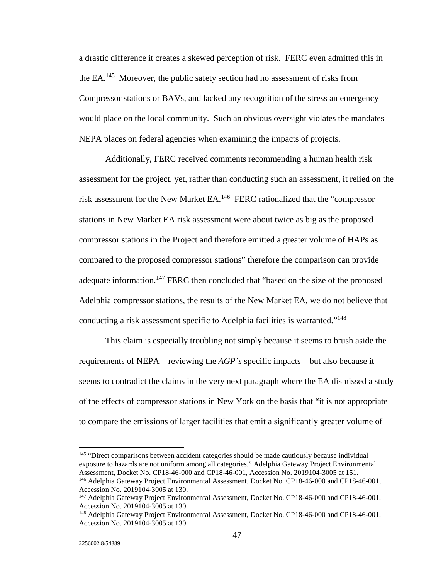a drastic difference it creates a skewed perception of risk. FERC even admitted this in the  $EA^{145}$  Moreover, the public safety section had no assessment of risks from Compressor stations or BAVs, and lacked any recognition of the stress an emergency would place on the local community. Such an obvious oversight violates the mandates NEPA places on federal agencies when examining the impacts of projects.

 Additionally, FERC received comments recommending a human health risk assessment for the project, yet, rather than conducting such an assessment, it relied on the risk assessment for the New Market EA.146 FERC rationalized that the "compressor stations in New Market EA risk assessment were about twice as big as the proposed compressor stations in the Project and therefore emitted a greater volume of HAPs as compared to the proposed compressor stations" therefore the comparison can provide adequate information.<sup>147</sup> FERC then concluded that "based on the size of the proposed Adelphia compressor stations, the results of the New Market EA, we do not believe that conducting a risk assessment specific to Adelphia facilities is warranted."<sup>148</sup>

 This claim is especially troubling not simply because it seems to brush aside the requirements of NEPA – reviewing the *AGP's* specific impacts – but also because it seems to contradict the claims in the very next paragraph where the EA dismissed a study of the effects of compressor stations in New York on the basis that "it is not appropriate to compare the emissions of larger facilities that emit a significantly greater volume of

<sup>145</sup> "Direct comparisons between accident categories should be made cautiously because individual exposure to hazards are not uniform among all categories." Adelphia Gateway Project Environmental Assessment, Docket No. CP18-46-000 and CP18-46-001, Accession No. 2019104-3005 at 151.<br><sup>146</sup> Adelphia Gateway Project Environmental Assessment, Docket No. CP18-46-000 and CP18-46-001,

Accession No. 2019104-3005 at 130. <sup>147</sup> Adelphia Gateway Project Environmental Assessment, Docket No. CP18-46-000 and CP18-46-001, Accession No. 2019104-3005 at 130.

<sup>&</sup>lt;sup>148</sup> Adelphia Gateway Project Environmental Assessment, Docket No. CP18-46-000 and CP18-46-001, Accession No. 2019104-3005 at 130.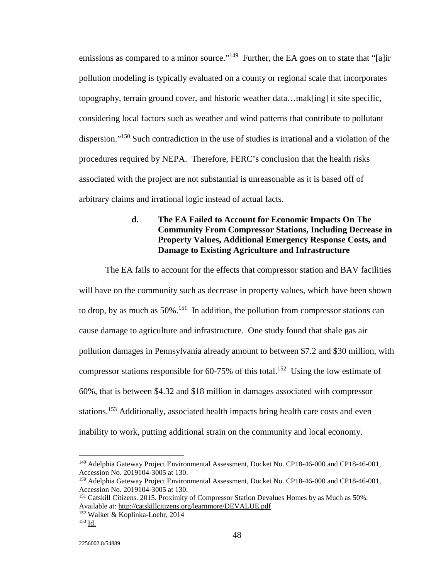emissions as compared to a minor source."<sup>149</sup> Further, the EA goes on to state that "[a]ir pollution modeling is typically evaluated on a county or regional scale that incorporates topography, terrain ground cover, and historic weather data…mak[ing] it site specific, considering local factors such as weather and wind patterns that contribute to pollutant dispersion."<sup>150</sup> Such contradiction in the use of studies is irrational and a violation of the procedures required by NEPA. Therefore, FERC's conclusion that the health risks associated with the project are not substantial is unreasonable as it is based off of arbitrary claims and irrational logic instead of actual facts.

# **d. The EA Failed to Account for Economic Impacts On The Community From Compressor Stations, Including Decrease in Property Values, Additional Emergency Response Costs, and Damage to Existing Agriculture and Infrastructure**

 The EA fails to account for the effects that compressor station and BAV facilities will have on the community such as decrease in property values, which have been shown to drop, by as much as  $50\%$ <sup>151</sup> In addition, the pollution from compressor stations can cause damage to agriculture and infrastructure. One study found that shale gas air pollution damages in Pennsylvania already amount to between \$7.2 and \$30 million, with compressor stations responsible for  $60-75\%$  of this total.<sup>152</sup> Using the low estimate of 60%, that is between \$4.32 and \$18 million in damages associated with compressor stations.153 Additionally, associated health impacts bring health care costs and even inability to work, putting additional strain on the community and local economy.

<sup>149</sup> Adelphia Gateway Project Environmental Assessment, Docket No. CP18-46-000 and CP18-46-001, Accession No. 2019104-3005 at 130.

<sup>150</sup> Adelphia Gateway Project Environmental Assessment, Docket No. CP18-46-000 and CP18-46-001, Accession No. 2019104-3005 at 130.

<sup>151</sup> Catskill Citizens. 2015. Proximity of Compressor Station Devalues Homes by as Much as 50%. Available at: http://catskillcitizens.org/learnmore/DEVALUE.pdf

<sup>152</sup> Walker & Koplinka-Loehr, 2014 153 Id.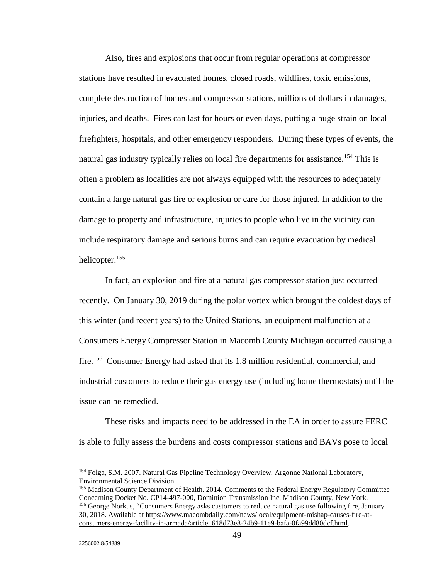Also, fires and explosions that occur from regular operations at compressor stations have resulted in evacuated homes, closed roads, wildfires, toxic emissions, complete destruction of homes and compressor stations, millions of dollars in damages, injuries, and deaths. Fires can last for hours or even days, putting a huge strain on local firefighters, hospitals, and other emergency responders. During these types of events, the natural gas industry typically relies on local fire departments for assistance.<sup>154</sup> This is often a problem as localities are not always equipped with the resources to adequately contain a large natural gas fire or explosion or care for those injured. In addition to the damage to property and infrastructure, injuries to people who live in the vicinity can include respiratory damage and serious burns and can require evacuation by medical helicopter.155

 In fact, an explosion and fire at a natural gas compressor station just occurred recently. On January 30, 2019 during the polar vortex which brought the coldest days of this winter (and recent years) to the United Stations, an equipment malfunction at a Consumers Energy Compressor Station in Macomb County Michigan occurred causing a fire.156 Consumer Energy had asked that its 1.8 million residential, commercial, and industrial customers to reduce their gas energy use (including home thermostats) until the issue can be remedied.

 These risks and impacts need to be addressed in the EA in order to assure FERC is able to fully assess the burdens and costs compressor stations and BAVs pose to local

<sup>154</sup> Folga, S.M. 2007. Natural Gas Pipeline Technology Overview. Argonne National Laboratory, Environmental Science Division

<sup>&</sup>lt;sup>155</sup> Madison County Department of Health. 2014. Comments to the Federal Energy Regulatory Committee Concerning Docket No. CP14-497-000, Dominion Transmission Inc. Madison County, New York. <sup>156</sup> George Norkus, "Consumers Energy asks customers to reduce natural gas use following fire, January 30, 2018. Available at https://www.macombdaily.com/news/local/equipment-mishap-causes-fire-atconsumers-energy-facility-in-armada/article\_618d73e8-24b9-11e9-bafa-0fa99dd80dcf.html.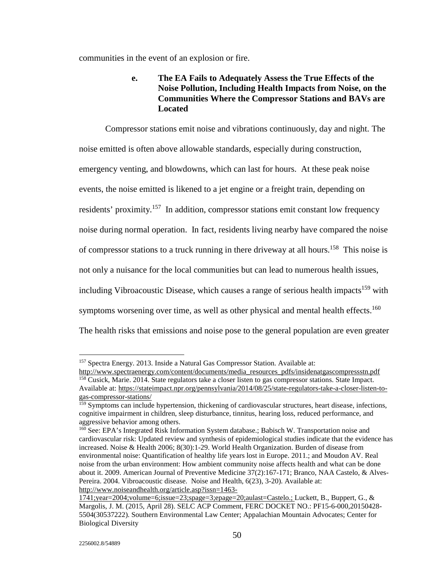communities in the event of an explosion or fire.

# **e. The EA Fails to Adequately Assess the True Effects of the Noise Pollution, Including Health Impacts from Noise, on the Communities Where the Compressor Stations and BAVs are Located**

 Compressor stations emit noise and vibrations continuously, day and night. The noise emitted is often above allowable standards, especially during construction, emergency venting, and blowdowns, which can last for hours. At these peak noise events, the noise emitted is likened to a jet engine or a freight train, depending on residents' proximity.157 In addition, compressor stations emit constant low frequency noise during normal operation. In fact, residents living nearby have compared the noise of compressor stations to a truck running in there driveway at all hours.<sup>158</sup> This noise is not only a nuisance for the local communities but can lead to numerous health issues, including Vibroacoustic Disease, which causes a range of serious health impacts<sup>159</sup> with symptoms worsening over time, as well as other physical and mental health effects.<sup>160</sup> The health risks that emissions and noise pose to the general population are even greater

<sup>&</sup>lt;sup>157</sup> Spectra Energy. 2013. Inside a Natural Gas Compressor Station. Available at:

http://www.spectraenergy.com/content/documents/media\_resources\_pdfs/insidenatgascompressstn.pdf 158 Cusick, Marie. 2014. State regulators take a closer listen to gas compressor stations. State Impact. Available at: https://stateimpact.npr.org/pennsylvania/2014/08/25/state-regulators-take-a-closer-listen-togas-compressor-stations/

<sup>&</sup>lt;sup>159</sup> Symptoms can include hypertension, thickening of cardiovascular structures, heart disease, infections, cognitive impairment in children, sleep disturbance, tinnitus, hearing loss, reduced performance, and aggressive behavior among others.

<sup>&</sup>lt;sup>160</sup> See: EPA's Integrated Risk Information System database.; Babisch W. Transportation noise and cardiovascular risk: Updated review and synthesis of epidemiological studies indicate that the evidence has increased. Noise & Health 2006; 8(30):1-29. World Health Organization. Burden of disease from environmental noise: Quantification of healthy life years lost in Europe. 2011.; and Moudon AV. Real noise from the urban environment: How ambient community noise affects health and what can be done about it. 2009. American Journal of Preventive Medicine 37(2):167-171; Branco, NAA Castelo, & Alves-Pereira. 2004. Vibroacoustic disease. Noise and Health, 6(23), 3-20). Available at: http://www.noiseandhealth.org/article.asp?issn=1463-

<sup>1741;</sup>year=2004;volume=6;issue=23;spage=3;epage=20;aulast=Castelo.; Luckett, B., Buppert, G., & Margolis, J. M. (2015, April 28). SELC ACP Comment, FERC DOCKET NO.: PF15-6-000,20150428- 5504(30537222). Southern Environmental Law Center; Appalachian Mountain Advocates; Center for Biological Diversity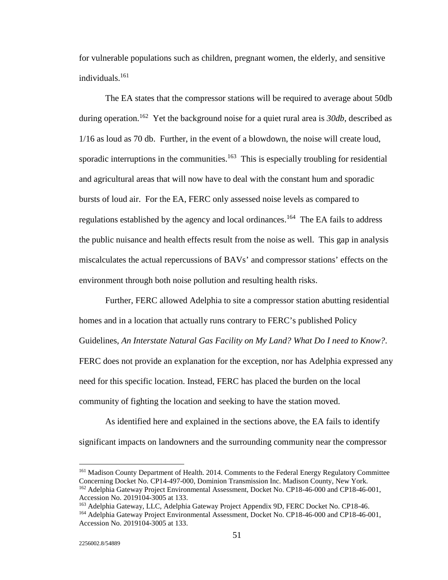for vulnerable populations such as children, pregnant women, the elderly, and sensitive individuals.161

 The EA states that the compressor stations will be required to average about 50db during operation.162 Yet the background noise for a quiet rural area is *30db*, described as 1/16 as loud as 70 db. Further, in the event of a blowdown, the noise will create loud, sporadic interruptions in the communities.<sup>163</sup> This is especially troubling for residential and agricultural areas that will now have to deal with the constant hum and sporadic bursts of loud air. For the EA, FERC only assessed noise levels as compared to regulations established by the agency and local ordinances.<sup>164</sup> The EA fails to address the public nuisance and health effects result from the noise as well. This gap in analysis miscalculates the actual repercussions of BAVs' and compressor stations' effects on the environment through both noise pollution and resulting health risks.

 Further, FERC allowed Adelphia to site a compressor station abutting residential homes and in a location that actually runs contrary to FERC's published Policy Guidelines, *An Interstate Natural Gas Facility on My Land? What Do I need to Know?*. FERC does not provide an explanation for the exception, nor has Adelphia expressed any need for this specific location. Instead, FERC has placed the burden on the local community of fighting the location and seeking to have the station moved.

 As identified here and explained in the sections above, the EA fails to identify significant impacts on landowners and the surrounding community near the compressor

<sup>&</sup>lt;sup>161</sup> Madison County Department of Health. 2014. Comments to the Federal Energy Regulatory Committee Concerning Docket No. CP14-497-000, Dominion Transmission Inc. Madison County, New York. <sup>162</sup> Adelphia Gateway Project Environmental Assessment, Docket No. CP18-46-000 and CP18-46-001,

Accession No. 2019104-3005 at 133.<br><sup>163</sup> Adelphia Gateway, LLC, Adelphia Gateway Project Appendix 9D, FERC Docket No. CP18-46.

<sup>&</sup>lt;sup>164</sup> Adelphia Gateway Project Environmental Assessment, Docket No. CP18-46-000 and CP18-46-001, Accession No. 2019104-3005 at 133.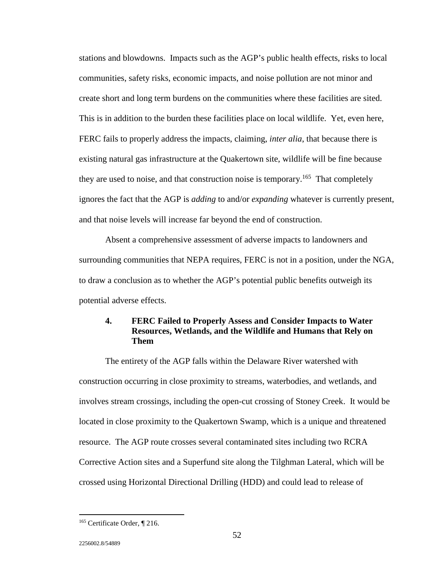stations and blowdowns. Impacts such as the AGP's public health effects, risks to local communities, safety risks, economic impacts, and noise pollution are not minor and create short and long term burdens on the communities where these facilities are sited. This is in addition to the burden these facilities place on local wildlife. Yet, even here, FERC fails to properly address the impacts, claiming, *inter alia*, that because there is existing natural gas infrastructure at the Quakertown site, wildlife will be fine because they are used to noise, and that construction noise is temporary.<sup>165</sup> That completely ignores the fact that the AGP is *adding* to and/or *expanding* whatever is currently present, and that noise levels will increase far beyond the end of construction.

 Absent a comprehensive assessment of adverse impacts to landowners and surrounding communities that NEPA requires, FERC is not in a position, under the NGA, to draw a conclusion as to whether the AGP's potential public benefits outweigh its potential adverse effects.

# **4. FERC Failed to Properly Assess and Consider Impacts to Water Resources, Wetlands, and the Wildlife and Humans that Rely on Them**

 The entirety of the AGP falls within the Delaware River watershed with construction occurring in close proximity to streams, waterbodies, and wetlands, and involves stream crossings, including the open-cut crossing of Stoney Creek. It would be located in close proximity to the Quakertown Swamp, which is a unique and threatened resource. The AGP route crosses several contaminated sites including two RCRA Corrective Action sites and a Superfund site along the Tilghman Lateral, which will be crossed using Horizontal Directional Drilling (HDD) and could lead to release of

<sup>165</sup> Certificate Order, ¶ 216.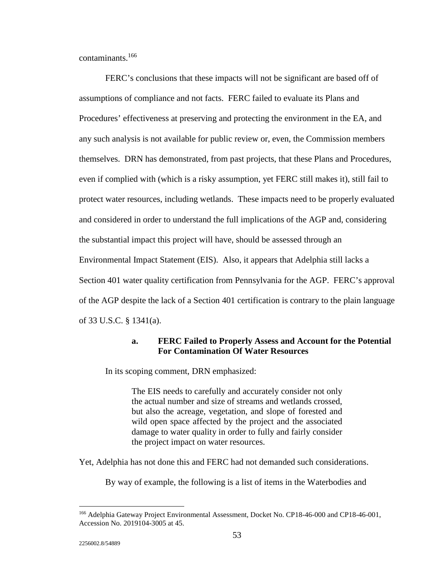contaminants.166

FERC's conclusions that these impacts will not be significant are based off of assumptions of compliance and not facts. FERC failed to evaluate its Plans and Procedures' effectiveness at preserving and protecting the environment in the EA, and any such analysis is not available for public review or, even, the Commission members themselves. DRN has demonstrated, from past projects, that these Plans and Procedures, even if complied with (which is a risky assumption, yet FERC still makes it), still fail to protect water resources, including wetlands. These impacts need to be properly evaluated and considered in order to understand the full implications of the AGP and, considering the substantial impact this project will have, should be assessed through an Environmental Impact Statement (EIS). Also, it appears that Adelphia still lacks a Section 401 water quality certification from Pennsylvania for the AGP. FERC's approval of the AGP despite the lack of a Section 401 certification is contrary to the plain language of 33 U.S.C. § 1341(a).

## **a. FERC Failed to Properly Assess and Account for the Potential For Contamination Of Water Resources**

In its scoping comment, DRN emphasized:

The EIS needs to carefully and accurately consider not only the actual number and size of streams and wetlands crossed, but also the acreage, vegetation, and slope of forested and wild open space affected by the project and the associated damage to water quality in order to fully and fairly consider the project impact on water resources.

Yet, Adelphia has not done this and FERC had not demanded such considerations.

By way of example, the following is a list of items in the Waterbodies and

 $\overline{a}$ 

<sup>&</sup>lt;sup>166</sup> Adelphia Gateway Project Environmental Assessment, Docket No. CP18-46-000 and CP18-46-001, Accession No. 2019104-3005 at 45.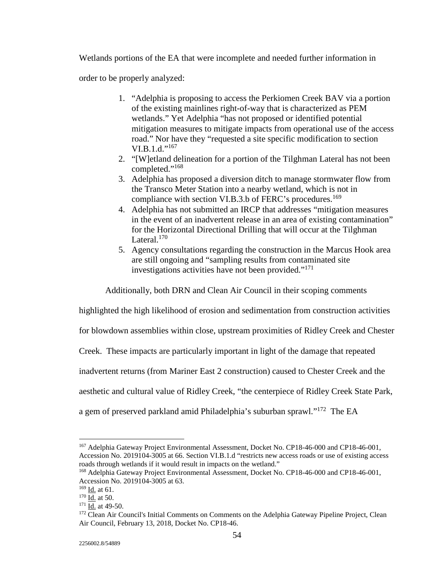Wetlands portions of the EA that were incomplete and needed further information in

order to be properly analyzed:

- 1. "Adelphia is proposing to access the Perkiomen Creek BAV via a portion of the existing mainlines right-of-way that is characterized as PEM wetlands." Yet Adelphia "has not proposed or identified potential mitigation measures to mitigate impacts from operational use of the access road." Nor have they "requested a site specific modification to section  $VI.B.1.d."^{167}$
- 2. "[W]etland delineation for a portion of the Tilghman Lateral has not been completed."<sup>168</sup>
- 3. Adelphia has proposed a diversion ditch to manage stormwater flow from the Transco Meter Station into a nearby wetland, which is not in compliance with section VI.B.3.b of FERC's procedures.<sup>169</sup>
- 4. Adelphia has not submitted an IRCP that addresses "mitigation measures in the event of an inadvertent release in an area of existing contamination" for the Horizontal Directional Drilling that will occur at the Tilghman Lateral. $170$
- 5. Agency consultations regarding the construction in the Marcus Hook area are still ongoing and "sampling results from contaminated site investigations activities have not been provided."<sup>171</sup>

Additionally, both DRN and Clean Air Council in their scoping comments

highlighted the high likelihood of erosion and sedimentation from construction activities

for blowdown assemblies within close, upstream proximities of Ridley Creek and Chester

Creek. These impacts are particularly important in light of the damage that repeated

inadvertent returns (from Mariner East 2 construction) caused to Chester Creek and the

aesthetic and cultural value of Ridley Creek, "the centerpiece of Ridley Creek State Park,

a gem of preserved parkland amid Philadelphia's suburban sprawl."172 The EA

<sup>&</sup>lt;sup>167</sup> Adelphia Gateway Project Environmental Assessment, Docket No. CP18-46-000 and CP18-46-001, Accession No. 2019104-3005 at 66. Section VI.B.1.d "restricts new access roads or use of existing access roads through wetlands if it would result in impacts on the wetland."

<sup>168</sup> Adelphia Gateway Project Environmental Assessment, Docket No. CP18-46-000 and CP18-46-001, Accession No. 2019104-3005 at 63.<br><sup>169</sup> Id. at 61.

<sup>&</sup>lt;sup>170</sup> Id. at 50.<br><sup>171</sup> Id. at 49-50.<br><sup>172</sup> Clean Air Council's Initial Comments on Comments on the Adelphia Gateway Pipeline Project, Clean Air Council, February 13, 2018, Docket No. CP18-46.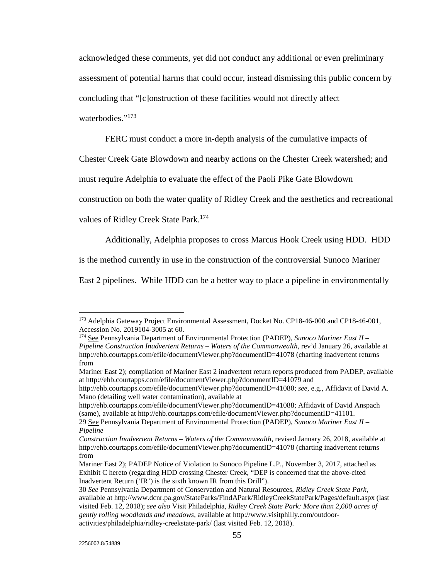acknowledged these comments, yet did not conduct any additional or even preliminary

assessment of potential harms that could occur, instead dismissing this public concern by

concluding that "[c]onstruction of these facilities would not directly affect

#### waterhodies."<sup>173</sup>

FERC must conduct a more in-depth analysis of the cumulative impacts of

Chester Creek Gate Blowdown and nearby actions on the Chester Creek watershed; and

must require Adelphia to evaluate the effect of the Paoli Pike Gate Blowdown

construction on both the water quality of Ridley Creek and the aesthetics and recreational

values of Ridley Creek State Park.<sup>174</sup>

Additionally, Adelphia proposes to cross Marcus Hook Creek using HDD. HDD

is the method currently in use in the construction of the controversial Sunoco Mariner

East 2 pipelines. While HDD can be a better way to place a pipeline in environmentally

<sup>&</sup>lt;sup>173</sup> Adelphia Gateway Project Environmental Assessment, Docket No. CP18-46-000 and CP18-46-001, Accession No. 2019104-3005 at 60.

<sup>174</sup> See Pennsylvania Department of Environmental Protection (PADEP), *Sunoco Mariner East II – Pipeline Construction Inadvertent Returns – Waters of the Commonwealth*, rev'd January 26, available at http://ehb.courtapps.com/efile/documentViewer.php?documentID=41078 (charting inadvertent returns from

Mariner East 2); compilation of Mariner East 2 inadvertent return reports produced from PADEP, available at http://ehb.courtapps.com/efile/documentViewer.php?documentID=41079 and

http://ehb.courtapps.com/efile/documentViewer.php?documentID=41080; *see*, e.g., Affidavit of David A. Mano (detailing well water contamination), available at

http://ehb.courtapps.com/efile/documentViewer.php?documentID=41088; Affidavit of David Anspach (same), available at http://ehb.courtapps.com/efile/documentViewer.php?documentID=41101.

<sup>29</sup> See Pennsylvania Department of Environmental Protection (PADEP), *Sunoco Mariner East II – Pipeline* 

*Construction Inadvertent Returns – Waters of the Commonwealth*, revised January 26, 2018, available at http://ehb.courtapps.com/efile/documentViewer.php?documentID=41078 (charting inadvertent returns from

Mariner East 2); PADEP Notice of Violation to Sunoco Pipeline L.P., November 3, 2017, attached as Exhibit C hereto (regarding HDD crossing Chester Creek, "DEP is concerned that the above-cited Inadvertent Return ('IR') is the sixth known IR from this Drill").

<sup>30</sup> *See* Pennsylvania Department of Conservation and Natural Resources, *Ridley Creek State Park*, available at http://www.dcnr.pa.gov/StateParks/FindAPark/RidleyCreekStatePark/Pages/default.aspx (last visited Feb. 12, 2018); *see also* Visit Philadelphia, *Ridley Creek State Park: More than 2,600 acres of gently rolling woodlands and meadows*, available at http://www.visitphilly.com/outdooractivities/philadelphia/ridley-creekstate-park/ (last visited Feb. 12, 2018).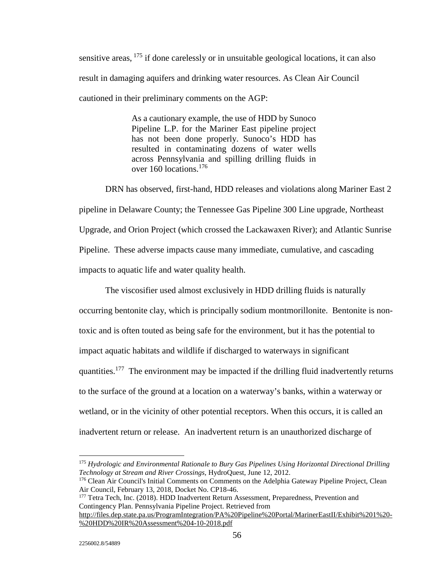sensitive areas, <sup>175</sup> if done carelessly or in unsuitable geological locations, it can also result in damaging aquifers and drinking water resources. As Clean Air Council cautioned in their preliminary comments on the AGP:

> As a cautionary example, the use of HDD by Sunoco Pipeline L.P. for the Mariner East pipeline project has not been done properly. Sunoco's HDD has resulted in contaminating dozens of water wells across Pennsylvania and spilling drilling fluids in over 160 locations.<sup>176</sup>

 DRN has observed, first-hand, HDD releases and violations along Mariner East 2 pipeline in Delaware County; the Tennessee Gas Pipeline 300 Line upgrade, Northeast Upgrade, and Orion Project (which crossed the Lackawaxen River); and Atlantic Sunrise Pipeline. These adverse impacts cause many immediate, cumulative, and cascading impacts to aquatic life and water quality health.

 The viscosifier used almost exclusively in HDD drilling fluids is naturally occurring bentonite clay, which is principally sodium montmorillonite. Bentonite is nontoxic and is often touted as being safe for the environment, but it has the potential to impact aquatic habitats and wildlife if discharged to waterways in significant quantities.177 The environment may be impacted if the drilling fluid inadvertently returns to the surface of the ground at a location on a waterway's banks, within a waterway or wetland, or in the vicinity of other potential receptors. When this occurs, it is called an inadvertent return or release. An inadvertent return is an unauthorized discharge of

<sup>175</sup> *Hydrologic and Environmental Rationale to Bury Gas Pipelines Using Horizontal Directional Drilling Technology at Stream and River Crossings, HydroQuest, June 12, 2012.*<br><sup>176</sup> Clean Air Council's Initial Comments on Comments on the Adelphia Gateway Pipeline Project, Clean

Air Council, February 13, 2018, Docket No. CP18-46.

<sup>&</sup>lt;sup>177</sup> Tetra Tech, Inc. (2018). HDD Inadvertent Return Assessment, Preparedness, Prevention and Contingency Plan. Pennsylvania Pipeline Project. Retrieved from http://files.dep.state.pa.us/ProgramIntegration/PA%20Pipeline%20Portal/MarinerEastII/Exhibit%201%20- %20HDD%20IR%20Assessment%204-10-2018.pdf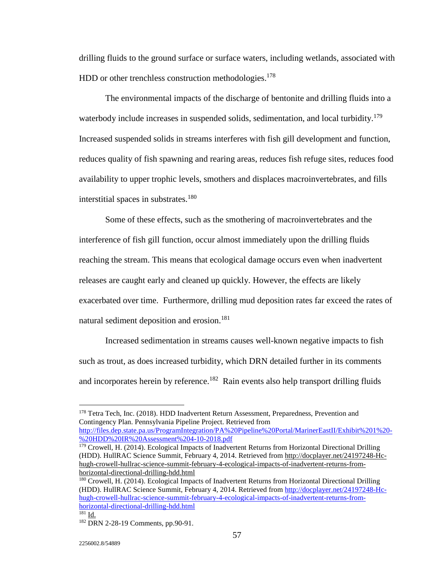drilling fluids to the ground surface or surface waters, including wetlands, associated with HDD or other trenchless construction methodologies.<sup>178</sup>

 The environmental impacts of the discharge of bentonite and drilling fluids into a waterbody include increases in suspended solids, sedimentation, and local turbidity.<sup>179</sup> Increased suspended solids in streams interferes with fish gill development and function, reduces quality of fish spawning and rearing areas, reduces fish refuge sites, reduces food availability to upper trophic levels, smothers and displaces macroinvertebrates, and fills interstitial spaces in substrates.<sup>180</sup>

 Some of these effects, such as the smothering of macroinvertebrates and the interference of fish gill function, occur almost immediately upon the drilling fluids reaching the stream. This means that ecological damage occurs even when inadvertent releases are caught early and cleaned up quickly. However, the effects are likely exacerbated over time. Furthermore, drilling mud deposition rates far exceed the rates of natural sediment deposition and erosion.<sup>181</sup>

Increased sedimentation in streams causes well-known negative impacts to fish such as trout, as does increased turbidity, which DRN detailed further in its comments and incorporates herein by reference.<sup>182</sup> Rain events also help transport drilling fluids

%20HDD%20IR%20Assessment%204-10-2018.pdf

<sup>&</sup>lt;sup>178</sup> Tetra Tech, Inc. (2018). HDD Inadvertent Return Assessment, Preparedness, Prevention and Contingency Plan. Pennsylvania Pipeline Project. Retrieved from http://files.dep.state.pa.us/ProgramIntegration/PA%20Pipeline%20Portal/MarinerEastII/Exhibit%201%20-

<sup>&</sup>lt;sup>179</sup> Crowell, H. (2014). Ecological Impacts of Inadvertent Returns from Horizontal Directional Drilling (HDD). HullRAC Science Summit, February 4, 2014. Retrieved from http://docplayer.net/24197248-Hchugh-crowell-hullrac-science-summit-february-4-ecological-impacts-of-inadvertent-returns-fromhorizontal-directional-drilling-hdd.html

<sup>180</sup> Crowell, H. (2014). Ecological Impacts of Inadvertent Returns from Horizontal Directional Drilling (HDD). HullRAC Science Summit, February 4, 2014. Retrieved from http://docplayer.net/24197248-Hchugh-crowell-hullrac-science-summit-february-4-ecological-impacts-of-inadvertent-returns-fromhorizontal-directional-drilling-hdd.html

<sup>&</sup>lt;sup>182</sup> DRN 2-28-19 Comments, pp.90-91.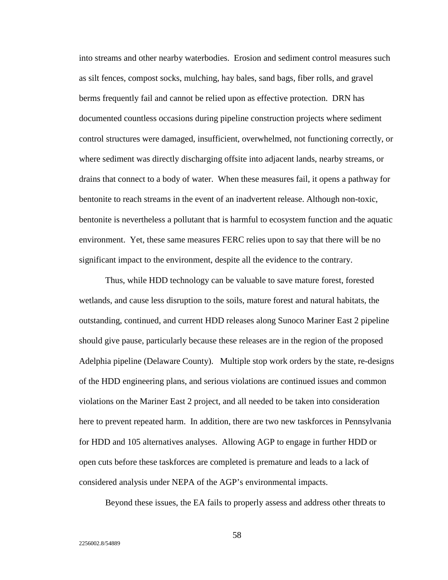into streams and other nearby waterbodies. Erosion and sediment control measures such as silt fences, compost socks, mulching, hay bales, sand bags, fiber rolls, and gravel berms frequently fail and cannot be relied upon as effective protection. DRN has documented countless occasions during pipeline construction projects where sediment control structures were damaged, insufficient, overwhelmed, not functioning correctly, or where sediment was directly discharging offsite into adjacent lands, nearby streams, or drains that connect to a body of water. When these measures fail, it opens a pathway for bentonite to reach streams in the event of an inadvertent release. Although non-toxic, bentonite is nevertheless a pollutant that is harmful to ecosystem function and the aquatic environment. Yet, these same measures FERC relies upon to say that there will be no significant impact to the environment, despite all the evidence to the contrary.

Thus, while HDD technology can be valuable to save mature forest, forested wetlands, and cause less disruption to the soils, mature forest and natural habitats, the outstanding, continued, and current HDD releases along Sunoco Mariner East 2 pipeline should give pause, particularly because these releases are in the region of the proposed Adelphia pipeline (Delaware County). Multiple stop work orders by the state, re-designs of the HDD engineering plans, and serious violations are continued issues and common violations on the Mariner East 2 project, and all needed to be taken into consideration here to prevent repeated harm. In addition, there are two new taskforces in Pennsylvania for HDD and 105 alternatives analyses. Allowing AGP to engage in further HDD or open cuts before these taskforces are completed is premature and leads to a lack of considered analysis under NEPA of the AGP's environmental impacts.

Beyond these issues, the EA fails to properly assess and address other threats to

58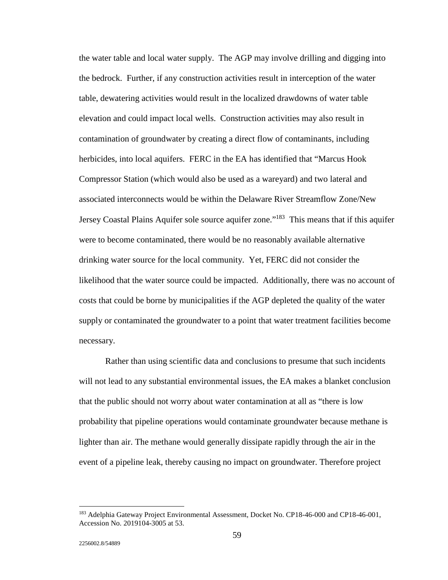the water table and local water supply. The AGP may involve drilling and digging into the bedrock. Further, if any construction activities result in interception of the water table, dewatering activities would result in the localized drawdowns of water table elevation and could impact local wells. Construction activities may also result in contamination of groundwater by creating a direct flow of contaminants, including herbicides, into local aquifers. FERC in the EA has identified that "Marcus Hook Compressor Station (which would also be used as a wareyard) and two lateral and associated interconnects would be within the Delaware River Streamflow Zone/New Jersey Coastal Plains Aquifer sole source aquifer zone."<sup>183</sup> This means that if this aquifer were to become contaminated, there would be no reasonably available alternative drinking water source for the local community. Yet, FERC did not consider the likelihood that the water source could be impacted. Additionally, there was no account of costs that could be borne by municipalities if the AGP depleted the quality of the water supply or contaminated the groundwater to a point that water treatment facilities become necessary.

Rather than using scientific data and conclusions to presume that such incidents will not lead to any substantial environmental issues, the EA makes a blanket conclusion that the public should not worry about water contamination at all as "there is low probability that pipeline operations would contaminate groundwater because methane is lighter than air. The methane would generally dissipate rapidly through the air in the event of a pipeline leak, thereby causing no impact on groundwater. Therefore project

<sup>&</sup>lt;sup>183</sup> Adelphia Gateway Project Environmental Assessment, Docket No. CP18-46-000 and CP18-46-001, Accession No. 2019104-3005 at 53.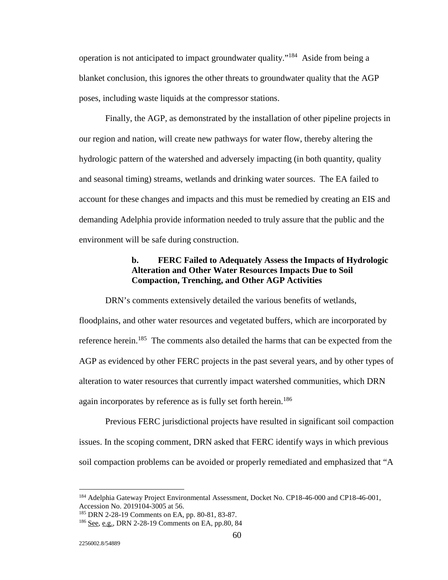operation is not anticipated to impact groundwater quality."184 Aside from being a blanket conclusion, this ignores the other threats to groundwater quality that the AGP poses, including waste liquids at the compressor stations.

Finally, the AGP, as demonstrated by the installation of other pipeline projects in our region and nation, will create new pathways for water flow, thereby altering the hydrologic pattern of the watershed and adversely impacting (in both quantity, quality and seasonal timing) streams, wetlands and drinking water sources. The EA failed to account for these changes and impacts and this must be remedied by creating an EIS and demanding Adelphia provide information needed to truly assure that the public and the environment will be safe during construction.

## **b. FERC Failed to Adequately Assess the Impacts of Hydrologic Alteration and Other Water Resources Impacts Due to Soil Compaction, Trenching, and Other AGP Activities**

 DRN's comments extensively detailed the various benefits of wetlands, floodplains, and other water resources and vegetated buffers, which are incorporated by reference herein.<sup>185</sup> The comments also detailed the harms that can be expected from the AGP as evidenced by other FERC projects in the past several years, and by other types of alteration to water resources that currently impact watershed communities, which DRN again incorporates by reference as is fully set forth herein.<sup>186</sup>

 Previous FERC jurisdictional projects have resulted in significant soil compaction issues. In the scoping comment, DRN asked that FERC identify ways in which previous soil compaction problems can be avoided or properly remediated and emphasized that "A

<sup>&</sup>lt;sup>184</sup> Adelphia Gateway Project Environmental Assessment, Docket No. CP18-46-000 and CP18-46-001, Accession No. 2019104-3005 at 56.<br><sup>185</sup> DRN 2-28-19 Comments on EA, pp. 80-81, 83-87.

<sup>&</sup>lt;sup>186</sup> See, e.g., DRN 2-28-19 Comments on EA, pp.80, 84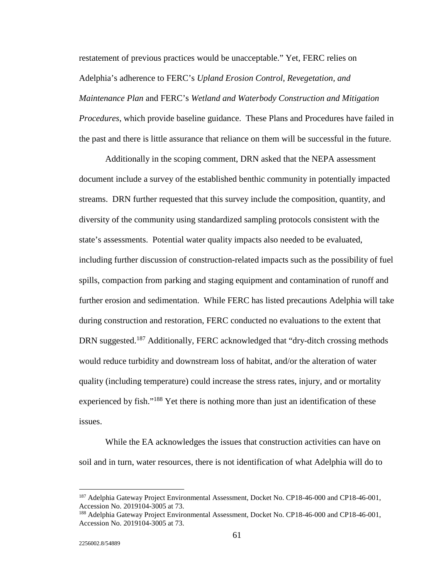restatement of previous practices would be unacceptable." Yet, FERC relies on Adelphia's adherence to FERC's *Upland Erosion Control, Revegetation, and Maintenance Plan* and FERC's *Wetland and Waterbody Construction and Mitigation Procedures*, which provide baseline guidance. These Plans and Procedures have failed in the past and there is little assurance that reliance on them will be successful in the future.

 Additionally in the scoping comment, DRN asked that the NEPA assessment document include a survey of the established benthic community in potentially impacted streams. DRN further requested that this survey include the composition, quantity, and diversity of the community using standardized sampling protocols consistent with the state's assessments. Potential water quality impacts also needed to be evaluated, including further discussion of construction-related impacts such as the possibility of fuel spills, compaction from parking and staging equipment and contamination of runoff and further erosion and sedimentation. While FERC has listed precautions Adelphia will take during construction and restoration, FERC conducted no evaluations to the extent that DRN suggested.<sup>187</sup> Additionally, FERC acknowledged that "dry-ditch crossing methods" would reduce turbidity and downstream loss of habitat, and/or the alteration of water quality (including temperature) could increase the stress rates, injury, and or mortality experienced by fish."<sup>188</sup> Yet there is nothing more than just an identification of these issues.

 While the EA acknowledges the issues that construction activities can have on soil and in turn, water resources, there is not identification of what Adelphia will do to

<sup>&</sup>lt;sup>187</sup> Adelphia Gateway Project Environmental Assessment, Docket No. CP18-46-000 and CP18-46-001, Accession No. 2019104-3005 at 73.

<sup>188</sup> Adelphia Gateway Project Environmental Assessment, Docket No. CP18-46-000 and CP18-46-001, Accession No. 2019104-3005 at 73.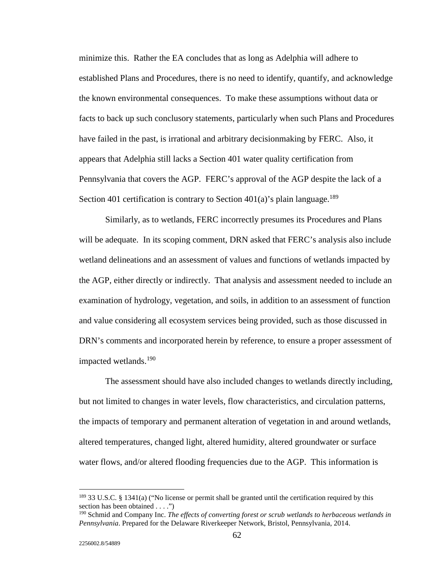minimize this. Rather the EA concludes that as long as Adelphia will adhere to established Plans and Procedures, there is no need to identify, quantify, and acknowledge the known environmental consequences. To make these assumptions without data or facts to back up such conclusory statements, particularly when such Plans and Procedures have failed in the past, is irrational and arbitrary decisionmaking by FERC. Also, it appears that Adelphia still lacks a Section 401 water quality certification from Pennsylvania that covers the AGP. FERC's approval of the AGP despite the lack of a Section 401 certification is contrary to Section 401(a)'s plain language.<sup>189</sup>

 Similarly, as to wetlands, FERC incorrectly presumes its Procedures and Plans will be adequate. In its scoping comment, DRN asked that FERC's analysis also include wetland delineations and an assessment of values and functions of wetlands impacted by the AGP, either directly or indirectly. That analysis and assessment needed to include an examination of hydrology, vegetation, and soils, in addition to an assessment of function and value considering all ecosystem services being provided, such as those discussed in DRN's comments and incorporated herein by reference, to ensure a proper assessment of impacted wetlands.190

 The assessment should have also included changes to wetlands directly including, but not limited to changes in water levels, flow characteristics, and circulation patterns, the impacts of temporary and permanent alteration of vegetation in and around wetlands, altered temperatures, changed light, altered humidity, altered groundwater or surface water flows, and/or altered flooding frequencies due to the AGP. This information is

 $\ddot{ }$ 

 $189$  33 U.S.C. § 1341(a) ("No license or permit shall be granted until the certification required by this section has been obtained . . . ."

<sup>190</sup> Schmid and Company Inc. *The effects of converting forest or scrub wetlands to herbaceous wetlands in Pennsylvania*. Prepared for the Delaware Riverkeeper Network, Bristol, Pennsylvania, 2014.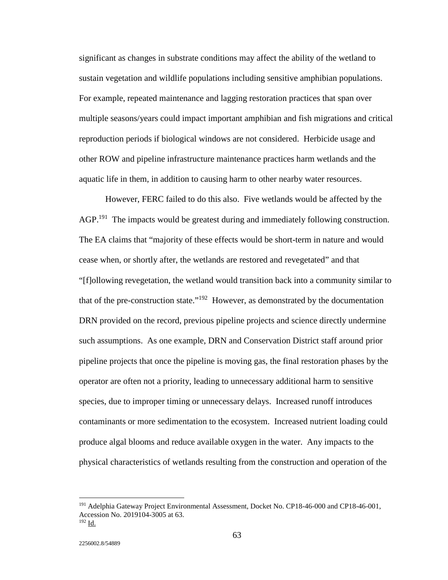significant as changes in substrate conditions may affect the ability of the wetland to sustain vegetation and wildlife populations including sensitive amphibian populations. For example, repeated maintenance and lagging restoration practices that span over multiple seasons/years could impact important amphibian and fish migrations and critical reproduction periods if biological windows are not considered. Herbicide usage and other ROW and pipeline infrastructure maintenance practices harm wetlands and the aquatic life in them, in addition to causing harm to other nearby water resources.

 However, FERC failed to do this also. Five wetlands would be affected by the AGP.<sup>191</sup> The impacts would be greatest during and immediately following construction. The EA claims that "majority of these effects would be short-term in nature and would cease when, or shortly after, the wetlands are restored and revegetated" and that "[f]ollowing revegetation, the wetland would transition back into a community similar to that of the pre-construction state." $192$  However, as demonstrated by the documentation DRN provided on the record, previous pipeline projects and science directly undermine such assumptions. As one example, DRN and Conservation District staff around prior pipeline projects that once the pipeline is moving gas, the final restoration phases by the operator are often not a priority, leading to unnecessary additional harm to sensitive species, due to improper timing or unnecessary delays. Increased runoff introduces contaminants or more sedimentation to the ecosystem. Increased nutrient loading could produce algal blooms and reduce available oxygen in the water. Any impacts to the physical characteristics of wetlands resulting from the construction and operation of the

<sup>&</sup>lt;sup>191</sup> Adelphia Gateway Project Environmental Assessment, Docket No. CP18-46-000 and CP18-46-001, Accession No. 2019104-3005 at 63. 192 Id.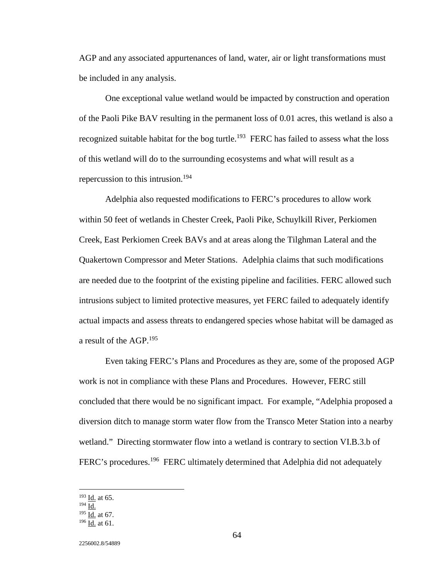AGP and any associated appurtenances of land, water, air or light transformations must be included in any analysis.

 One exceptional value wetland would be impacted by construction and operation of the Paoli Pike BAV resulting in the permanent loss of 0.01 acres, this wetland is also a recognized suitable habitat for the bog turtle.<sup>193</sup> FERC has failed to assess what the loss of this wetland will do to the surrounding ecosystems and what will result as a repercussion to this intrusion.<sup>194</sup>

 Adelphia also requested modifications to FERC's procedures to allow work within 50 feet of wetlands in Chester Creek, Paoli Pike, Schuylkill River, Perkiomen Creek, East Perkiomen Creek BAVs and at areas along the Tilghman Lateral and the Quakertown Compressor and Meter Stations. Adelphia claims that such modifications are needed due to the footprint of the existing pipeline and facilities. FERC allowed such intrusions subject to limited protective measures, yet FERC failed to adequately identify actual impacts and assess threats to endangered species whose habitat will be damaged as a result of the AGP.<sup>195</sup>

 Even taking FERC's Plans and Procedures as they are, some of the proposed AGP work is not in compliance with these Plans and Procedures. However, FERC still concluded that there would be no significant impact. For example, "Adelphia proposed a diversion ditch to manage storm water flow from the Transco Meter Station into a nearby wetland." Directing stormwater flow into a wetland is contrary to section VI.B.3.b of FERC's procedures.<sup>196</sup> FERC ultimately determined that Adelphia did not adequately

 $193$  <u>Id.</u> at 65.

 $194 \overline{Id}$ .

 $195$  Id. at 67.

<sup>196</sup> Id. at 61.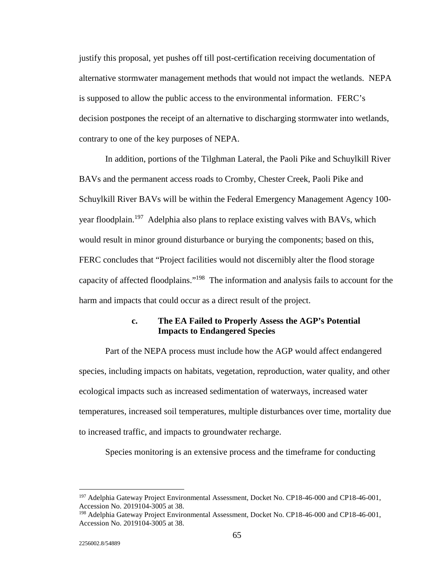justify this proposal, yet pushes off till post-certification receiving documentation of alternative stormwater management methods that would not impact the wetlands. NEPA is supposed to allow the public access to the environmental information. FERC's decision postpones the receipt of an alternative to discharging stormwater into wetlands, contrary to one of the key purposes of NEPA.

 In addition, portions of the Tilghman Lateral, the Paoli Pike and Schuylkill River BAVs and the permanent access roads to Cromby, Chester Creek, Paoli Pike and Schuylkill River BAVs will be within the Federal Emergency Management Agency 100 year floodplain.<sup>197</sup> Adelphia also plans to replace existing valves with BAVs, which would result in minor ground disturbance or burying the components; based on this, FERC concludes that "Project facilities would not discernibly alter the flood storage capacity of affected floodplains."198 The information and analysis fails to account for the harm and impacts that could occur as a direct result of the project.

#### **c. The EA Failed to Properly Assess the AGP's Potential Impacts to Endangered Species**

 Part of the NEPA process must include how the AGP would affect endangered species, including impacts on habitats, vegetation, reproduction, water quality, and other ecological impacts such as increased sedimentation of waterways, increased water temperatures, increased soil temperatures, multiple disturbances over time, mortality due to increased traffic, and impacts to groundwater recharge.

Species monitoring is an extensive process and the timeframe for conducting

 $\ddot{ }$ 

<sup>&</sup>lt;sup>197</sup> Adelphia Gateway Project Environmental Assessment, Docket No. CP18-46-000 and CP18-46-001, Accession No. 2019104-3005 at 38.

<sup>198</sup> Adelphia Gateway Project Environmental Assessment, Docket No. CP18-46-000 and CP18-46-001, Accession No. 2019104-3005 at 38.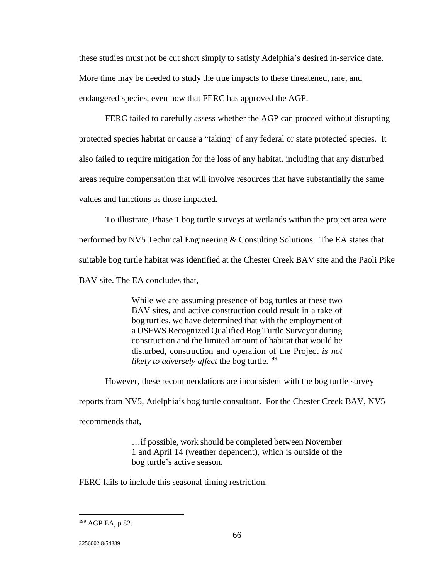these studies must not be cut short simply to satisfy Adelphia's desired in-service date. More time may be needed to study the true impacts to these threatened, rare, and endangered species, even now that FERC has approved the AGP.

 FERC failed to carefully assess whether the AGP can proceed without disrupting protected species habitat or cause a "taking' of any federal or state protected species. It also failed to require mitigation for the loss of any habitat, including that any disturbed areas require compensation that will involve resources that have substantially the same values and functions as those impacted.

 To illustrate, Phase 1 bog turtle surveys at wetlands within the project area were performed by NV5 Technical Engineering & Consulting Solutions. The EA states that suitable bog turtle habitat was identified at the Chester Creek BAV site and the Paoli Pike BAV site. The EA concludes that,

> While we are assuming presence of bog turtles at these two BAV sites, and active construction could result in a take of bog turtles, we have determined that with the employment of a USFWS Recognized Qualified Bog Turtle Surveyor during construction and the limited amount of habitat that would be disturbed, construction and operation of the Project *is not likely to adversely affect* the bog turtle.<sup>199</sup>

However, these recommendations are inconsistent with the bog turtle survey

reports from NV5, Adelphia's bog turtle consultant. For the Chester Creek BAV, NV5

recommends that,

…if possible, work should be completed between November 1 and April 14 (weather dependent), which is outside of the bog turtle's active season.

FERC fails to include this seasonal timing restriction.

2256002.8/54889

 $\ddot{ }$ 

<sup>199</sup> AGP EA, p.82.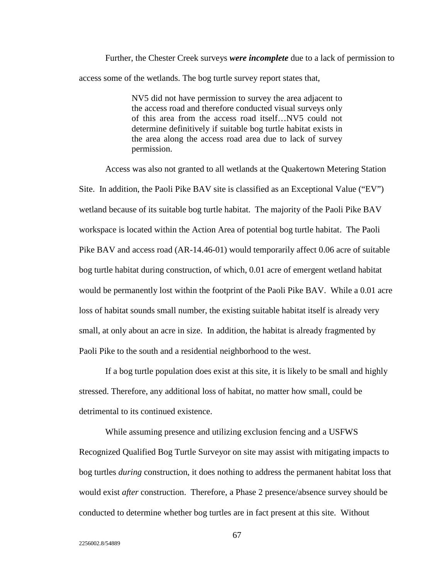Further, the Chester Creek surveys *were incomplete* due to a lack of permission to access some of the wetlands. The bog turtle survey report states that,

> NV5 did not have permission to survey the area adjacent to the access road and therefore conducted visual surveys only of this area from the access road itself…NV5 could not determine definitively if suitable bog turtle habitat exists in the area along the access road area due to lack of survey permission.

 Access was also not granted to all wetlands at the Quakertown Metering Station Site. In addition, the Paoli Pike BAV site is classified as an Exceptional Value ("EV") wetland because of its suitable bog turtle habitat. The majority of the Paoli Pike BAV workspace is located within the Action Area of potential bog turtle habitat. The Paoli Pike BAV and access road (AR-14.46-01) would temporarily affect 0.06 acre of suitable bog turtle habitat during construction, of which, 0.01 acre of emergent wetland habitat would be permanently lost within the footprint of the Paoli Pike BAV. While a 0.01 acre loss of habitat sounds small number, the existing suitable habitat itself is already very small, at only about an acre in size. In addition, the habitat is already fragmented by Paoli Pike to the south and a residential neighborhood to the west.

 If a bog turtle population does exist at this site, it is likely to be small and highly stressed. Therefore, any additional loss of habitat, no matter how small, could be detrimental to its continued existence.

 While assuming presence and utilizing exclusion fencing and a USFWS Recognized Qualified Bog Turtle Surveyor on site may assist with mitigating impacts to bog turtles *during* construction, it does nothing to address the permanent habitat loss that would exist *after* construction. Therefore, a Phase 2 presence/absence survey should be conducted to determine whether bog turtles are in fact present at this site. Without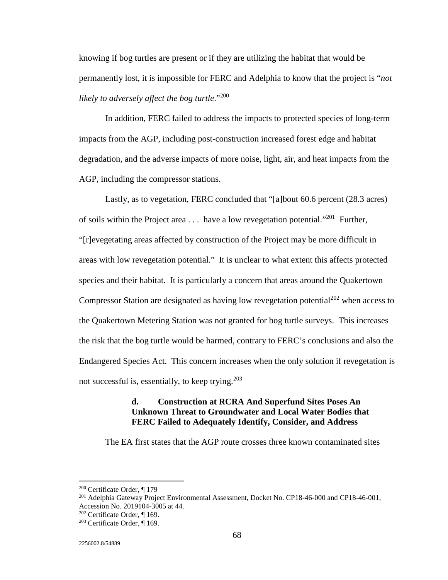knowing if bog turtles are present or if they are utilizing the habitat that would be permanently lost, it is impossible for FERC and Adelphia to know that the project is "*not likely to adversely affect the bog turtle*."200

 In addition, FERC failed to address the impacts to protected species of long-term impacts from the AGP, including post-construction increased forest edge and habitat degradation, and the adverse impacts of more noise, light, air, and heat impacts from the AGP, including the compressor stations.

 Lastly, as to vegetation, FERC concluded that "[a]bout 60.6 percent (28.3 acres) of soils within the Project area  $\dots$  have a low revegetation potential."<sup>201</sup> Further, "[r]evegetating areas affected by construction of the Project may be more difficult in areas with low revegetation potential." It is unclear to what extent this affects protected species and their habitat. It is particularly a concern that areas around the Quakertown Compressor Station are designated as having low revegetation potential<sup>202</sup> when access to the Quakertown Metering Station was not granted for bog turtle surveys. This increases the risk that the bog turtle would be harmed, contrary to FERC's conclusions and also the Endangered Species Act. This concern increases when the only solution if revegetation is not successful is, essentially, to keep trying. $203$ 

#### **d. Construction at RCRA And Superfund Sites Poses An Unknown Threat to Groundwater and Local Water Bodies that FERC Failed to Adequately Identify, Consider, and Address**

The EA first states that the AGP route crosses three known contaminated sites

<u>.</u>

<sup>&</sup>lt;sup>200</sup> Certificate Order, ¶ 179<br><sup>201</sup> Adelphia Gateway Project Environmental Assessment, Docket No. CP18-46-000 and CP18-46-001, Accession No. 2019104-3005 at 44.<br><sup>202</sup> Certificate Order, ¶ 169.

 $203$  Certificate Order,  $\P$  169.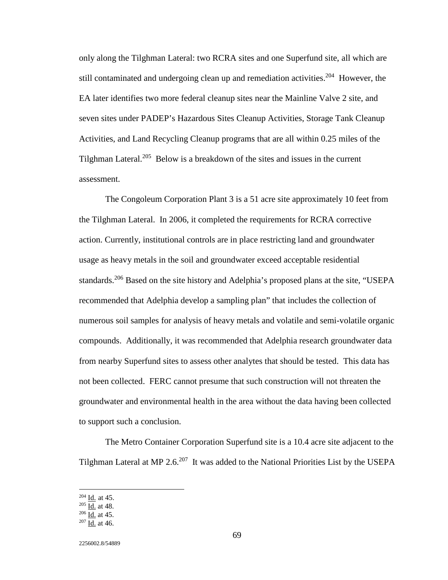only along the Tilghman Lateral: two RCRA sites and one Superfund site, all which are still contaminated and undergoing clean up and remediation activities.<sup>204</sup> However, the EA later identifies two more federal cleanup sites near the Mainline Valve 2 site, and seven sites under PADEP's Hazardous Sites Cleanup Activities, Storage Tank Cleanup Activities, and Land Recycling Cleanup programs that are all within 0.25 miles of the Tilghman Lateral.205 Below is a breakdown of the sites and issues in the current assessment.

 The Congoleum Corporation Plant 3 is a 51 acre site approximately 10 feet from the Tilghman Lateral. In 2006, it completed the requirements for RCRA corrective action. Currently, institutional controls are in place restricting land and groundwater usage as heavy metals in the soil and groundwater exceed acceptable residential standards.<sup>206</sup> Based on the site history and Adelphia's proposed plans at the site, "USEPA recommended that Adelphia develop a sampling plan" that includes the collection of numerous soil samples for analysis of heavy metals and volatile and semi-volatile organic compounds. Additionally, it was recommended that Adelphia research groundwater data from nearby Superfund sites to assess other analytes that should be tested. This data has not been collected. FERC cannot presume that such construction will not threaten the groundwater and environmental health in the area without the data having been collected to support such a conclusion.

 The Metro Container Corporation Superfund site is a 10.4 acre site adjacent to the Tilghman Lateral at MP 2.6.207 It was added to the National Priorities List by the USEPA

 $\ddot{ }$ 

 $\frac{^{204}}{^{205}} \frac{\underline{\text{Id.}}} {\underline{\text{Id.}}}$  at 48.<br>  $\frac{^{206}}{^{207}} \frac{\underline{\text{Id.}}} {\underline{\text{Id.}}}$  at 45.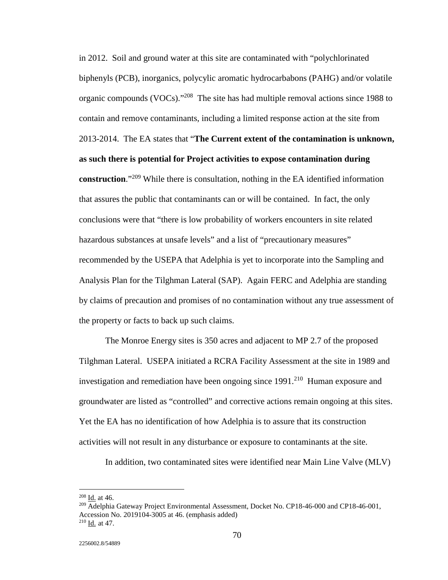in 2012. Soil and ground water at this site are contaminated with "polychlorinated biphenyls (PCB), inorganics, polycylic aromatic hydrocarbabons (PAHG) and/or volatile organic compounds (VOCs)."208 The site has had multiple removal actions since 1988 to contain and remove contaminants, including a limited response action at the site from 2013-2014. The EA states that "**The Current extent of the contamination is unknown, as such there is potential for Project activities to expose contamination during construction**."209 While there is consultation, nothing in the EA identified information that assures the public that contaminants can or will be contained. In fact, the only conclusions were that "there is low probability of workers encounters in site related hazardous substances at unsafe levels" and a list of "precautionary measures" recommended by the USEPA that Adelphia is yet to incorporate into the Sampling and Analysis Plan for the Tilghman Lateral (SAP). Again FERC and Adelphia are standing by claims of precaution and promises of no contamination without any true assessment of the property or facts to back up such claims.

 The Monroe Energy sites is 350 acres and adjacent to MP 2.7 of the proposed Tilghman Lateral. USEPA initiated a RCRA Facility Assessment at the site in 1989 and investigation and remediation have been ongoing since  $1991<sup>210</sup>$  Human exposure and groundwater are listed as "controlled" and corrective actions remain ongoing at this sites. Yet the EA has no identification of how Adelphia is to assure that its construction activities will not result in any disturbance or exposure to contaminants at the site.

In addition, two contaminated sites were identified near Main Line Valve (MLV)

 $208$  Id. at 46.

<sup>&</sup>lt;sup>209</sup> Adelphia Gateway Project Environmental Assessment, Docket No. CP18-46-000 and CP18-46-001, Accession No. 2019104-3005 at 46. (emphasis added)  $210$  Id. at 47.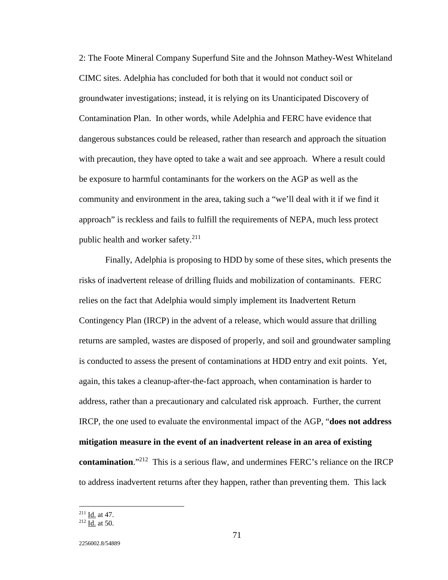2: The Foote Mineral Company Superfund Site and the Johnson Mathey-West Whiteland CIMC sites. Adelphia has concluded for both that it would not conduct soil or groundwater investigations; instead, it is relying on its Unanticipated Discovery of Contamination Plan. In other words, while Adelphia and FERC have evidence that dangerous substances could be released, rather than research and approach the situation with precaution, they have opted to take a wait and see approach. Where a result could be exposure to harmful contaminants for the workers on the AGP as well as the community and environment in the area, taking such a "we'll deal with it if we find it approach" is reckless and fails to fulfill the requirements of NEPA, much less protect public health and worker safety. $211$ 

 Finally, Adelphia is proposing to HDD by some of these sites, which presents the risks of inadvertent release of drilling fluids and mobilization of contaminants. FERC relies on the fact that Adelphia would simply implement its Inadvertent Return Contingency Plan (IRCP) in the advent of a release, which would assure that drilling returns are sampled, wastes are disposed of properly, and soil and groundwater sampling is conducted to assess the present of contaminations at HDD entry and exit points. Yet, again, this takes a cleanup-after-the-fact approach, when contamination is harder to address, rather than a precautionary and calculated risk approach. Further, the current IRCP, the one used to evaluate the environmental impact of the AGP, "**does not address mitigation measure in the event of an inadvertent release in an area of existing contamination**."212 This is a serious flaw, and undermines FERC's reliance on the IRCP to address inadvertent returns after they happen, rather than preventing them. This lack

 $\frac{2^{11}}{10}$  Id. at 47.<br><sup>212</sup> Id. at 50.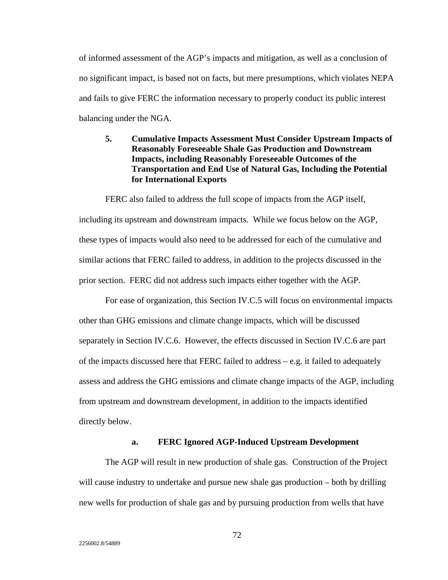of informed assessment of the AGP's impacts and mitigation, as well as a conclusion of no significant impact, is based not on facts, but mere presumptions, which violates NEPA and fails to give FERC the information necessary to properly conduct its public interest balancing under the NGA.

# **5. Cumulative Impacts Assessment Must Consider Upstream Impacts of Reasonably Foreseeable Shale Gas Production and Downstream Impacts, including Reasonably Foreseeable Outcomes of the Transportation and End Use of Natural Gas, Including the Potential for International Exports**

 FERC also failed to address the full scope of impacts from the AGP itself, including its upstream and downstream impacts. While we focus below on the AGP, these types of impacts would also need to be addressed for each of the cumulative and similar actions that FERC failed to address, in addition to the projects discussed in the prior section. FERC did not address such impacts either together with the AGP.

 For ease of organization, this Section IV.C.5 will focus on environmental impacts other than GHG emissions and climate change impacts, which will be discussed separately in Section IV.C.6. However, the effects discussed in Section IV.C.6 are part of the impacts discussed here that FERC failed to address – e.g. it failed to adequately assess and address the GHG emissions and climate change impacts of the AGP, including from upstream and downstream development, in addition to the impacts identified directly below.

#### **a. FERC Ignored AGP-Induced Upstream Development**

 The AGP will result in new production of shale gas. Construction of the Project will cause industry to undertake and pursue new shale gas production – both by drilling new wells for production of shale gas and by pursuing production from wells that have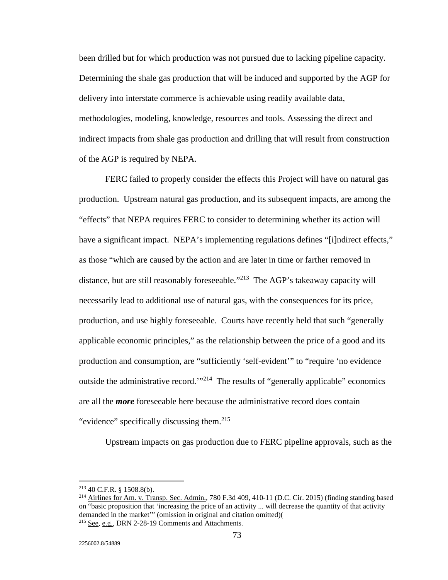been drilled but for which production was not pursued due to lacking pipeline capacity. Determining the shale gas production that will be induced and supported by the AGP for delivery into interstate commerce is achievable using readily available data, methodologies, modeling, knowledge, resources and tools. Assessing the direct and indirect impacts from shale gas production and drilling that will result from construction of the AGP is required by NEPA.

 FERC failed to properly consider the effects this Project will have on natural gas production. Upstream natural gas production, and its subsequent impacts, are among the "effects" that NEPA requires FERC to consider to determining whether its action will have a significant impact. NEPA's implementing regulations defines "[i]ndirect effects," as those "which are caused by the action and are later in time or farther removed in distance, but are still reasonably foreseeable."213 The AGP's takeaway capacity will necessarily lead to additional use of natural gas, with the consequences for its price, production, and use highly foreseeable. Courts have recently held that such "generally applicable economic principles," as the relationship between the price of a good and its production and consumption, are "sufficiently 'self-evident'" to "require 'no evidence outside the administrative record.<sup>'"214</sup> The results of "generally applicable" economics are all the *more* foreseeable here because the administrative record does contain "evidence" specifically discussing them.<sup>215</sup>

Upstream impacts on gas production due to FERC pipeline approvals, such as the

<u>.</u>

<sup>&</sup>lt;sup>213</sup> 40 C.F.R. § 1508.8(b).<br><sup>214</sup> Airlines for Am. v. Transp. Sec. Admin., 780 F.3d 409, 410-11 (D.C. Cir. 2015) (finding standing based on "basic proposition that 'increasing the price of an activity ... will decrease the quantity of that activity demanded in the market'" (omission in original and citation omitted)(

<sup>215</sup> See, e.g., DRN 2-28-19 Comments and Attachments.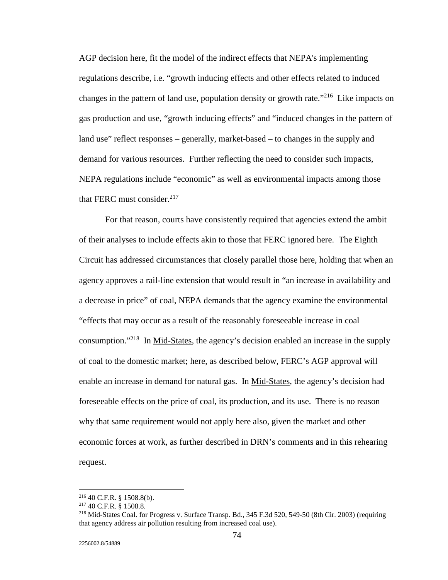AGP decision here, fit the model of the indirect effects that NEPA's implementing regulations describe, i.e. "growth inducing effects and other effects related to induced changes in the pattern of land use, population density or growth rate.<sup> $216$ </sup> Like impacts on gas production and use, "growth inducing effects" and "induced changes in the pattern of land use" reflect responses – generally, market-based – to changes in the supply and demand for various resources. Further reflecting the need to consider such impacts, NEPA regulations include "economic" as well as environmental impacts among those that FERC must consider. $217$ 

 For that reason, courts have consistently required that agencies extend the ambit of their analyses to include effects akin to those that FERC ignored here. The Eighth Circuit has addressed circumstances that closely parallel those here, holding that when an agency approves a rail-line extension that would result in "an increase in availability and a decrease in price" of coal, NEPA demands that the agency examine the environmental "effects that may occur as a result of the reasonably foreseeable increase in coal consumption."<sup>218</sup> In Mid-States, the agency's decision enabled an increase in the supply of coal to the domestic market; here, as described below, FERC's AGP approval will enable an increase in demand for natural gas. In Mid-States, the agency's decision had foreseeable effects on the price of coal, its production, and its use. There is no reason why that same requirement would not apply here also, given the market and other economic forces at work, as further described in DRN's comments and in this rehearing request.

<sup>&</sup>lt;sup>216</sup> 40 C.F.R. § 1508.8(b).<br><sup>217</sup> 40 C.F.R. § 1508.8.<br><sup>218</sup> Mid-States Coal. for Progress v. Surface Transp. Bd., 345 F.3d 520, 549-50 (8th Cir. 2003) (requiring that agency address air pollution resulting from increased coal use).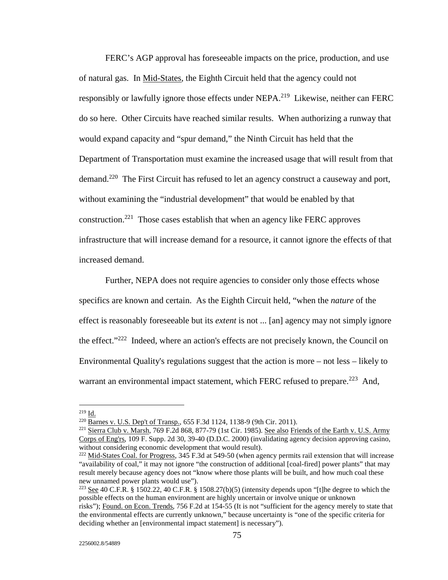FERC's AGP approval has foreseeable impacts on the price, production, and use of natural gas. In Mid-States*,* the Eighth Circuit held that the agency could not responsibly or lawfully ignore those effects under NEPA.<sup>219</sup> Likewise, neither can FERC do so here. Other Circuits have reached similar results. When authorizing a runway that would expand capacity and "spur demand," the Ninth Circuit has held that the Department of Transportation must examine the increased usage that will result from that demand.<sup>220</sup> The First Circuit has refused to let an agency construct a causeway and port, without examining the "industrial development" that would be enabled by that construction.<sup>221</sup> Those cases establish that when an agency like FERC approves infrastructure that will increase demand for a resource, it cannot ignore the effects of that increased demand.

 Further, NEPA does not require agencies to consider only those effects whose specifics are known and certain. As the Eighth Circuit held, "when the *nature* of the effect is reasonably foreseeable but its *extent* is not ... [an] agency may not simply ignore the effect."222 Indeed, where an action's effects are not precisely known, the Council on Environmental Quality's regulations suggest that the action is more – not less – likely to warrant an environmental impact statement, which FERC refused to prepare.<sup>223</sup> And,

 $219$  Id.

<sup>&</sup>lt;sup>220</sup> Barnes v. U.S. Dep't of Transp., 655 F.3d 1124, 1138-9 (9th Cir. 2011).<br><sup>221</sup> Sierra Club v. Marsh, 769 F.2d 868, 877-79 (1st Cir. 1985). <u>See also Friends of the Earth v. U.S. Army</u> Corps of Eng'rs, 109 F. Supp. 2d 30, 39-40 (D.D.C. 2000) (invalidating agency decision approving casino, without considering economic development that would result).

<sup>&</sup>lt;sup>222</sup> Mid-States Coal. for Progress, 345 F.3d at 549-50 (when agency permits rail extension that will increase "availability of coal," it may not ignore "the construction of additional [coal-fired] power plants" that may result merely because agency does not "know where those plants will be built, and how much coal these new unnamed power plants would use").

<sup>&</sup>lt;sup>223</sup> See 40 C.F.R. § 1502.22, 40 C.F.R. § 1508.27(b)(5) (intensity depends upon "[t]he degree to which the possible effects on the human environment are highly uncertain or involve unique or unknown risks"); Found. on Econ. Trends, 756 F.2d at 154-55 (It is not "sufficient for the agency merely to state that the environmental effects are currently unknown," because uncertainty is "one of the specific criteria for deciding whether an [environmental impact statement] is necessary").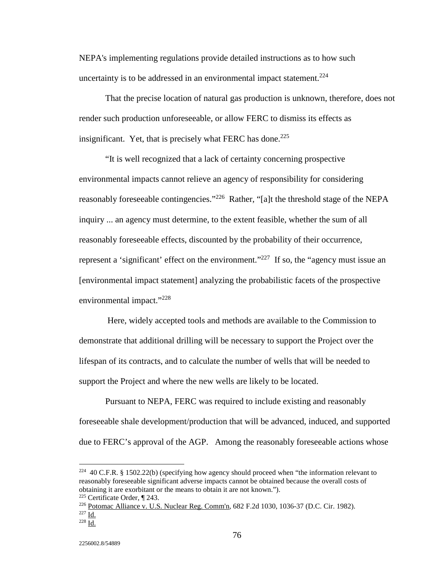NEPA's implementing regulations provide detailed instructions as to how such uncertainty is to be addressed in an environmental impact statement.<sup>224</sup>

 That the precise location of natural gas production is unknown, therefore, does not render such production unforeseeable, or allow FERC to dismiss its effects as insignificant. Yet, that is precisely what FERC has done.<sup>225</sup>

 "It is well recognized that a lack of certainty concerning prospective environmental impacts cannot relieve an agency of responsibility for considering reasonably foreseeable contingencies."<sup>226</sup> Rather, "[a]t the threshold stage of the NEPA inquiry ... an agency must determine, to the extent feasible, whether the sum of all reasonably foreseeable effects, discounted by the probability of their occurrence, represent a 'significant' effect on the environment."<sup>227</sup> If so, the "agency must issue an [environmental impact statement] analyzing the probabilistic facets of the prospective environmental impact."228

Here, widely accepted tools and methods are available to the Commission to demonstrate that additional drilling will be necessary to support the Project over the lifespan of its contracts, and to calculate the number of wells that will be needed to support the Project and where the new wells are likely to be located.

 Pursuant to NEPA, FERC was required to include existing and reasonably foreseeable shale development/production that will be advanced, induced, and supported due to FERC's approval of the AGP. Among the reasonably foreseeable actions whose

<sup>&</sup>lt;sup>224</sup> 40 C.F.R. § 1502.22(b) (specifying how agency should proceed when "the information relevant to reasonably foreseeable significant adverse impacts cannot be obtained because the overall costs of obtaining it are exorbitant or the means to obtain it are not known.").

<sup>&</sup>lt;sup>225</sup> Certificate Order, ¶ 243.<br><sup>226</sup> <u>Potomac Alliance v. U.S. Nuclear Reg. Comm'n</u>, 682 F.2d 1030, 1036-37 (D.C. Cir. 1982).<br><sup>227</sup> Id. <sup>228</sup> Id.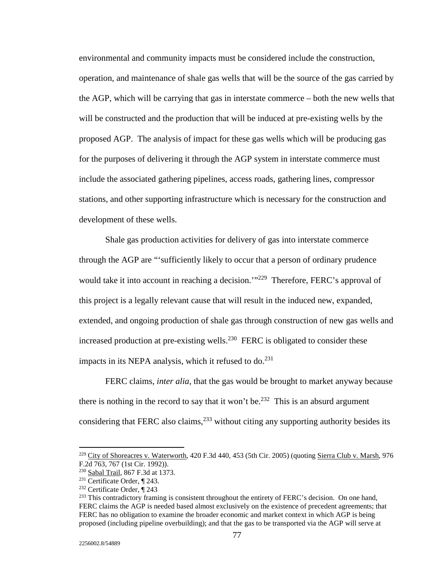environmental and community impacts must be considered include the construction, operation, and maintenance of shale gas wells that will be the source of the gas carried by the AGP, which will be carrying that gas in interstate commerce – both the new wells that will be constructed and the production that will be induced at pre-existing wells by the proposed AGP. The analysis of impact for these gas wells which will be producing gas for the purposes of delivering it through the AGP system in interstate commerce must include the associated gathering pipelines, access roads, gathering lines, compressor stations, and other supporting infrastructure which is necessary for the construction and development of these wells.

 Shale gas production activities for delivery of gas into interstate commerce through the AGP are "'sufficiently likely to occur that a person of ordinary prudence would take it into account in reaching a decision.'"<sup>229</sup> Therefore, FERC's approval of this project is a legally relevant cause that will result in the induced new, expanded, extended, and ongoing production of shale gas through construction of new gas wells and increased production at pre-existing wells.<sup>230</sup> FERC is obligated to consider these impacts in its NEPA analysis, which it refused to  $do.<sup>231</sup>$ 

 FERC claims, *inter alia*, that the gas would be brought to market anyway because there is nothing in the record to say that it won't be.<sup>232</sup> This is an absurd argument considering that FERC also claims, $^{233}$  without citing any supporting authority besides its

<sup>&</sup>lt;sup>229</sup> City of Shoreacres v. Waterworth, 420 F.3d 440, 453 (5th Cir. 2005) (quoting Sierra Club v. Marsh, 976 F.2d 763, 767 (1st Cir. 1992)).<br><sup>230</sup> Sabal Trail, 867 F.3d at 1373.

<sup>&</sup>lt;sup>231</sup> Certificate Order, ¶ 243.<br><sup>232</sup> Certificate Order, ¶ 243<br><sup>233</sup> This contradictory framing is consistent throughout the entirety of FERC's decision. On one hand, FERC claims the AGP is needed based almost exclusively on the existence of precedent agreements; that FERC has no obligation to examine the broader economic and market context in which AGP is being proposed (including pipeline overbuilding); and that the gas to be transported via the AGP will serve at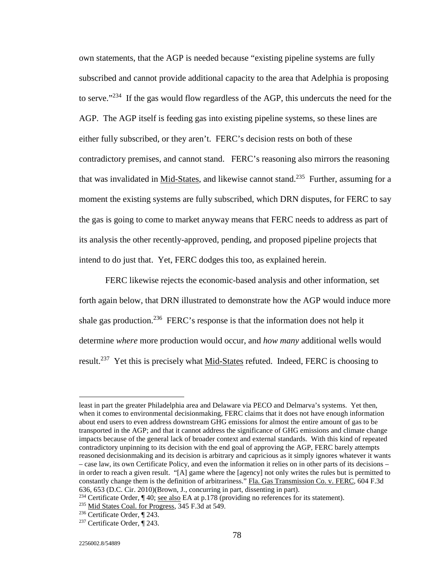own statements, that the AGP is needed because "existing pipeline systems are fully subscribed and cannot provide additional capacity to the area that Adelphia is proposing to serve."<sup>234</sup> If the gas would flow regardless of the AGP, this undercuts the need for the AGP. The AGP itself is feeding gas into existing pipeline systems, so these lines are either fully subscribed, or they aren't. FERC's decision rests on both of these contradictory premises, and cannot stand. FERC's reasoning also mirrors the reasoning that was invalidated in Mid-States, and likewise cannot stand.<sup>235</sup> Further, assuming for a moment the existing systems are fully subscribed, which DRN disputes, for FERC to say the gas is going to come to market anyway means that FERC needs to address as part of its analysis the other recently-approved, pending, and proposed pipeline projects that intend to do just that. Yet, FERC dodges this too, as explained herein.

 FERC likewise rejects the economic-based analysis and other information, set forth again below, that DRN illustrated to demonstrate how the AGP would induce more shale gas production.<sup>236</sup> FERC's response is that the information does not help it determine *where* more production would occur, and *how many* additional wells would result.237 Yet this is precisely what Mid-States refuted. Indeed, FERC is choosing to

least in part the greater Philadelphia area and Delaware via PECO and Delmarva's systems. Yet then, when it comes to environmental decisionmaking, FERC claims that it does not have enough information about end users to even address downstream GHG emissions for almost the entire amount of gas to be transported in the AGP; and that it cannot address the significance of GHG emissions and climate change impacts because of the general lack of broader context and external standards. With this kind of repeated contradictory unpinning to its decision with the end goal of approving the AGP, FERC barely attempts reasoned decisionmaking and its decision is arbitrary and capricious as it simply ignores whatever it wants – case law, its own Certificate Policy, and even the information it relies on in other parts of its decisions – in order to reach a given result. "[A] game where the [agency] not only writes the rules but is permitted to constantly change them is the definition of arbitrariness." Fla. Gas Transmission Co. v. FERC, 604 F.3d 636, 653 (D.C. Cir. 2010)(Brown, J., concurring in part, dissenting in part).

<sup>&</sup>lt;sup>234</sup> Certificate Order, ¶ 40; <u>see also</u> EA at p.178 (providing no references for its statement).<br><sup>235</sup> <u>Mid States Coal. for Progress</u>, 345 F.3d at 549.<br><sup>236</sup> Certificate Order, ¶ 243.<br><sup>237</sup> Certificate Order, ¶ 243.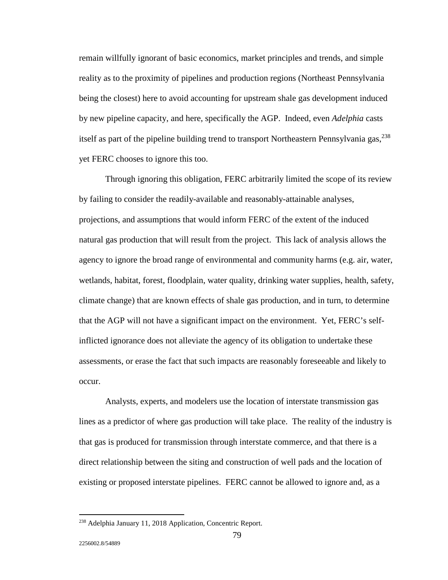remain willfully ignorant of basic economics, market principles and trends, and simple reality as to the proximity of pipelines and production regions (Northeast Pennsylvania being the closest) here to avoid accounting for upstream shale gas development induced by new pipeline capacity, and here, specifically the AGP. Indeed, even *Adelphia* casts itself as part of the pipeline building trend to transport Northeastern Pennsylvania gas,  $^{238}$ yet FERC chooses to ignore this too.

 Through ignoring this obligation, FERC arbitrarily limited the scope of its review by failing to consider the readily-available and reasonably-attainable analyses, projections, and assumptions that would inform FERC of the extent of the induced natural gas production that will result from the project. This lack of analysis allows the agency to ignore the broad range of environmental and community harms (e.g. air, water, wetlands, habitat, forest, floodplain, water quality, drinking water supplies, health, safety, climate change) that are known effects of shale gas production, and in turn, to determine that the AGP will not have a significant impact on the environment. Yet, FERC's selfinflicted ignorance does not alleviate the agency of its obligation to undertake these assessments, or erase the fact that such impacts are reasonably foreseeable and likely to occur.

 Analysts, experts, and modelers use the location of interstate transmission gas lines as a predictor of where gas production will take place. The reality of the industry is that gas is produced for transmission through interstate commerce, and that there is a direct relationship between the siting and construction of well pads and the location of existing or proposed interstate pipelines. FERC cannot be allowed to ignore and, as a

<sup>&</sup>lt;sup>238</sup> Adelphia January 11, 2018 Application, Concentric Report.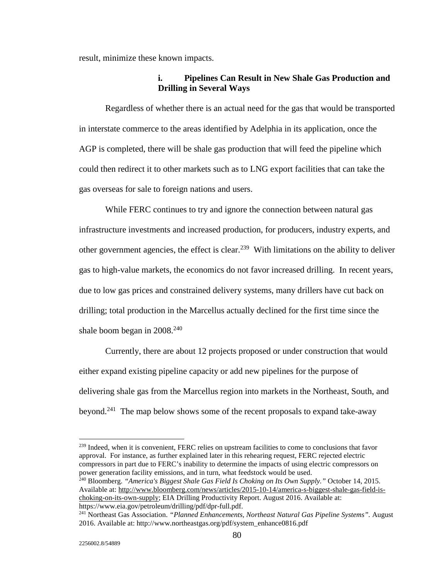result, minimize these known impacts.

#### **i. Pipelines Can Result in New Shale Gas Production and Drilling in Several Ways**

 Regardless of whether there is an actual need for the gas that would be transported in interstate commerce to the areas identified by Adelphia in its application, once the AGP is completed, there will be shale gas production that will feed the pipeline which could then redirect it to other markets such as to LNG export facilities that can take the gas overseas for sale to foreign nations and users.

 While FERC continues to try and ignore the connection between natural gas infrastructure investments and increased production, for producers, industry experts, and other government agencies, the effect is clear.<sup>239</sup> With limitations on the ability to deliver gas to high-value markets, the economics do not favor increased drilling. In recent years, due to low gas prices and constrained delivery systems, many drillers have cut back on drilling; total production in the Marcellus actually declined for the first time since the shale boom began in 2008.<sup>240</sup>

 Currently, there are about 12 projects proposed or under construction that would either expand existing pipeline capacity or add new pipelines for the purpose of delivering shale gas from the Marcellus region into markets in the Northeast, South, and beyond.<sup>241</sup> The map below shows some of the recent proposals to expand take-away

<sup>239</sup> Indeed, when it is convenient, FERC relies on upstream facilities to come to conclusions that favor approval. For instance, as further explained later in this rehearing request, FERC rejected electric compressors in part due to FERC's inability to determine the impacts of using electric compressors on power generation facility emissions, and in turn, what feedstock would be used.

240 Bloomberg. *"America's Biggest Shale Gas Field Is Choking on Its Own Supply."* October 14, 2015. Available at: http://www.bloomberg.com/news/articles/2015-10-14/america-s-biggest-shale-gas-field-ischoking-on-its-own-supply; EIA Drilling Productivity Report. August 2016. Available at: https://www.eia.gov/petroleum/drilling/pdf/dpr-full.pdf.

<sup>241</sup> Northeast Gas Association. *"Planned Enhancements, Northeast Natural Gas Pipeline Systems".* August 2016. Available at: http://www.northeastgas.org/pdf/system\_enhance0816.pdf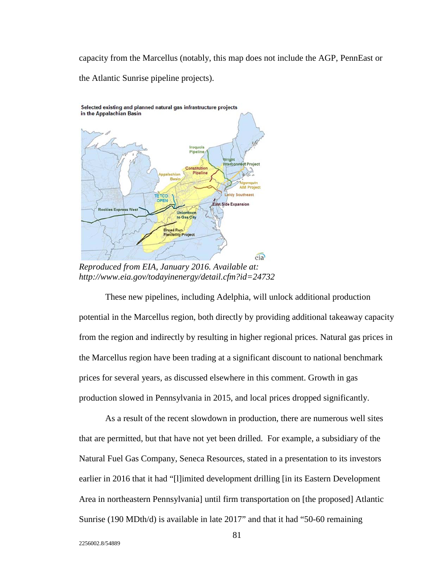capacity from the Marcellus (notably, this map does not include the AGP, PennEast or the Atlantic Sunrise pipeline projects).



*Reproduced from EIA, January 2016. Available at: http://www.eia.gov/todayinenergy/detail.cfm?id=24732*

 These new pipelines, including Adelphia, will unlock additional production potential in the Marcellus region, both directly by providing additional takeaway capacity from the region and indirectly by resulting in higher regional prices. Natural gas prices in the Marcellus region have been trading at a significant discount to national benchmark prices for several years, as discussed elsewhere in this comment. Growth in gas production slowed in Pennsylvania in 2015, and local prices dropped significantly.

 As a result of the recent slowdown in production, there are numerous well sites that are permitted, but that have not yet been drilled. For example, a subsidiary of the Natural Fuel Gas Company, Seneca Resources, stated in a presentation to its investors earlier in 2016 that it had "[l]imited development drilling [in its Eastern Development Area in northeastern Pennsylvania] until firm transportation on [the proposed] Atlantic Sunrise (190 MDth/d) is available in late 2017" and that it had "50-60 remaining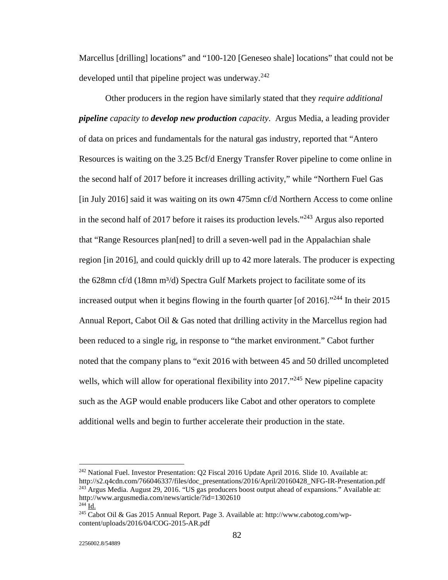Marcellus [drilling] locations" and "100-120 [Geneseo shale] locations" that could not be developed until that pipeline project was underway.<sup>242</sup>

 Other producers in the region have similarly stated that they *require additional pipeline capacity to develop new production capacity*. Argus Media, a leading provider of data on prices and fundamentals for the natural gas industry, reported that "Antero Resources is waiting on the 3.25 Bcf/d Energy Transfer Rover pipeline to come online in the second half of 2017 before it increases drilling activity," while "Northern Fuel Gas [in July 2016] said it was waiting on its own 475mn cf/d Northern Access to come online in the second half of 2017 before it raises its production levels."<sup>243</sup> Argus also reported that "Range Resources plan[ned] to drill a seven-well pad in the Appalachian shale region [in 2016], and could quickly drill up to 42 more laterals. The producer is expecting the 628mn cf/d (18mn  $m^3/d$ ) Spectra Gulf Markets project to facilitate some of its increased output when it begins flowing in the fourth quarter [of 2016]."244 In their 2015 Annual Report, Cabot Oil  $\&$  Gas noted that drilling activity in the Marcellus region had been reduced to a single rig, in response to "the market environment." Cabot further noted that the company plans to "exit 2016 with between 45 and 50 drilled uncompleted wells, which will allow for operational flexibility into  $2017.^{245}$  New pipeline capacity such as the AGP would enable producers like Cabot and other operators to complete additional wells and begin to further accelerate their production in the state.

<sup>&</sup>lt;sup>242</sup> National Fuel. Investor Presentation: Q2 Fiscal 2016 Update April 2016. Slide 10. Available at: http://s2.q4cdn.com/766046337/files/doc\_presentations/2016/April/20160428\_NFG-IR-Presentation.pdf

<sup>243</sup> Argus Media. August 29, 2016. "US gas producers boost output ahead of expansions." Available at: http://www.argusmedia.com/news/article/?id=1302610

<sup>&</sup>lt;sup>245</sup> Cabot Oil & Gas 2015 Annual Report. Page 3. Available at: http://www.cabotog.com/wpcontent/uploads/2016/04/COG-2015-AR.pdf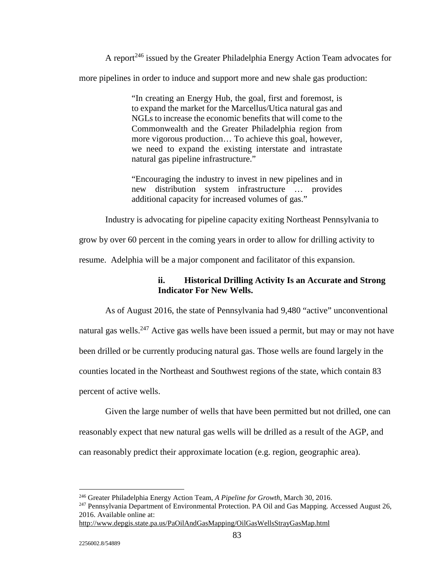A report<sup>246</sup> issued by the Greater Philadelphia Energy Action Team advocates for more pipelines in order to induce and support more and new shale gas production:

> "In creating an Energy Hub, the goal, first and foremost, is to expand the market for the Marcellus/Utica natural gas and NGLs to increase the economic benefits that will come to the Commonwealth and the Greater Philadelphia region from more vigorous production… To achieve this goal, however, we need to expand the existing interstate and intrastate natural gas pipeline infrastructure."

> "Encouraging the industry to invest in new pipelines and in new distribution system infrastructure … provides additional capacity for increased volumes of gas."

Industry is advocating for pipeline capacity exiting Northeast Pennsylvania to

grow by over 60 percent in the coming years in order to allow for drilling activity to

resume. Adelphia will be a major component and facilitator of this expansion.

## **ii. Historical Drilling Activity Is an Accurate and Strong Indicator For New Wells.**

 As of August 2016, the state of Pennsylvania had 9,480 "active" unconventional natural gas wells.<sup>247</sup> Active gas wells have been issued a permit, but may or may not have been drilled or be currently producing natural gas. Those wells are found largely in the counties located in the Northeast and Southwest regions of the state, which contain 83 percent of active wells.

 Given the large number of wells that have been permitted but not drilled, one can reasonably expect that new natural gas wells will be drilled as a result of the AGP, and can reasonably predict their approximate location (e.g. region, geographic area).

<sup>&</sup>lt;sup>246</sup> Greater Philadelphia Energy Action Team, A Pipeline for Growth, March 30, 2016.

<sup>&</sup>lt;sup>247</sup> Pennsylvania Department of Environmental Protection. PA Oil and Gas Mapping. Accessed August 26, 2016. Available online at:

http://www.depgis.state.pa.us/PaOilAndGasMapping/OilGasWellsStrayGasMap.html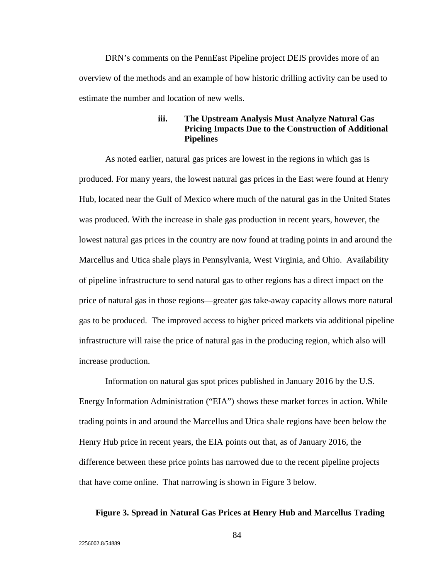DRN's comments on the PennEast Pipeline project DEIS provides more of an overview of the methods and an example of how historic drilling activity can be used to estimate the number and location of new wells.

## **iii. The Upstream Analysis Must Analyze Natural Gas Pricing Impacts Due to the Construction of Additional Pipelines**

 As noted earlier, natural gas prices are lowest in the regions in which gas is produced. For many years, the lowest natural gas prices in the East were found at Henry Hub, located near the Gulf of Mexico where much of the natural gas in the United States was produced. With the increase in shale gas production in recent years, however, the lowest natural gas prices in the country are now found at trading points in and around the Marcellus and Utica shale plays in Pennsylvania, West Virginia, and Ohio. Availability of pipeline infrastructure to send natural gas to other regions has a direct impact on the price of natural gas in those regions—greater gas take-away capacity allows more natural gas to be produced. The improved access to higher priced markets via additional pipeline infrastructure will raise the price of natural gas in the producing region, which also will increase production.

 Information on natural gas spot prices published in January 2016 by the U.S. Energy Information Administration ("EIA") shows these market forces in action. While trading points in and around the Marcellus and Utica shale regions have been below the Henry Hub price in recent years, the EIA points out that, as of January 2016, the difference between these price points has narrowed due to the recent pipeline projects that have come online. That narrowing is shown in Figure 3 below.

#### **Figure 3. Spread in Natural Gas Prices at Henry Hub and Marcellus Trading**

2256002.8/54889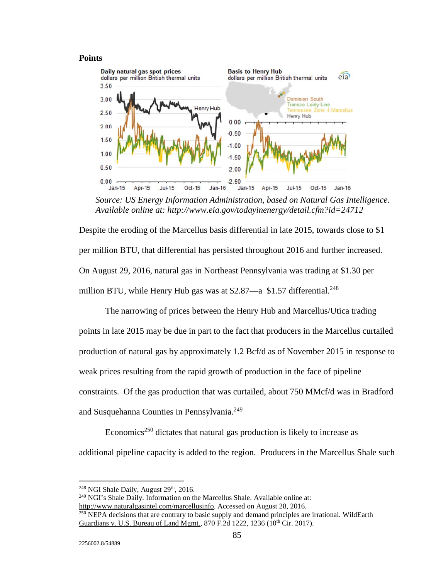#### **Points**



*Source: US Energy Information Administration, based on Natural Gas Intelligence. Available online at: http://www.eia.gov/todayinenergy/detail.cfm?id=24712* 

Despite the eroding of the Marcellus basis differential in late 2015, towards close to \$1 per million BTU, that differential has persisted throughout 2016 and further increased. On August 29, 2016, natural gas in Northeast Pennsylvania was trading at \$1.30 per million BTU, while Henry Hub gas was at  $$2.87$ —a  $$1.57$  differential.<sup>248</sup>

 The narrowing of prices between the Henry Hub and Marcellus/Utica trading points in late 2015 may be due in part to the fact that producers in the Marcellus curtailed production of natural gas by approximately 1.2 Bcf/d as of November 2015 in response to weak prices resulting from the rapid growth of production in the face of pipeline constraints. Of the gas production that was curtailed, about 750 MMcf/d was in Bradford and Susquehanna Counties in Pennsylvania.<sup>249</sup>

Economics<sup>250</sup> dictates that natural gas production is likely to increase as additional pipeline capacity is added to the region. Producers in the Marcellus Shale such

<u>.</u>

 $248$  NGI Shale Daily, August  $29<sup>th</sup>$ , 2016.

<sup>&</sup>lt;sup>249</sup> NGI's Shale Daily. Information on the Marcellus Shale. Available online at: http://www.naturalgasintel.com/marcellusinfo. Accessed on August 28, 2016.

<sup>&</sup>lt;sup>250</sup> NEPA decisions that are contrary to basic supply and demand principles are irrational. WildEarth Guardians v. U.S. Bureau of Land Mgmt., 870 F.2d 1222, 1236 (10<sup>th</sup> Cir. 2017).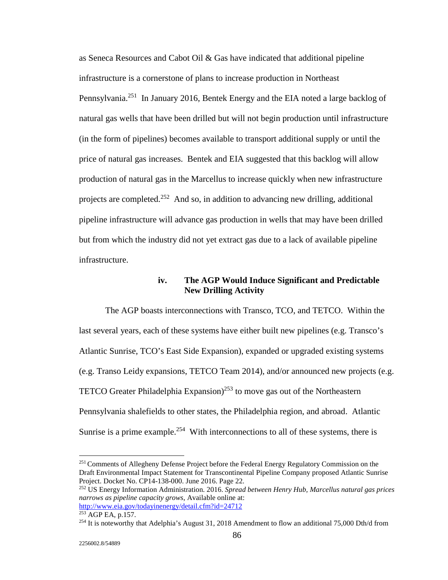as Seneca Resources and Cabot Oil & Gas have indicated that additional pipeline infrastructure is a cornerstone of plans to increase production in Northeast Pennsylvania.<sup>251</sup> In January 2016, Bentek Energy and the EIA noted a large backlog of natural gas wells that have been drilled but will not begin production until infrastructure (in the form of pipelines) becomes available to transport additional supply or until the price of natural gas increases. Bentek and EIA suggested that this backlog will allow production of natural gas in the Marcellus to increase quickly when new infrastructure projects are completed.<sup>252</sup> And so, in addition to advancing new drilling, additional pipeline infrastructure will advance gas production in wells that may have been drilled but from which the industry did not yet extract gas due to a lack of available pipeline infrastructure.

#### **iv. The AGP Would Induce Significant and Predictable New Drilling Activity**

 The AGP boasts interconnections with Transco, TCO, and TETCO. Within the last several years, each of these systems have either built new pipelines (e.g. Transco's Atlantic Sunrise, TCO's East Side Expansion), expanded or upgraded existing systems (e.g. Transo Leidy expansions, TETCO Team 2014), and/or announced new projects (e.g. TETCO Greater Philadelphia Expansion)<sup>253</sup> to move gas out of the Northeastern Pennsylvania shalefields to other states, the Philadelphia region, and abroad. Atlantic Sunrise is a prime example.<sup>254</sup> With interconnections to all of these systems, there is

<sup>&</sup>lt;sup>251</sup> Comments of Allegheny Defense Project before the Federal Energy Regulatory Commission on the Draft Environmental Impact Statement for Transcontinental Pipeline Company proposed Atlantic Sunrise Project. Docket No. CP14-138-000. June 2016. Page 22.

<sup>252</sup> US Energy Information Administration. 2016. *Spread between Henry Hub, Marcellus natural gas prices narrows as pipeline capacity grows*, Available online at:

<sup>&</sup>lt;sup>253</sup> AGP EA, p.157. <sup>254</sup> It is noteworthy that Adelphia's August 31, 2018 Amendment to flow an additional 75,000 Dth/d from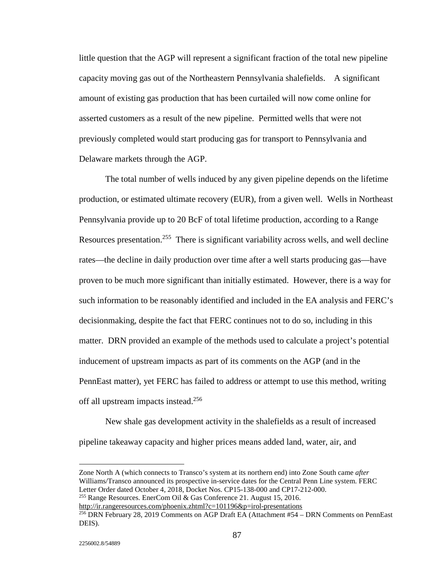little question that the AGP will represent a significant fraction of the total new pipeline capacity moving gas out of the Northeastern Pennsylvania shalefields. A significant amount of existing gas production that has been curtailed will now come online for asserted customers as a result of the new pipeline. Permitted wells that were not previously completed would start producing gas for transport to Pennsylvania and Delaware markets through the AGP.

 The total number of wells induced by any given pipeline depends on the lifetime production, or estimated ultimate recovery (EUR), from a given well. Wells in Northeast Pennsylvania provide up to 20 BcF of total lifetime production, according to a Range Resources presentation.<sup>255</sup> There is significant variability across wells, and well decline rates—the decline in daily production over time after a well starts producing gas—have proven to be much more significant than initially estimated. However, there is a way for such information to be reasonably identified and included in the EA analysis and FERC's decisionmaking, despite the fact that FERC continues not to do so, including in this matter. DRN provided an example of the methods used to calculate a project's potential inducement of upstream impacts as part of its comments on the AGP (and in the PennEast matter), yet FERC has failed to address or attempt to use this method, writing off all upstream impacts instead.<sup>256</sup>

 New shale gas development activity in the shalefields as a result of increased pipeline takeaway capacity and higher prices means added land, water, air, and

Zone North A (which connects to Transco's system at its northern end) into Zone South came *after* Williams/Transco announced its prospective in-service dates for the Central Penn Line system. FERC Letter Order dated October 4, 2018, Docket Nos. CP15-138-000 and CP17-212-000.

<sup>255</sup> Range Resources. EnerCom Oil & Gas Conference 21. August 15, 2016.<br>http://ir.rangeresources.com/phoenix.zhtml?c=101196&p=irol-presentations

 $\frac{256}{256}$  DRN February 28, 2019 Comments on AGP Draft EA (Attachment #54 – DRN Comments on PennEast DEIS).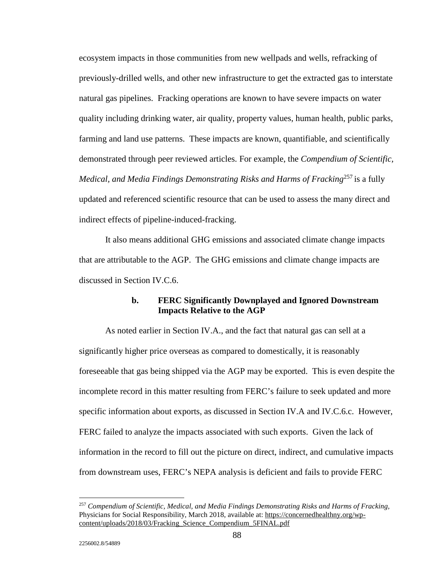ecosystem impacts in those communities from new wellpads and wells, refracking of previously-drilled wells, and other new infrastructure to get the extracted gas to interstate natural gas pipelines. Fracking operations are known to have severe impacts on water quality including drinking water, air quality, property values, human health, public parks, farming and land use patterns. These impacts are known, quantifiable, and scientifically demonstrated through peer reviewed articles. For example, the *Compendium of Scientific, Medical, and Media Findings Demonstrating Risks and Harms of Fracking*257 is a fully updated and referenced scientific resource that can be used to assess the many direct and indirect effects of pipeline-induced-fracking.

 It also means additional GHG emissions and associated climate change impacts that are attributable to the AGP. The GHG emissions and climate change impacts are discussed in Section IV.C.6.

## **b. FERC Significantly Downplayed and Ignored Downstream Impacts Relative to the AGP**

 As noted earlier in Section IV.A., and the fact that natural gas can sell at a significantly higher price overseas as compared to domestically, it is reasonably foreseeable that gas being shipped via the AGP may be exported. This is even despite the incomplete record in this matter resulting from FERC's failure to seek updated and more specific information about exports, as discussed in Section IV.A and IV.C.6.c. However, FERC failed to analyze the impacts associated with such exports. Given the lack of information in the record to fill out the picture on direct, indirect, and cumulative impacts from downstream uses, FERC's NEPA analysis is deficient and fails to provide FERC

<sup>257</sup> *Compendium of Scientific, Medical, and Media Findings Demonstrating Risks and Harms of Fracking,* Physicians for Social Responsibility, March 2018, available at: https://concernedhealthny.org/wpcontent/uploads/2018/03/Fracking\_Science\_Compendium\_5FINAL.pdf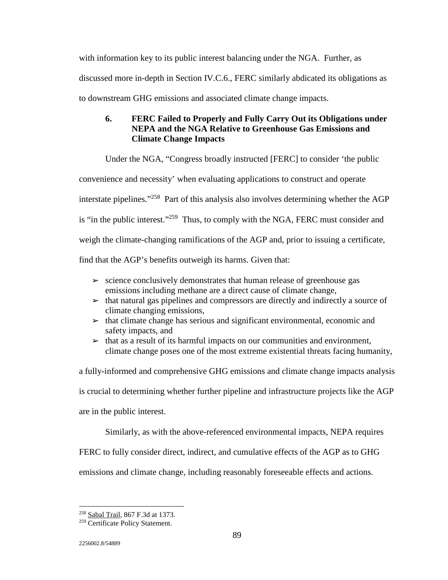with information key to its public interest balancing under the NGA. Further, as discussed more in-depth in Section IV.C.6., FERC similarly abdicated its obligations as to downstream GHG emissions and associated climate change impacts.

# **6. FERC Failed to Properly and Fully Carry Out its Obligations under NEPA and the NGA Relative to Greenhouse Gas Emissions and Climate Change Impacts**

Under the NGA, "Congress broadly instructed [FERC] to consider 'the public

convenience and necessity' when evaluating applications to construct and operate

interstate pipelines."258 Part of this analysis also involves determining whether the AGP

is "in the public interest."259 Thus, to comply with the NGA, FERC must consider and

weigh the climate-changing ramifications of the AGP and, prior to issuing a certificate,

find that the AGP's benefits outweigh its harms. Given that:

- $\geq$  science conclusively demonstrates that human release of greenhouse gas emissions including methane are a direct cause of climate change,
- $\triangleright$  that natural gas pipelines and compressors are directly and indirectly a source of climate changing emissions,
- $\rightarrow$  that climate change has serious and significant environmental, economic and safety impacts, and
- $\triangleright$  that as a result of its harmful impacts on our communities and environment, climate change poses one of the most extreme existential threats facing humanity,

a fully-informed and comprehensive GHG emissions and climate change impacts analysis is crucial to determining whether further pipeline and infrastructure projects like the AGP are in the public interest.

Similarly, as with the above-referenced environmental impacts, NEPA requires

FERC to fully consider direct, indirect, and cumulative effects of the AGP as to GHG

emissions and climate change, including reasonably foreseeable effects and actions.

 $\overline{a}$ 258 Sabal Trail, 867 F.3d at 1373.

<sup>&</sup>lt;sup>259</sup> Certificate Policy Statement.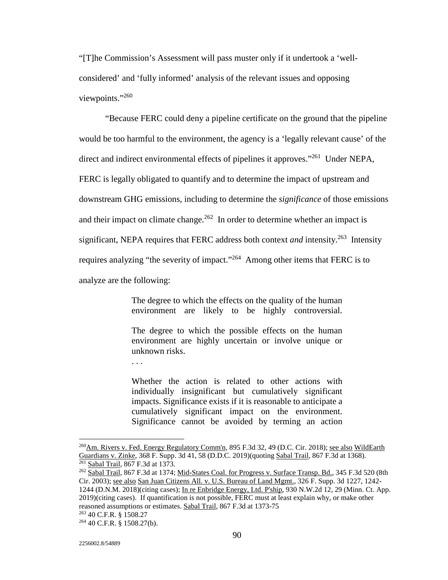"[T]he Commission's Assessment will pass muster only if it undertook a 'wellconsidered' and 'fully informed' analysis of the relevant issues and opposing viewpoints."260

 "Because FERC could deny a pipeline certificate on the ground that the pipeline would be too harmful to the environment, the agency is a 'legally relevant cause' of the direct and indirect environmental effects of pipelines it approves."261 Under NEPA, FERC is legally obligated to quantify and to determine the impact of upstream and downstream GHG emissions, including to determine the *significance* of those emissions and their impact on climate change.<sup>262</sup> In order to determine whether an impact is significant, NEPA requires that FERC address both context *and* intensity.<sup>263</sup> Intensity requires analyzing "the severity of impact."264 Among other items that FERC is to analyze are the following:

> The degree to which the effects on the quality of the human environment are likely to be highly controversial.

> The degree to which the possible effects on the human environment are highly uncertain or involve unique or unknown risks.

Whether the action is related to other actions with individually insignificant but cumulatively significant impacts. Significance exists if it is reasonable to anticipate a cumulatively significant impact on the environment. Significance cannot be avoided by terming an action

<sup>&</sup>lt;sup>260</sup>Am. Rivers v. Fed. Energy Regulatory Comm'n, 895 F.3d 32, 49 (D.C. Cir. 2018); <u>see also WildEarth</u> Guardians v. Zinke, 368 F. Supp. 3d 41, 58 (D.D.C. 2019)(quoting Sabal Trail, 867 F.3d at 1368).<br><sup>261</sup> Sabal Trail, 867 F.3d at 1373.

<sup>&</sup>lt;sup>262</sup> Sabal Trail, 867 F.3d at 1374; Mid-States Coal. for Progress v. Surface Transp. Bd., 345 F.3d 520 (8th Cir. 2003); see also San Juan Citizens All. v. U.S. Bureau of Land Mgmt., 326 F. Supp. 3d 1227, 1242- 1244 (D.N.M. 2018)(citing cases); In re Enbridge Energy, Ltd. P'ship, 930 N.W.2d 12, 29 (Minn. Ct. App. 2019)(citing cases). If quantification is not possible, FERC must at least explain why, or make other reasoned assumptions or estimates. Sabal Trail, 867 F.3d at 1373-75<br><sup>263</sup> 40 C.F.R. § 1508.27

 $264$  40 C.F.R. § 1508.27(b).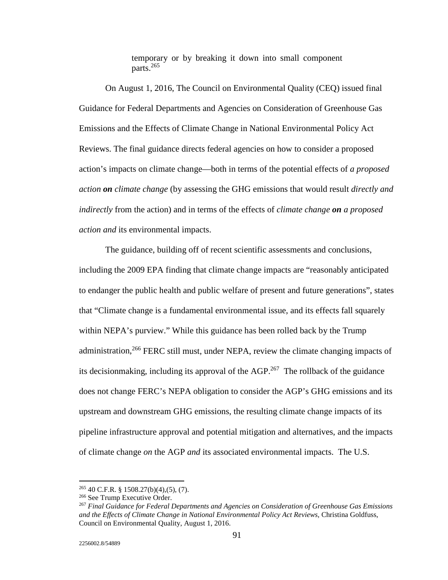temporary or by breaking it down into small component parts.<sup>265</sup>

 On August 1, 2016, The Council on Environmental Quality (CEQ) issued final Guidance for Federal Departments and Agencies on Consideration of Greenhouse Gas Emissions and the Effects of Climate Change in National Environmental Policy Act Reviews. The final guidance directs federal agencies on how to consider a proposed action's impacts on climate change—both in terms of the potential effects of *a proposed action on climate change* (by assessing the GHG emissions that would result *directly and indirectly* from the action) and in terms of the effects of *climate change on a proposed action and* its environmental impacts.

 The guidance, building off of recent scientific assessments and conclusions, including the 2009 EPA finding that climate change impacts are "reasonably anticipated to endanger the public health and public welfare of present and future generations", states that "Climate change is a fundamental environmental issue, and its effects fall squarely within NEPA's purview." While this guidance has been rolled back by the Trump administration,<sup>266</sup> FERC still must, under NEPA, review the climate changing impacts of its decision making, including its approval of the  $AGP<sup>267</sup>$ . The rollback of the guidance does not change FERC's NEPA obligation to consider the AGP's GHG emissions and its upstream and downstream GHG emissions, the resulting climate change impacts of its pipeline infrastructure approval and potential mitigation and alternatives, and the impacts of climate change *on* the AGP *and* its associated environmental impacts. The U.S.

<u>.</u>

<sup>&</sup>lt;sup>265</sup> 40 C.F.R. § 1508.27(b)(4),(5), (7).<br><sup>266</sup> See Trump Executive Order.<br><sup>267</sup> *Final Guidance for Federal Departments and Agencies on Consideration of Greenhouse Gas Emissions* and the Effects of Climate Change in National Environmental Policy Act Reviews, Christina Goldfuss, Council on Environmental Quality, August 1, 2016.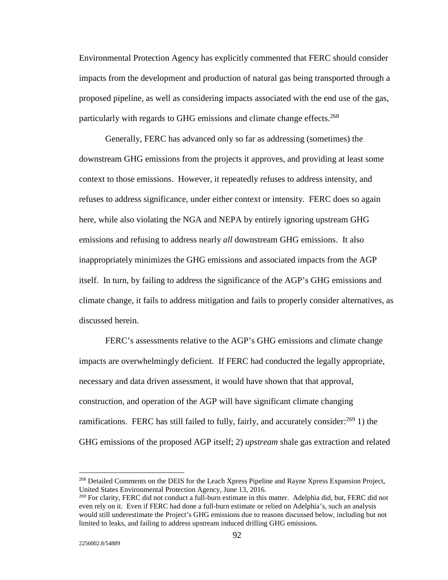Environmental Protection Agency has explicitly commented that FERC should consider impacts from the development and production of natural gas being transported through a proposed pipeline, as well as considering impacts associated with the end use of the gas, particularly with regards to GHG emissions and climate change effects.<sup>268</sup>

 Generally, FERC has advanced only so far as addressing (sometimes) the downstream GHG emissions from the projects it approves, and providing at least some context to those emissions. However, it repeatedly refuses to address intensity, and refuses to address significance, under either context or intensity. FERC does so again here, while also violating the NGA and NEPA by entirely ignoring upstream GHG emissions and refusing to address nearly *all* downstream GHG emissions. It also inappropriately minimizes the GHG emissions and associated impacts from the AGP itself. In turn, by failing to address the significance of the AGP's GHG emissions and climate change, it fails to address mitigation and fails to properly consider alternatives, as discussed herein.

 FERC's assessments relative to the AGP's GHG emissions and climate change impacts are overwhelmingly deficient. If FERC had conducted the legally appropriate, necessary and data driven assessment, it would have shown that that approval, construction, and operation of the AGP will have significant climate changing ramifications. FERC has still failed to fully, fairly, and accurately consider: $^{269}$  1) the GHG emissions of the proposed AGP itself; 2) *upstream* shale gas extraction and related

<u>.</u>

<sup>268</sup> Detailed Comments on the DEIS for the Leach Xpress Pipeline and Rayne Xpress Expansion Project, United States Environmental Protection Agency, June 13, 2016.

<sup>&</sup>lt;sup>269</sup> For clarity, FERC did not conduct a full-burn estimate in this matter. Adelphia did, but, FERC did not even rely on it. Even if FERC had done a full-burn estimate or relied on Adelphia's, such an analysis would still underestimate the Project's GHG emissions due to reasons discussed below, including but not limited to leaks, and failing to address upstream induced drilling GHG emissions.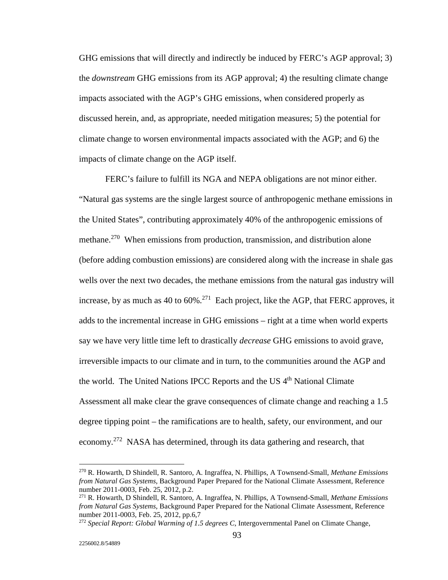GHG emissions that will directly and indirectly be induced by FERC's AGP approval; 3) the *downstream* GHG emissions from its AGP approval; 4) the resulting climate change impacts associated with the AGP's GHG emissions, when considered properly as discussed herein, and, as appropriate, needed mitigation measures; 5) the potential for climate change to worsen environmental impacts associated with the AGP; and 6) the impacts of climate change on the AGP itself.

 FERC's failure to fulfill its NGA and NEPA obligations are not minor either. "Natural gas systems are the single largest source of anthropogenic methane emissions in the United States", contributing approximately 40% of the anthropogenic emissions of methane.<sup>270</sup> When emissions from production, transmission, and distribution alone (before adding combustion emissions) are considered along with the increase in shale gas wells over the next two decades, the methane emissions from the natural gas industry will increase, by as much as 40 to  $60\%$ <sup>271</sup> Each project, like the AGP, that FERC approves, it adds to the incremental increase in GHG emissions – right at a time when world experts say we have very little time left to drastically *decrease* GHG emissions to avoid grave, irreversible impacts to our climate and in turn, to the communities around the AGP and the world. The United Nations IPCC Reports and the US 4<sup>th</sup> National Climate Assessment all make clear the grave consequences of climate change and reaching a 1.5 degree tipping point – the ramifications are to health, safety, our environment, and our economy.<sup>272</sup> NASA has determined, through its data gathering and research, that

<sup>270</sup> R. Howarth, D Shindell, R. Santoro, A. Ingraffea, N. Phillips, A Townsend-Small, *Methane Emissions from Natural Gas Systems*, Background Paper Prepared for the National Climate Assessment, Reference number 2011-0003, Feb. 25, 2012, p.2.

<sup>271</sup> R. Howarth, D Shindell, R. Santoro, A. Ingraffea, N. Phillips, A Townsend-Small, *Methane Emissions from Natural Gas Systems*, Background Paper Prepared for the National Climate Assessment, Reference number 2011-0003, Feb. 25, 2012, pp.6,7

<sup>272</sup> *Special Report: Global Warming of 1.5 degrees C*, Intergovernmental Panel on Climate Change,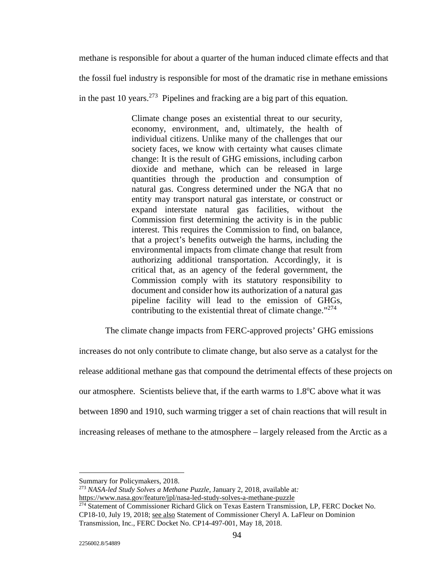methane is responsible for about a quarter of the human induced climate effects and that

the fossil fuel industry is responsible for most of the dramatic rise in methane emissions

in the past 10 years.<sup>273</sup> Pipelines and fracking are a big part of this equation.

Climate change poses an existential threat to our security, economy, environment, and, ultimately, the health of individual citizens. Unlike many of the challenges that our society faces, we know with certainty what causes climate change: It is the result of GHG emissions, including carbon dioxide and methane, which can be released in large quantities through the production and consumption of natural gas. Congress determined under the NGA that no entity may transport natural gas interstate, or construct or expand interstate natural gas facilities, without the Commission first determining the activity is in the public interest. This requires the Commission to find, on balance, that a project's benefits outweigh the harms, including the environmental impacts from climate change that result from authorizing additional transportation. Accordingly, it is critical that, as an agency of the federal government, the Commission comply with its statutory responsibility to document and consider how its authorization of a natural gas pipeline facility will lead to the emission of GHGs, contributing to the existential threat of climate change."<sup>274</sup>

The climate change impacts from FERC-approved projects' GHG emissions

increases do not only contribute to climate change, but also serve as a catalyst for the release additional methane gas that compound the detrimental effects of these projects on our atmosphere. Scientists believe that, if the earth warms to 1.8°C above what it was between 1890 and 1910, such warming trigger a set of chain reactions that will result in increasing releases of methane to the atmosphere – largely released from the Arctic as a

<sup>273</sup> *NASA-led Study Solves a Methane Puzzle,* January 2, 2018, available at*:* 

https://www.nasa.gov/feature/jpl/nasa-led-study-solves-a-methane-puzzle

<u>.</u>

Summary for Policymakers, 2018.

<sup>&</sup>lt;sup>274</sup> Statement of Commissioner Richard Glick on Texas Eastern Transmission, LP, FERC Docket No. CP18-10, July 19, 2018; see also Statement of Commissioner Cheryl A. LaFleur on Dominion Transmission, Inc., FERC Docket No. CP14-497-001, May 18, 2018.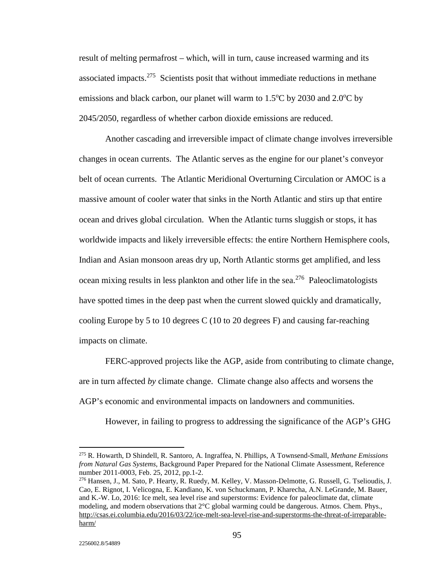result of melting permafrost – which, will in turn, cause increased warming and its associated impacts.<sup>275</sup> Scientists posit that without immediate reductions in methane emissions and black carbon, our planet will warm to  $1.5^{\circ}$ C by  $2030$  and  $2.0^{\circ}$ C by 2045/2050, regardless of whether carbon dioxide emissions are reduced.

 Another cascading and irreversible impact of climate change involves irreversible changes in ocean currents. The Atlantic serves as the engine for our planet's conveyor belt of ocean currents. The Atlantic Meridional Overturning Circulation or AMOC is a massive amount of cooler water that sinks in the North Atlantic and stirs up that entire ocean and drives global circulation. When the Atlantic turns sluggish or stops, it has worldwide impacts and likely irreversible effects: the entire Northern Hemisphere cools, Indian and Asian monsoon areas dry up, North Atlantic storms get amplified, and less ocean mixing results in less plankton and other life in the sea.<sup>276</sup> Paleoclimatologists have spotted times in the deep past when the current slowed quickly and dramatically, cooling Europe by 5 to 10 degrees C (10 to 20 degrees F) and causing far-reaching impacts on climate.

 FERC-approved projects like the AGP, aside from contributing to climate change, are in turn affected *by* climate change. Climate change also affects and worsens the AGP's economic and environmental impacts on landowners and communities.

However, in failing to progress to addressing the significance of the AGP's GHG

<sup>275</sup> R. Howarth, D Shindell, R. Santoro, A. Ingraffea, N. Phillips, A Townsend-Small, *Methane Emissions from Natural Gas Systems*, Background Paper Prepared for the National Climate Assessment, Reference number 2011-0003, Feb. 25, 2012, pp.1-2.

<sup>276</sup> Hansen, J., M. Sato, P. Hearty, R. Ruedy, M. Kelley, V. Masson-Delmotte, G. Russell, G. Tselioudis, J. Cao, E. Rignot, I. Velicogna, E. Kandiano, K. von Schuckmann, P. Kharecha, A.N. LeGrande, M. Bauer, and K.-W. Lo, 2016: Ice melt, sea level rise and superstorms: Evidence for paleoclimate dat, climate modeling, and modern observations that 2°C global warming could be dangerous. Atmos. Chem. Phys., http://csas.ei.columbia.edu/2016/03/22/ice-melt-sea-level-rise-and-superstorms-the-threat-of-irreparableharm/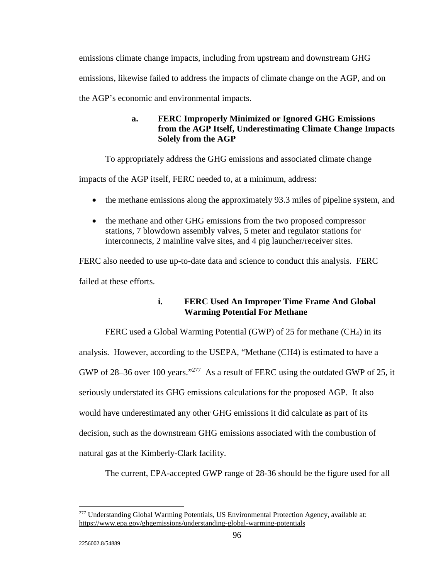emissions climate change impacts, including from upstream and downstream GHG emissions, likewise failed to address the impacts of climate change on the AGP, and on the AGP's economic and environmental impacts.

# **a. FERC Improperly Minimized or Ignored GHG Emissions from the AGP Itself, Underestimating Climate Change Impacts Solely from the AGP**

To appropriately address the GHG emissions and associated climate change

impacts of the AGP itself, FERC needed to, at a minimum, address:

- the methane emissions along the approximately 93.3 miles of pipeline system, and
- the methane and other GHG emissions from the two proposed compressor stations, 7 blowdown assembly valves, 5 meter and regulator stations for interconnects, 2 mainline valve sites, and 4 pig launcher/receiver sites.

FERC also needed to use up-to-date data and science to conduct this analysis. FERC failed at these efforts.

# **i. FERC Used An Improper Time Frame And Global Warming Potential For Methane**

 FERC used a Global Warming Potential (GWP) of 25 for methane (CH4) in its analysis. However, according to the USEPA, "Methane (CH4) is estimated to have a GWP of 28–36 over 100 years."<sup>277</sup> As a result of FERC using the outdated GWP of 25, it seriously understated its GHG emissions calculations for the proposed AGP. It also would have underestimated any other GHG emissions it did calculate as part of its decision, such as the downstream GHG emissions associated with the combustion of natural gas at the Kimberly-Clark facility.

The current, EPA-accepted GWP range of 28-36 should be the figure used for all

<sup>-</sup>277 Understanding Global Warming Potentials, US Environmental Protection Agency, available at: https://www.epa.gov/ghgemissions/understanding-global-warming-potentials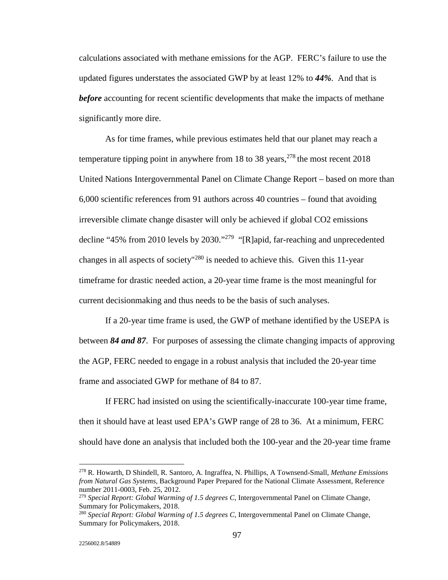calculations associated with methane emissions for the AGP. FERC's failure to use the updated figures understates the associated GWP by at least 12% to *44%*. And that is *before* accounting for recent scientific developments that make the impacts of methane significantly more dire.

 As for time frames, while previous estimates held that our planet may reach a temperature tipping point in anywhere from 18 to 38 years,  $278$  the most recent 2018 United Nations Intergovernmental Panel on Climate Change Report – based on more than 6,000 scientific references from 91 authors across 40 countries – found that avoiding irreversible climate change disaster will only be achieved if global CO2 emissions decline "45% from 2010 levels by 2030."279 "[R]apid, far-reaching and unprecedented changes in all aspects of society<sup> $1280$ </sup> is needed to achieve this. Given this 11-year timeframe for drastic needed action, a 20-year time frame is the most meaningful for current decisionmaking and thus needs to be the basis of such analyses.

 If a 20-year time frame is used, the GWP of methane identified by the USEPA is between *84 and 87*. For purposes of assessing the climate changing impacts of approving the AGP, FERC needed to engage in a robust analysis that included the 20-year time frame and associated GWP for methane of 84 to 87.

 If FERC had insisted on using the scientifically-inaccurate 100-year time frame, then it should have at least used EPA's GWP range of 28 to 36. At a minimum, FERC should have done an analysis that included both the 100-year and the 20-year time frame

<sup>278</sup> R. Howarth, D Shindell, R. Santoro, A. Ingraffea, N. Phillips, A Townsend-Small, *Methane Emissions from Natural Gas Systems*, Background Paper Prepared for the National Climate Assessment, Reference number 2011-0003, Feb. 25, 2012.

<sup>279</sup> *Special Report: Global Warming of 1.5 degrees C*, Intergovernmental Panel on Climate Change, Summary for Policymakers, 2018.

<sup>280</sup> *Special Report: Global Warming of 1.5 degrees C*, Intergovernmental Panel on Climate Change, Summary for Policymakers, 2018.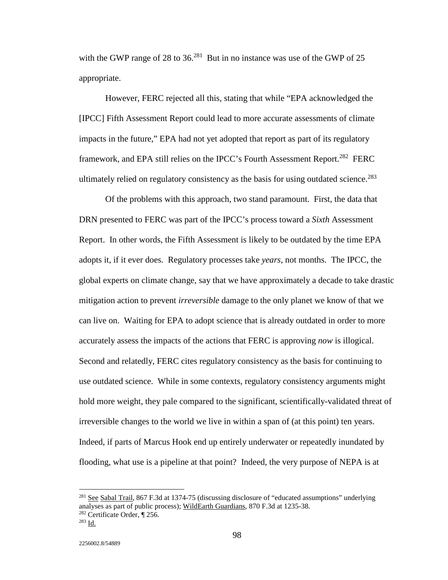with the GWP range of 28 to  $36<sup>281</sup>$  But in no instance was use of the GWP of 25 appropriate.

 However, FERC rejected all this, stating that while "EPA acknowledged the [IPCC] Fifth Assessment Report could lead to more accurate assessments of climate impacts in the future," EPA had not yet adopted that report as part of its regulatory framework, and EPA still relies on the IPCC's Fourth Assessment Report.<sup>282</sup> FERC ultimately relied on regulatory consistency as the basis for using outdated science.<sup>283</sup>

 Of the problems with this approach, two stand paramount. First, the data that DRN presented to FERC was part of the IPCC's process toward a *Sixth* Assessment Report. In other words, the Fifth Assessment is likely to be outdated by the time EPA adopts it, if it ever does. Regulatory processes take *years*, not months. The IPCC, the global experts on climate change, say that we have approximately a decade to take drastic mitigation action to prevent *irreversible* damage to the only planet we know of that we can live on. Waiting for EPA to adopt science that is already outdated in order to more accurately assess the impacts of the actions that FERC is approving *now* is illogical. Second and relatedly, FERC cites regulatory consistency as the basis for continuing to use outdated science. While in some contexts, regulatory consistency arguments might hold more weight, they pale compared to the significant, scientifically-validated threat of irreversible changes to the world we live in within a span of (at this point) ten years. Indeed, if parts of Marcus Hook end up entirely underwater or repeatedly inundated by flooding, what use is a pipeline at that point? Indeed, the very purpose of NEPA is at

-

2256002.8/54889

<sup>&</sup>lt;sup>281</sup> See Sabal Trail, 867 F.3d at 1374-75 (discussing disclosure of "educated assumptions" underlying analyses as part of public process); WildEarth Guardians, 870 F.3d at 1235-38.

<sup>&</sup>lt;sup>282</sup> Certificate Order,  $\P$  256.<br><sup>283</sup> Id.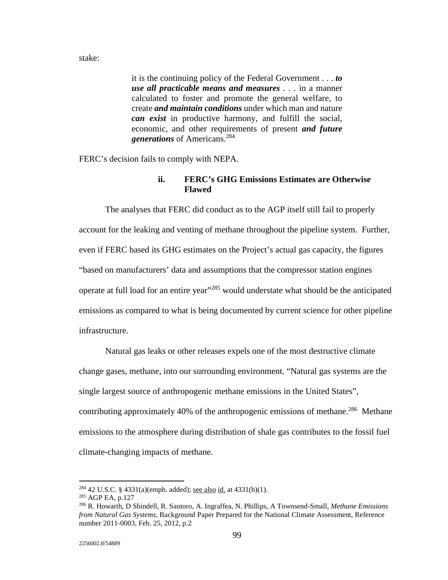stake:

it is the continuing policy of the Federal Government . . . *to use all practicable means and measures* . . . in a manner calculated to foster and promote the general welfare, to create *and maintain conditions* under which man and nature *can exist* in productive harmony, and fulfill the social, economic, and other requirements of present *and future generations* of Americans.<sup>284</sup>

FERC's decision fails to comply with NEPA.

### **ii. FERC's GHG Emissions Estimates are Otherwise Flawed**

 The analyses that FERC did conduct as to the AGP itself still fail to properly account for the leaking and venting of methane throughout the pipeline system. Further, even if FERC based its GHG estimates on the Project's actual gas capacity, the figures "based on manufacturers' data and assumptions that the compressor station engines operate at full load for an entire year"285 would understate what should be the anticipated emissions as compared to what is being documented by current science for other pipeline infrastructure.

 Natural gas leaks or other releases expels one of the most destructive climate change gases, methane, into our surrounding environment. "Natural gas systems are the single largest source of anthropogenic methane emissions in the United States", contributing approximately 40% of the anthropogenic emissions of methane.<sup>286</sup> Methane emissions to the atmosphere during distribution of shale gas contributes to the fossil fuel climate-changing impacts of methane.

<u>.</u>

<sup>&</sup>lt;sup>284</sup> 42 U.S.C. § 4331(a)(emph. added); <u>see also id.</u> at 4331(b)(1).<br><sup>285</sup> AGP EA, p.127<br><sup>286</sup> R. Howarth, D Shindell, R. Santoro, A. Ingraffea, N. Phillips, A Townsend-Small, *Methane Emissions from Natural Gas Systems*, Background Paper Prepared for the National Climate Assessment, Reference number 2011-0003, Feb. 25, 2012, p.2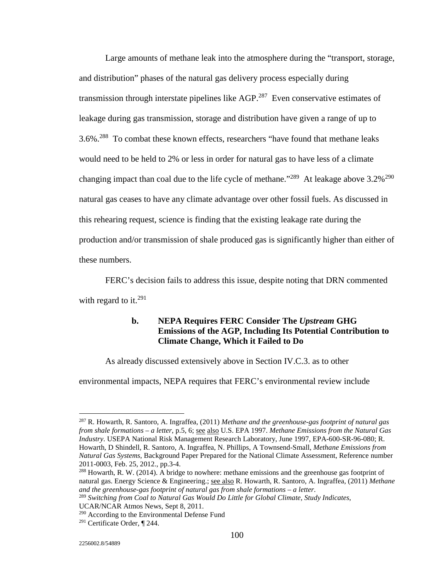Large amounts of methane leak into the atmosphere during the "transport, storage, and distribution" phases of the natural gas delivery process especially during transmission through interstate pipelines like AGP.<sup>287</sup> Even conservative estimates of leakage during gas transmission, storage and distribution have given a range of up to 3.6%.288 To combat these known effects, researchers "have found that methane leaks would need to be held to 2% or less in order for natural gas to have less of a climate changing impact than coal due to the life cycle of methane."<sup>289</sup> At leakage above  $3.2\%$ <sup>290</sup> natural gas ceases to have any climate advantage over other fossil fuels. As discussed in this rehearing request, science is finding that the existing leakage rate during the production and/or transmission of shale produced gas is significantly higher than either of these numbers.

 FERC's decision fails to address this issue, despite noting that DRN commented with regard to it.<sup>291</sup>

## **b. NEPA Requires FERC Consider The** *Upstream* **GHG Emissions of the AGP, Including Its Potential Contribution to Climate Change, Which it Failed to Do**

As already discussed extensively above in Section IV.C.3. as to other

environmental impacts, NEPA requires that FERC's environmental review include

<sup>287</sup> R. Howarth, R. Santoro, A. Ingraffea, (2011) *Methane and the greenhouse-gas footprint of natural gas from shale formations – a letter*, p.5, 6; see also U.S. EPA 1997. *Methane Emissions from the Natural Gas Industry*. USEPA National Risk Management Research Laboratory, June 1997, EPA-600-SR-96-080; R. Howarth, D Shindell, R. Santoro, A. Ingraffea, N. Phillips, A Townsend-Small, *Methane Emissions from Natural Gas Systems*, Background Paper Prepared for the National Climate Assessment, Reference number 2011-0003, Feb. 25, 2012., pp.3-4.

 $^{288}$  Howarth, R. W. (2014). A bridge to nowhere: methane emissions and the greenhouse gas footprint of natural gas. Energy Science & Engineering.; see also R. Howarth, R. Santoro, A. Ingraffea, (2011) *Methane and the greenhouse-gas footprint of natural gas from shale formations – a letter*. 289 *Switching from Coal to Natural Gas Would Do Little for Global Climate, Study Indicates*,

UCAR/NCAR Atmos News, Sept 8, 2011.

<sup>290</sup> According to the Environmental Defense Fund

<sup>291</sup> Certificate Order, ¶ 244.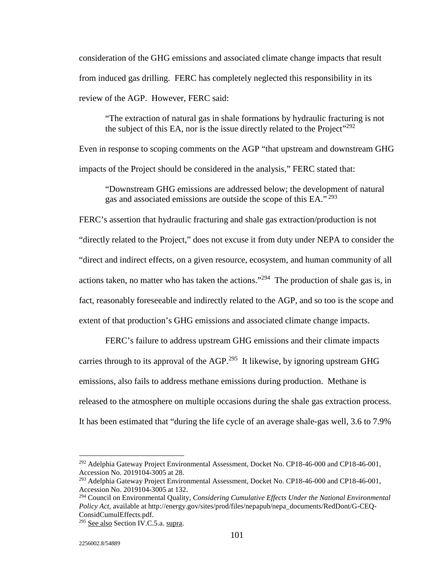consideration of the GHG emissions and associated climate change impacts that result from induced gas drilling. FERC has completely neglected this responsibility in its review of the AGP. However, FERC said:

"The extraction of natural gas in shale formations by hydraulic fracturing is not the subject of this EA, nor is the issue directly related to the Project"<sup>292</sup>

Even in response to scoping comments on the AGP "that upstream and downstream GHG impacts of the Project should be considered in the analysis," FERC stated that:

"Downstream GHG emissions are addressed below; the development of natural gas and associated emissions are outside the scope of this EA." 293

FERC's assertion that hydraulic fracturing and shale gas extraction/production is not "directly related to the Project," does not excuse it from duty under NEPA to consider the "direct and indirect effects, on a given resource, ecosystem, and human community of all actions taken, no matter who has taken the actions."<sup>294</sup> The production of shale gas is, in fact, reasonably foreseeable and indirectly related to the AGP, and so too is the scope and extent of that production's GHG emissions and associated climate change impacts.

 FERC's failure to address upstream GHG emissions and their climate impacts carries through to its approval of the AGP.<sup>295</sup> It likewise, by ignoring upstream GHG emissions, also fails to address methane emissions during production. Methane is released to the atmosphere on multiple occasions during the shale gas extraction process. It has been estimated that "during the life cycle of an average shale-gas well, 3.6 to 7.9%

<sup>292</sup> Adelphia Gateway Project Environmental Assessment, Docket No. CP18-46-000 and CP18-46-001, Accession No. 2019104-3005 at 28.

<sup>293</sup> Adelphia Gateway Project Environmental Assessment, Docket No. CP18-46-000 and CP18-46-001, Accession No. 2019104-3005 at 132.

<sup>294</sup> Council on Environmental Quality, *Considering Cumulative Effects Under the National Environmental Policy Act,* available at http://energy.gov/sites/prod/files/nepapub/nepa\_documents/RedDont/G-CEQ-ConsidCumulEffects.pdf.

<sup>&</sup>lt;sup>295</sup> See also Section IV.C.5.a. supra.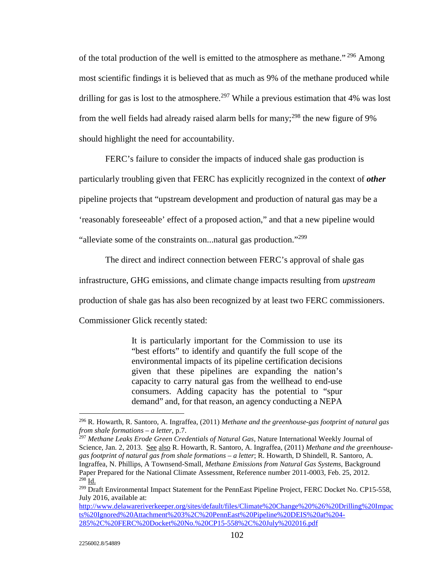of the total production of the well is emitted to the atmosphere as methane." 296 Among most scientific findings it is believed that as much as 9% of the methane produced while drilling for gas is lost to the atmosphere.<sup>297</sup> While a previous estimation that 4% was lost from the well fields had already raised alarm bells for many;<sup>298</sup> the new figure of 9% should highlight the need for accountability.

 FERC's failure to consider the impacts of induced shale gas production is particularly troubling given that FERC has explicitly recognized in the context of *other* pipeline projects that "upstream development and production of natural gas may be a 'reasonably foreseeable' effect of a proposed action," and that a new pipeline would "alleviate some of the constraints on...natural gas production."<sup>299</sup>

The direct and indirect connection between FERC's approval of shale gas

infrastructure, GHG emissions, and climate change impacts resulting from *upstream*

production of shale gas has also been recognized by at least two FERC commissioners.

Commissioner Glick recently stated:

It is particularly important for the Commission to use its "best efforts" to identify and quantify the full scope of the environmental impacts of its pipeline certification decisions given that these pipelines are expanding the nation's capacity to carry natural gas from the wellhead to end-use consumers. Adding capacity has the potential to "spur demand" and, for that reason, an agency conducting a NEPA

<sup>296</sup> R. Howarth, R. Santoro, A. Ingraffea, (2011) *Methane and the greenhouse-gas footprint of natural gas from shale formations – a letter*, p.7.

<sup>297</sup> *Methane Leaks Erode Green Credentials of Natural Gas*, Nature International Weekly Journal of Science, Jan. 2, 2013. See also R. Howarth, R. Santoro, A. Ingraffea, (2011) *Methane and the greenhousegas footprint of natural gas from shale formations – a letter*; R. Howarth, D Shindell, R. Santoro, A. Ingraffea, N. Phillips, A Townsend-Small, *Methane Emissions from Natural Gas Systems*, Background Paper Prepared for the National Climate Assessment, Reference number 2011-0003, Feb. 25, 2012.  $^{298}$  Id.

<sup>&</sup>lt;sup>299</sup> Draft Environmental Impact Statement for the PennEast Pipeline Project, FERC Docket No. CP15-558, July 2016, available at:

http://www.delawareriverkeeper.org/sites/default/files/Climate%20Change%20%26%20Drilling%20Impac ts%20Ignored%20Attachment%203%2C%20PennEast%20Pipeline%20DEIS%20at%204- 285%2C%20FERC%20Docket%20No.%20CP15-558%2C%20July%202016.pdf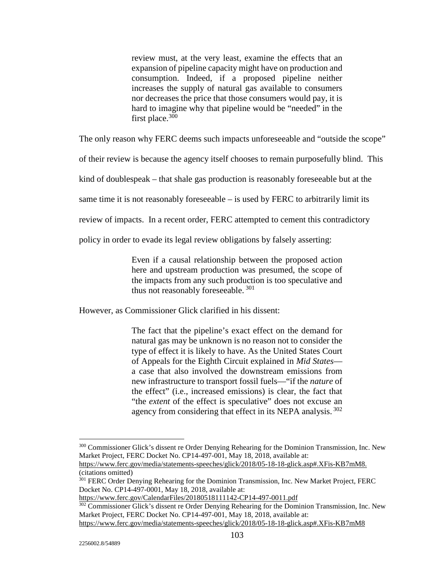review must, at the very least, examine the effects that an expansion of pipeline capacity might have on production and consumption. Indeed, if a proposed pipeline neither increases the supply of natural gas available to consumers nor decreases the price that those consumers would pay, it is hard to imagine why that pipeline would be "needed" in the first place. $300$ 

The only reason why FERC deems such impacts unforeseeable and "outside the scope"

of their review is because the agency itself chooses to remain purposefully blind. This

kind of doublespeak – that shale gas production is reasonably foreseeable but at the

same time it is not reasonably foreseeable – is used by FERC to arbitrarily limit its

review of impacts. In a recent order, FERC attempted to cement this contradictory

policy in order to evade its legal review obligations by falsely asserting:

Even if a causal relationship between the proposed action here and upstream production was presumed, the scope of the impacts from any such production is too speculative and thus not reasonably foreseeable.  $301$ 

However, as Commissioner Glick clarified in his dissent:

The fact that the pipeline's exact effect on the demand for natural gas may be unknown is no reason not to consider the type of effect it is likely to have. As the United States Court of Appeals for the Eighth Circuit explained in *Mid States* a case that also involved the downstream emissions from new infrastructure to transport fossil fuels—"if the *nature* of the effect" (i.e., increased emissions) is clear, the fact that "the *extent* of the effect is speculative" does not excuse an agency from considering that effect in its NEPA analysis.<sup>302</sup>

https://www.ferc.gov/CalendarFiles/20180518111142-CP14-497-0011.pdf

<sup>&</sup>lt;sup>300</sup> Commissioner Glick's dissent re Order Denying Rehearing for the Dominion Transmission, Inc. New Market Project, FERC Docket No. CP14-497-001, May 18, 2018, available at:

https://www.ferc.gov/media/statements-speeches/glick/2018/05-18-18-glick.asp#.XFis-KB7mM8. (citations omitted)

<sup>301</sup> FERC Order Denying Rehearing for the Dominion Transmission, Inc. New Market Project, FERC Docket No. CP14-497-0001, May 18, 2018, available at:

<sup>&</sup>lt;sup>302</sup> Commissioner Glick's dissent re Order Denying Rehearing for the Dominion Transmission, Inc. New Market Project, FERC Docket No. CP14-497-001, May 18, 2018, available at: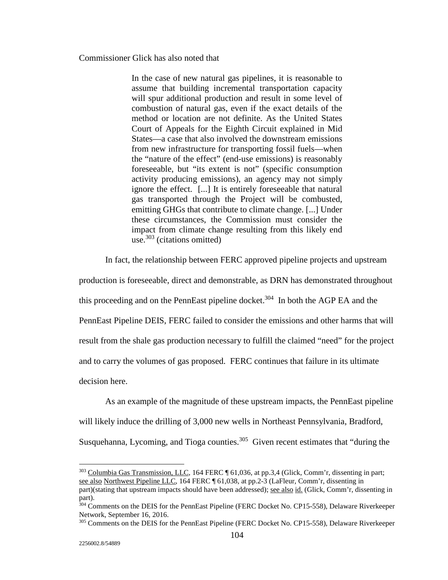Commissioner Glick has also noted that

In the case of new natural gas pipelines, it is reasonable to assume that building incremental transportation capacity will spur additional production and result in some level of combustion of natural gas, even if the exact details of the method or location are not definite. As the United States Court of Appeals for the Eighth Circuit explained in Mid States—a case that also involved the downstream emissions from new infrastructure for transporting fossil fuels—when the "nature of the effect" (end-use emissions) is reasonably foreseeable, but "its extent is not" (specific consumption activity producing emissions), an agency may not simply ignore the effect. [...] It is entirely foreseeable that natural gas transported through the Project will be combusted, emitting GHGs that contribute to climate change. [...] Under these circumstances, the Commission must consider the impact from climate change resulting from this likely end use. $303$  (citations omitted)

In fact, the relationship between FERC approved pipeline projects and upstream

production is foreseeable, direct and demonstrable, as DRN has demonstrated throughout

this proceeding and on the PennEast pipeline docket.<sup>304</sup> In both the AGP EA and the

PennEast Pipeline DEIS, FERC failed to consider the emissions and other harms that will

result from the shale gas production necessary to fulfill the claimed "need" for the project

and to carry the volumes of gas proposed. FERC continues that failure in its ultimate

decision here.

 As an example of the magnitude of these upstream impacts, the PennEast pipeline will likely induce the drilling of 3,000 new wells in Northeast Pennsylvania, Bradford,

Susquehanna, Lycoming, and Tioga counties.<sup>305</sup> Given recent estimates that "during the

<sup>&</sup>lt;sup>303</sup> Columbia Gas Transmission, LLC, 164 FERC ¶ 61,036, at pp.3,4 (Glick, Comm'r, dissenting in part; see also Northwest Pipeline LLC, 164 FERC ¶ 61,038, at pp.2-3 (LaFleur, Comm'r, dissenting in

part)(stating that upstream impacts should have been addressed); see also id. (Glick, Comm'r, dissenting in part).

<sup>&</sup>lt;sup>304</sup> Comments on the DEIS for the PennEast Pipeline (FERC Docket No. CP15-558), Delaware Riverkeeper Network, September 16, 2016.

<sup>&</sup>lt;sup>305</sup> Comments on the DEIS for the PennEast Pipeline (FERC Docket No. CP15-558), Delaware Riverkeeper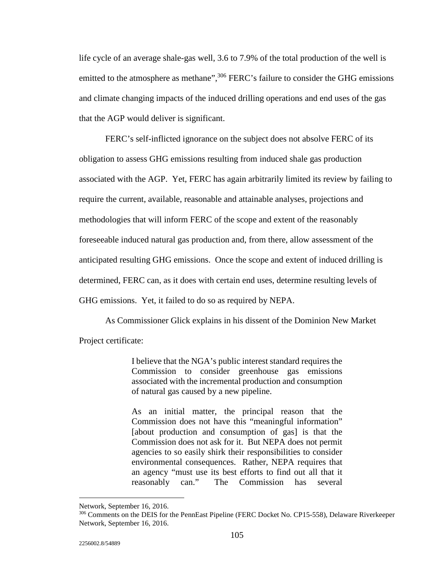life cycle of an average shale-gas well, 3.6 to 7.9% of the total production of the well is emitted to the atmosphere as methane",<sup>306</sup> FERC's failure to consider the GHG emissions and climate changing impacts of the induced drilling operations and end uses of the gas that the AGP would deliver is significant.

 FERC's self-inflicted ignorance on the subject does not absolve FERC of its obligation to assess GHG emissions resulting from induced shale gas production associated with the AGP. Yet, FERC has again arbitrarily limited its review by failing to require the current, available, reasonable and attainable analyses, projections and methodologies that will inform FERC of the scope and extent of the reasonably foreseeable induced natural gas production and, from there, allow assessment of the anticipated resulting GHG emissions. Once the scope and extent of induced drilling is determined, FERC can, as it does with certain end uses, determine resulting levels of GHG emissions. Yet, it failed to do so as required by NEPA.

As Commissioner Glick explains in his dissent of the Dominion New Market

Project certificate:

I believe that the NGA's public interest standard requires the Commission to consider greenhouse gas emissions associated with the incremental production and consumption of natural gas caused by a new pipeline.

As an initial matter, the principal reason that the Commission does not have this "meaningful information" [about production and consumption of gas] is that the Commission does not ask for it. But NEPA does not permit agencies to so easily shirk their responsibilities to consider environmental consequences. Rather, NEPA requires that an agency "must use its best efforts to find out all that it reasonably can." The Commission has several

Network, September 16, 2016.

<sup>&</sup>lt;sup>306</sup> Comments on the DEIS for the PennEast Pipeline (FERC Docket No. CP15-558), Delaware Riverkeeper Network, September 16, 2016.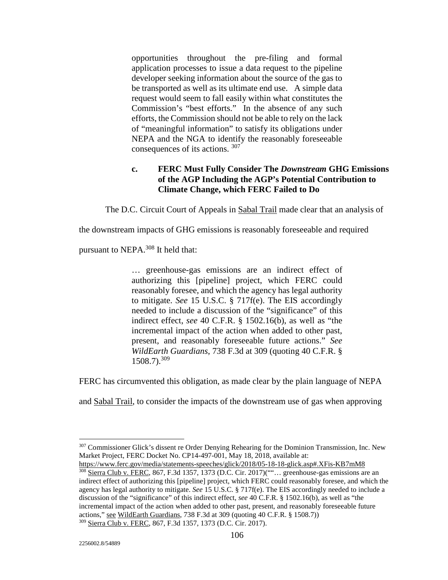opportunities throughout the pre-filing and formal application processes to issue a data request to the pipeline developer seeking information about the source of the gas to be transported as well as its ultimate end use. A simple data request would seem to fall easily within what constitutes the Commission's "best efforts." In the absence of any such efforts, the Commission should not be able to rely on the lack of "meaningful information" to satisfy its obligations under NEPA and the NGA to identify the reasonably foreseeable consequences of its actions. <sup>307</sup>

# **c. FERC Must Fully Consider The** *Downstream* **GHG Emissions of the AGP Including the AGP's Potential Contribution to Climate Change, which FERC Failed to Do**

The D.C. Circuit Court of Appeals in Sabal Trail made clear that an analysis of

the downstream impacts of GHG emissions is reasonably foreseeable and required

pursuant to NEPA.308 It held that:

… greenhouse-gas emissions are an indirect effect of authorizing this [pipeline] project, which FERC could reasonably foresee, and which the agency has legal authority to mitigate. *See* 15 U.S.C. § 717f(e). The EIS accordingly needed to include a discussion of the "significance" of this indirect effect, *see* 40 C.F.R. § 1502.16(b), as well as "the incremental impact of the action when added to other past, present, and reasonably foreseeable future actions." *See WildEarth Guardians*, 738 F.3d at 309 (quoting 40 C.F.R. § 1508.7).<sup>309</sup>

FERC has circumvented this obligation, as made clear by the plain language of NEPA

and Sabal Trail, to consider the impacts of the downstream use of gas when approving

<sup>&</sup>lt;sup>307</sup> Commissioner Glick's dissent re Order Denying Rehearing for the Dominion Transmission, Inc. New Market Project, FERC Docket No. CP14-497-001, May 18, 2018, available at:

https://www.ferc.gov/media/statements-speeches/glick/2018/05-18-18-glick.asp#.XFis-KB7mM8

<sup>&</sup>lt;sup>308</sup> Sierra Club v. FERC, 867, F.3d 1357, 1373 (D.C. Cir. 2017)<sup>(""</sup>... greenhouse-gas emissions are an indirect effect of authorizing this [pipeline] project, which FERC could reasonably foresee, and which the agency has legal authority to mitigate. *See* 15 U.S.C. § 717f(e). The EIS accordingly needed to include a discussion of the "significance" of this indirect effect, *see* 40 C.F.R. § 1502.16(b), as well as "the incremental impact of the action when added to other past, present, and reasonably foreseeable future actions," see WildEarth Guardians, 738 F.3d at 309 (quoting 40 C.F.R. § 1508.7))

<sup>309</sup> Sierra Club v. FERC, 867, F.3d 1357, 1373 (D.C. Cir. 2017).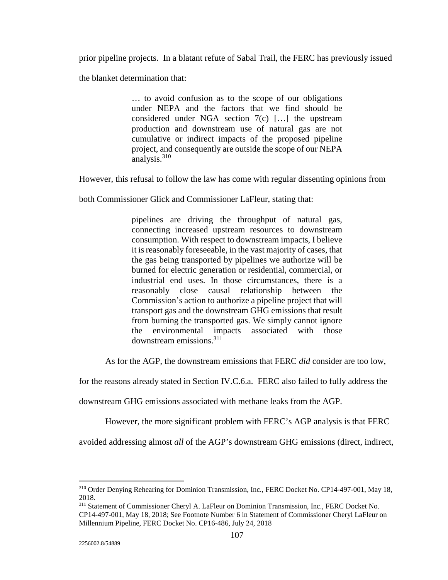prior pipeline projects. In a blatant refute of Sabal Trail, the FERC has previously issued

the blanket determination that:

… to avoid confusion as to the scope of our obligations under NEPA and the factors that we find should be considered under NGA section 7(c) […] the upstream production and downstream use of natural gas are not cumulative or indirect impacts of the proposed pipeline project, and consequently are outside the scope of our NEPA analysis.310

However, this refusal to follow the law has come with regular dissenting opinions from

both Commissioner Glick and Commissioner LaFleur, stating that:

pipelines are driving the throughput of natural gas, connecting increased upstream resources to downstream consumption. With respect to downstream impacts, I believe it is reasonably foreseeable, in the vast majority of cases, that the gas being transported by pipelines we authorize will be burned for electric generation or residential, commercial, or industrial end uses. In those circumstances, there is a reasonably close causal relationship between the Commission's action to authorize a pipeline project that will transport gas and the downstream GHG emissions that result from burning the transported gas. We simply cannot ignore the environmental impacts associated with those downstream emissions.311

As for the AGP, the downstream emissions that FERC *did* consider are too low,

for the reasons already stated in Section IV.C.6.a. FERC also failed to fully address the

downstream GHG emissions associated with methane leaks from the AGP.

However, the more significant problem with FERC's AGP analysis is that FERC

avoided addressing almost *all* of the AGP's downstream GHG emissions (direct, indirect,

<u>.</u>

<sup>310</sup> Order Denying Rehearing for Dominion Transmission, Inc., FERC Docket No. CP14-497-001, May 18, 2018.

<sup>&</sup>lt;sup>311</sup> Statement of Commissioner Cheryl A. LaFleur on Dominion Transmission, Inc., FERC Docket No. CP14-497-001, May 18, 2018; See Footnote Number 6 in Statement of Commissioner Cheryl LaFleur on Millennium Pipeline, FERC Docket No. CP16-486, July 24, 2018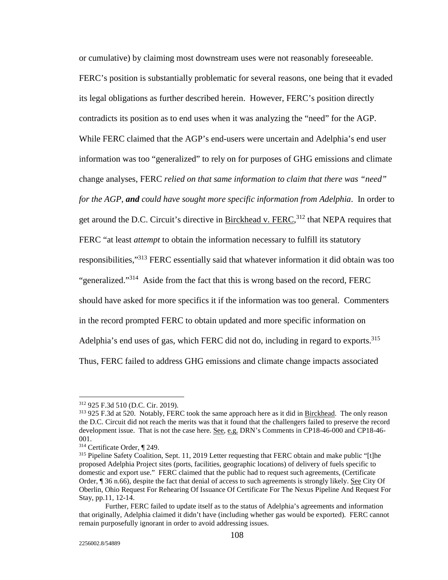or cumulative) by claiming most downstream uses were not reasonably foreseeable. FERC's position is substantially problematic for several reasons, one being that it evaded its legal obligations as further described herein. However, FERC's position directly contradicts its position as to end uses when it was analyzing the "need" for the AGP. While FERC claimed that the AGP's end-users were uncertain and Adelphia's end user information was too "generalized" to rely on for purposes of GHG emissions and climate change analyses, FERC *relied on that same information to claim that there was "need" for the AGP*, *and could have sought more specific information from Adelphia*. In order to get around the D.C. Circuit's directive in Birckhead v. FERC,  $312$  that NEPA requires that FERC "at least *attempt* to obtain the information necessary to fulfill its statutory responsibilities,"313 FERC essentially said that whatever information it did obtain was too "generalized."314 Aside from the fact that this is wrong based on the record, FERC should have asked for more specifics it if the information was too general. Commenters in the record prompted FERC to obtain updated and more specific information on Adelphia's end uses of gas, which FERC did not do, including in regard to exports.<sup>315</sup> Thus, FERC failed to address GHG emissions and climate change impacts associated

 $312$  925 F.3d 510 (D.C. Cir. 2019).<br> $313$  925 F.3d at 520. Notably, FERC took the same approach here as it did in Birckhead. The only reason the D.C. Circuit did not reach the merits was that it found that the challengers failed to preserve the record development issue. That is not the case here. See, e.g. DRN's Comments in CP18-46-000 and CP18-46-001.<br><sup>314</sup> Certificate Order, ¶ 249.

<sup>&</sup>lt;sup>315</sup> Pipeline Safety Coalition, Sept. 11, 2019 Letter requesting that FERC obtain and make public "[t]he proposed Adelphia Project sites (ports, facilities, geographic locations) of delivery of fuels specific to domestic and export use." FERC claimed that the public had to request such agreements, (Certificate Order, ¶ 36 n.66), despite the fact that denial of access to such agreements is strongly likely. See City Of Oberlin, Ohio Request For Rehearing Of Issuance Of Certificate For The Nexus Pipeline And Request For Stay, pp.11, 12-14.

Further, FERC failed to update itself as to the status of Adelphia's agreements and information that originally, Adelphia claimed it didn't have (including whether gas would be exported). FERC cannot remain purposefully ignorant in order to avoid addressing issues.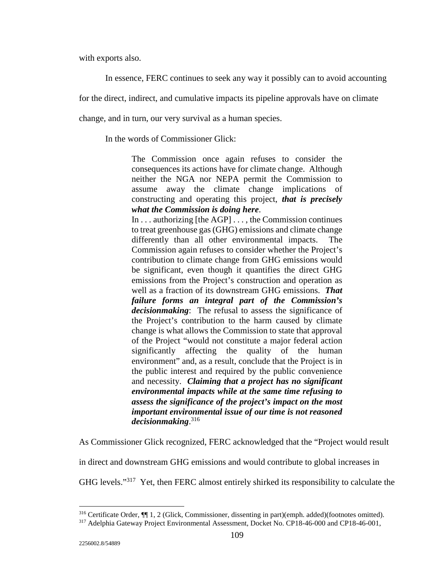with exports also.

In essence, FERC continues to seek any way it possibly can to avoid accounting

for the direct, indirect, and cumulative impacts its pipeline approvals have on climate

change, and in turn, our very survival as a human species.

In the words of Commissioner Glick:

The Commission once again refuses to consider the consequences its actions have for climate change. Although neither the NGA nor NEPA permit the Commission to assume away the climate change implications of constructing and operating this project, *that is precisely what the Commission is doing here*.

In . . . authorizing [the AGP] . . . , the Commission continues to treat greenhouse gas (GHG) emissions and climate change differently than all other environmental impacts. The Commission again refuses to consider whether the Project's contribution to climate change from GHG emissions would be significant, even though it quantifies the direct GHG emissions from the Project's construction and operation as well as a fraction of its downstream GHG emissions. *That failure forms an integral part of the Commission's decisionmaking*: The refusal to assess the significance of the Project's contribution to the harm caused by climate change is what allows the Commission to state that approval of the Project "would not constitute a major federal action significantly affecting the quality of the human environment" and, as a result, conclude that the Project is in the public interest and required by the public convenience and necessity. *Claiming that a project has no significant environmental impacts while at the same time refusing to assess the significance of the project's impact on the most important environmental issue of our time is not reasoned decisionmaking*. 316

As Commissioner Glick recognized, FERC acknowledged that the "Project would result

in direct and downstream GHG emissions and would contribute to global increases in

GHG levels."317 Yet, then FERC almost entirely shirked its responsibility to calculate the

<sup>&</sup>lt;sup>316</sup> Certificate Order, ¶ 1, 2 (Glick, Commissioner, dissenting in part)(emph. added)(footnotes omitted).<br><sup>317</sup> Adelphia Gateway Project Environmental Assessment, Docket No. CP18-46-000 and CP18-46-001,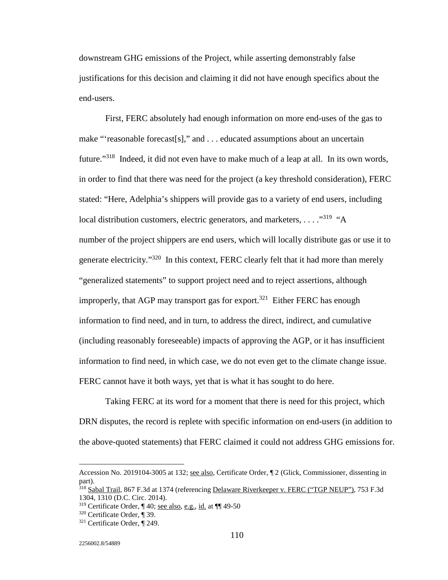downstream GHG emissions of the Project, while asserting demonstrably false justifications for this decision and claiming it did not have enough specifics about the end-users.

 First, FERC absolutely had enough information on more end-uses of the gas to make "'reasonable forecast[s]," and . . . educated assumptions about an uncertain future."318 Indeed, it did not even have to make much of a leap at all. In its own words, in order to find that there was need for the project (a key threshold consideration), FERC stated: "Here, Adelphia's shippers will provide gas to a variety of end users, including local distribution customers, electric generators, and marketers, . . . ."319 "A number of the project shippers are end users, which will locally distribute gas or use it to generate electricity."320 In this context, FERC clearly felt that it had more than merely "generalized statements" to support project need and to reject assertions, although improperly, that AGP may transport gas for export.<sup>321</sup> Either FERC has enough information to find need, and in turn, to address the direct, indirect, and cumulative (including reasonably foreseeable) impacts of approving the AGP, or it has insufficient information to find need, in which case, we do not even get to the climate change issue. FERC cannot have it both ways, yet that is what it has sought to do here.

 Taking FERC at its word for a moment that there is need for this project, which DRN disputes, the record is replete with specific information on end-users (in addition to the above-quoted statements) that FERC claimed it could not address GHG emissions for.

Accession No. 2019104-3005 at 132; see also, Certificate Order, ¶ 2 (Glick, Commissioner, dissenting in part).

<sup>318</sup> Sabal Trail, 867 F.3d at 1374 (referencing Delaware Riverkeeper v. FERC ("TGP NEUP"), 753 F.3d 1304, 1310 (D.C. Circ. 2014).

<sup>&</sup>lt;sup>319</sup> Certificate Order, ¶ 40; <u>see also, e.g., id.</u> at **¶** ¶ 49-50<br><sup>320</sup> Certificate Order, ¶ 39.<br><sup>321</sup> Certificate Order, ¶ 249.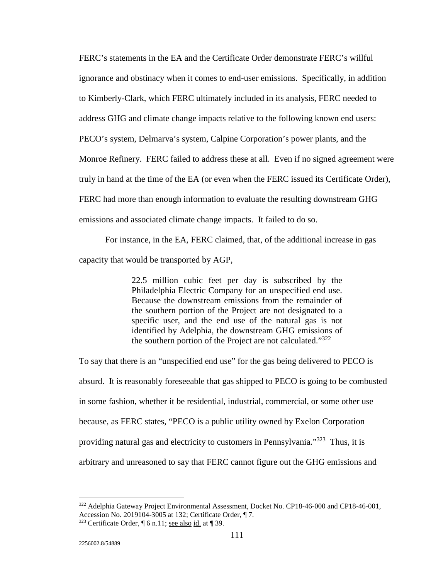FERC's statements in the EA and the Certificate Order demonstrate FERC's willful ignorance and obstinacy when it comes to end-user emissions. Specifically, in addition to Kimberly-Clark, which FERC ultimately included in its analysis, FERC needed to address GHG and climate change impacts relative to the following known end users: PECO's system, Delmarva's system, Calpine Corporation's power plants, and the Monroe Refinery. FERC failed to address these at all. Even if no signed agreement were truly in hand at the time of the EA (or even when the FERC issued its Certificate Order), FERC had more than enough information to evaluate the resulting downstream GHG emissions and associated climate change impacts. It failed to do so.

 For instance, in the EA, FERC claimed, that, of the additional increase in gas capacity that would be transported by AGP,

> 22.5 million cubic feet per day is subscribed by the Philadelphia Electric Company for an unspecified end use. Because the downstream emissions from the remainder of the southern portion of the Project are not designated to a specific user, and the end use of the natural gas is not identified by Adelphia, the downstream GHG emissions of the southern portion of the Project are not calculated."322

To say that there is an "unspecified end use" for the gas being delivered to PECO is absurd. It is reasonably foreseeable that gas shipped to PECO is going to be combusted in some fashion, whether it be residential, industrial, commercial, or some other use because, as FERC states, "PECO is a public utility owned by Exelon Corporation providing natural gas and electricity to customers in Pennsylvania."323 Thus, it is arbitrary and unreasoned to say that FERC cannot figure out the GHG emissions and

<sup>&</sup>lt;sup>322</sup> Adelphia Gateway Project Environmental Assessment, Docket No. CP18-46-000 and CP18-46-001, Accession No. 2019104-3005 at 132; Certificate Order, ¶ 7.

 $323$  Certificate Order,  $\P$  6 n.11; see also id. at  $\P$  39.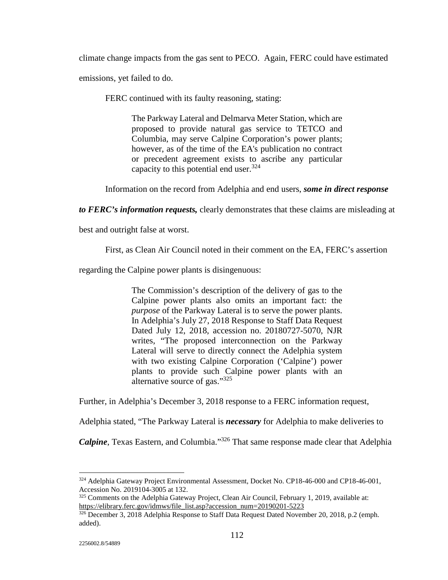climate change impacts from the gas sent to PECO. Again, FERC could have estimated emissions, yet failed to do.

FERC continued with its faulty reasoning, stating:

The Parkway Lateral and Delmarva Meter Station, which are proposed to provide natural gas service to TETCO and Columbia, may serve Calpine Corporation's power plants; however, as of the time of the EA's publication no contract or precedent agreement exists to ascribe any particular capacity to this potential end user.<sup>324</sup>

Information on the record from Adelphia and end users, *some in direct response* 

*to FERC's information requests,* clearly demonstrates that these claims are misleading at

best and outright false at worst.

First, as Clean Air Council noted in their comment on the EA, FERC's assertion

regarding the Calpine power plants is disingenuous:

The Commission's description of the delivery of gas to the Calpine power plants also omits an important fact: the *purpose* of the Parkway Lateral is to serve the power plants. In Adelphia's July 27, 2018 Response to Staff Data Request Dated July 12, 2018, accession no. 20180727-5070, NJR writes, "The proposed interconnection on the Parkway Lateral will serve to directly connect the Adelphia system with two existing Calpine Corporation ('Calpine') power plants to provide such Calpine power plants with an alternative source of gas."325

Further, in Adelphia's December 3, 2018 response to a FERC information request,

Adelphia stated, "The Parkway Lateral is *necessary* for Adelphia to make deliveries to

*Calpine*, Texas Eastern, and Columbia."<sup>326</sup> That same response made clear that Adelphia

<sup>&</sup>lt;sup>324</sup> Adelphia Gateway Project Environmental Assessment, Docket No. CP18-46-000 and CP18-46-001, Accession No. 2019104-3005 at 132.

 $325$  Comments on the Adelphia Gateway Project, Clean Air Council, February 1, 2019, available at: https://elibrary.ferc.gov/idmws/file\_list.asp?accession\_num=20190201-5223

<sup>326</sup> December 3, 2018 Adelphia Response to Staff Data Request Dated November 20, 2018, p.2 (emph. added).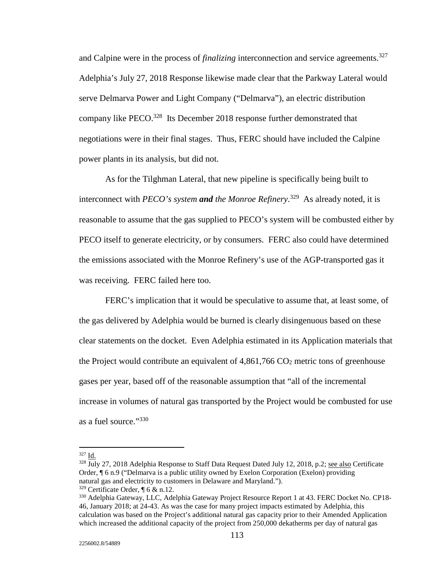and Calpine were in the process of *finalizing* interconnection and service agreements.<sup>327</sup> Adelphia's July 27, 2018 Response likewise made clear that the Parkway Lateral would serve Delmarva Power and Light Company ("Delmarva"), an electric distribution company like PECO.<sup>328</sup> Its December 2018 response further demonstrated that negotiations were in their final stages. Thus, FERC should have included the Calpine power plants in its analysis, but did not.

 As for the Tilghman Lateral, that new pipeline is specifically being built to interconnect with *PECO's system and the Monroe Refinery*. 329 As already noted, it is reasonable to assume that the gas supplied to PECO's system will be combusted either by PECO itself to generate electricity, or by consumers. FERC also could have determined the emissions associated with the Monroe Refinery's use of the AGP-transported gas it was receiving. FERC failed here too.

 FERC's implication that it would be speculative to assume that, at least some, of the gas delivered by Adelphia would be burned is clearly disingenuous based on these clear statements on the docket. Even Adelphia estimated in its Application materials that the Project would contribute an equivalent of  $4,861,766$  CO<sub>2</sub> metric tons of greenhouse gases per year, based off of the reasonable assumption that "all of the incremental increase in volumes of natural gas transported by the Project would be combusted for use as a fuel source."<sup>330</sup>

 $327$  Id.

 $328 \overline{J}$ Uly 27, 2018 Adelphia Response to Staff Data Request Dated July 12, 2018, p.2; see also Certificate Order, ¶ 6 n.9 ("Delmarva is a public utility owned by Exelon Corporation (Exelon) providing natural gas and electricity to customers in Delaware and Maryland.").

<sup>&</sup>lt;sup>329</sup> Certificate Order, ¶ 6 & n.12.<br><sup>330</sup> Adelphia Gateway, LLC, Adelphia Gateway Project Resource Report 1 at 43. FERC Docket No. CP18-46, January 2018; at 24-43. As was the case for many project impacts estimated by Adelphia, this calculation was based on the Project's additional natural gas capacity prior to their Amended Application which increased the additional capacity of the project from 250,000 dekatherms per day of natural gas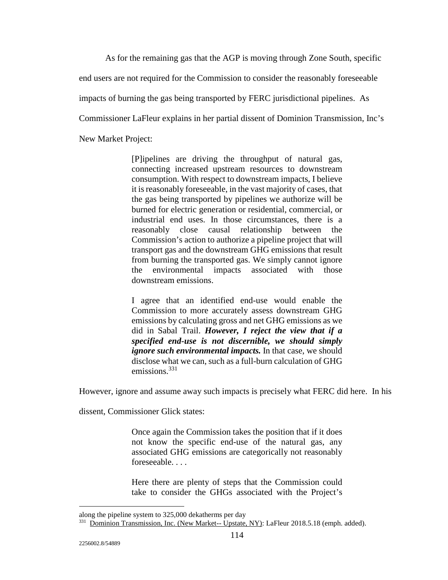As for the remaining gas that the AGP is moving through Zone South, specific

end users are not required for the Commission to consider the reasonably foreseeable

impacts of burning the gas being transported by FERC jurisdictional pipelines. As

Commissioner LaFleur explains in her partial dissent of Dominion Transmission, Inc's

New Market Project:

[P]ipelines are driving the throughput of natural gas, connecting increased upstream resources to downstream consumption. With respect to downstream impacts, I believe it is reasonably foreseeable, in the vast majority of cases, that the gas being transported by pipelines we authorize will be burned for electric generation or residential, commercial, or industrial end uses. In those circumstances, there is a reasonably close causal relationship between the Commission's action to authorize a pipeline project that will transport gas and the downstream GHG emissions that result from burning the transported gas. We simply cannot ignore the environmental impacts associated with those downstream emissions.

I agree that an identified end-use would enable the Commission to more accurately assess downstream GHG emissions by calculating gross and net GHG emissions as we did in Sabal Trail. *However, I reject the view that if a specified end-use is not discernible, we should simply ignore such environmental impacts.* In that case, we should disclose what we can, such as a full-burn calculation of GHG emissions.<sup>331</sup>

However, ignore and assume away such impacts is precisely what FERC did here. In his

dissent, Commissioner Glick states:

Once again the Commission takes the position that if it does not know the specific end-use of the natural gas, any associated GHG emissions are categorically not reasonably foreseeable. . . .

Here there are plenty of steps that the Commission could take to consider the GHGs associated with the Project's

along the pipeline system to 325,000 dekatherms per day

<sup>&</sup>lt;sup>331</sup> Dominion Transmission, Inc. (New Market-- Upstate, NY): LaFleur 2018.5.18 (emph. added).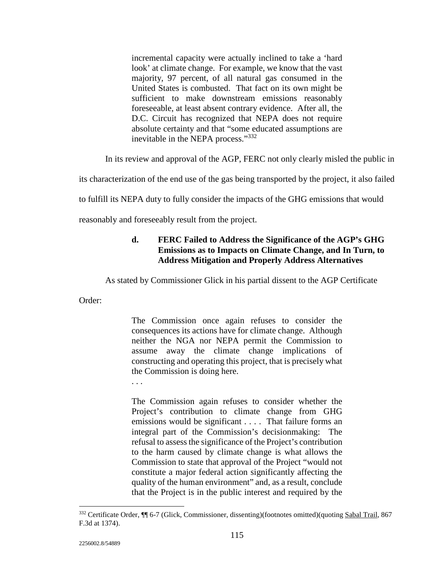incremental capacity were actually inclined to take a 'hard look' at climate change. For example, we know that the vast majority, 97 percent, of all natural gas consumed in the United States is combusted. That fact on its own might be sufficient to make downstream emissions reasonably foreseeable, at least absent contrary evidence. After all, the D.C. Circuit has recognized that NEPA does not require absolute certainty and that "some educated assumptions are inevitable in the NEPA process."<sup>332</sup>

In its review and approval of the AGP, FERC not only clearly misled the public in

its characterization of the end use of the gas being transported by the project, it also failed

to fulfill its NEPA duty to fully consider the impacts of the GHG emissions that would

reasonably and foreseeably result from the project.

## **d. FERC Failed to Address the Significance of the AGP's GHG Emissions as to Impacts on Climate Change, and In Turn, to Address Mitigation and Properly Address Alternatives**

As stated by Commissioner Glick in his partial dissent to the AGP Certificate

Order:

The Commission once again refuses to consider the consequences its actions have for climate change. Although neither the NGA nor NEPA permit the Commission to assume away the climate change implications of constructing and operating this project, that is precisely what the Commission is doing here.

. . .

The Commission again refuses to consider whether the Project's contribution to climate change from GHG emissions would be significant . . . . That failure forms an integral part of the Commission's decisionmaking: The refusal to assess the significance of the Project's contribution to the harm caused by climate change is what allows the Commission to state that approval of the Project "would not constitute a major federal action significantly affecting the quality of the human environment" and, as a result, conclude that the Project is in the public interest and required by the

<sup>332</sup> Certificate Order, ¶¶ 6-7 (Glick, Commissioner, dissenting)(footnotes omitted)(quoting Sabal Trail, 867 F.3d at 1374).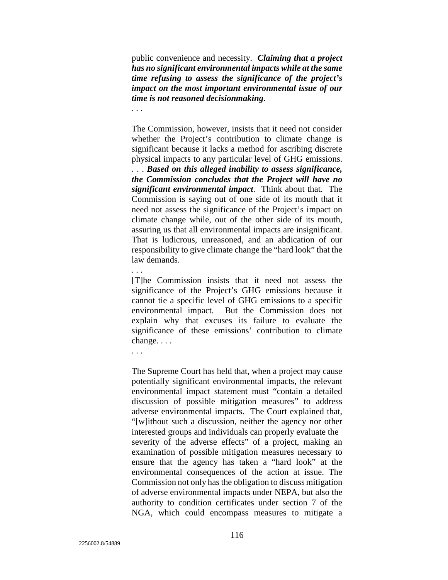public convenience and necessity. *Claiming that a project has no significant environmental impacts while at the same time refusing to assess the significance of the project's impact on the most important environmental issue of our time is not reasoned decisionmaking*.

. . .

The Commission, however, insists that it need not consider whether the Project's contribution to climate change is significant because it lacks a method for ascribing discrete physical impacts to any particular level of GHG emissions. . . . *Based on this alleged inability to assess significance, the Commission concludes that the Project will have no significant environmental impact*. Think about that. The Commission is saying out of one side of its mouth that it need not assess the significance of the Project's impact on climate change while, out of the other side of its mouth, assuring us that all environmental impacts are insignificant. That is ludicrous, unreasoned, and an abdication of our responsibility to give climate change the "hard look" that the law demands.

. . .

[T]he Commission insists that it need not assess the significance of the Project's GHG emissions because it cannot tie a specific level of GHG emissions to a specific environmental impact. But the Commission does not explain why that excuses its failure to evaluate the significance of these emissions' contribution to climate change. . . .

. . .

The Supreme Court has held that, when a project may cause potentially significant environmental impacts, the relevant environmental impact statement must "contain a detailed discussion of possible mitigation measures" to address adverse environmental impacts. The Court explained that, "[w]ithout such a discussion, neither the agency nor other interested groups and individuals can properly evaluate the severity of the adverse effects" of a project, making an examination of possible mitigation measures necessary to ensure that the agency has taken a "hard look" at the environmental consequences of the action at issue. The Commission not only has the obligation to discuss mitigation of adverse environmental impacts under NEPA, but also the authority to condition certificates under section 7 of the NGA, which could encompass measures to mitigate a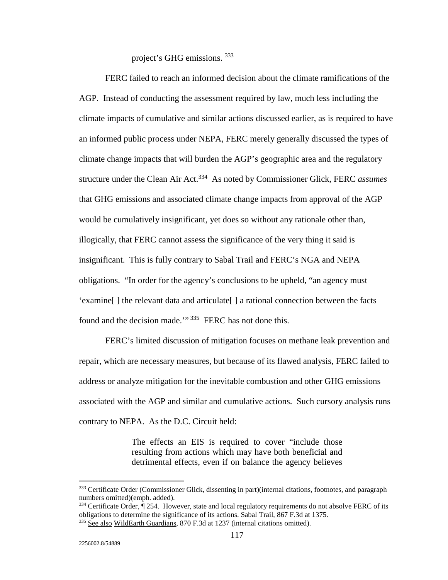project's GHG emissions. 333

 FERC failed to reach an informed decision about the climate ramifications of the AGP. Instead of conducting the assessment required by law, much less including the climate impacts of cumulative and similar actions discussed earlier, as is required to have an informed public process under NEPA, FERC merely generally discussed the types of climate change impacts that will burden the AGP's geographic area and the regulatory structure under the Clean Air Act.334 As noted by Commissioner Glick, FERC *assumes* that GHG emissions and associated climate change impacts from approval of the AGP would be cumulatively insignificant, yet does so without any rationale other than, illogically, that FERC cannot assess the significance of the very thing it said is insignificant. This is fully contrary to Sabal Trail and FERC's NGA and NEPA obligations. "In order for the agency's conclusions to be upheld, "an agency must 'examine[ ] the relevant data and articulate[ ] a rational connection between the facts found and the decision made."<sup>335</sup> FERC has not done this.

 FERC's limited discussion of mitigation focuses on methane leak prevention and repair, which are necessary measures, but because of its flawed analysis, FERC failed to address or analyze mitigation for the inevitable combustion and other GHG emissions associated with the AGP and similar and cumulative actions. Such cursory analysis runs contrary to NEPA. As the D.C. Circuit held:

> The effects an EIS is required to cover "include those resulting from actions which may have both beneficial and detrimental effects, even if on balance the agency believes

<sup>&</sup>lt;sup>333</sup> Certificate Order (Commissioner Glick, dissenting in part)(internal citations, footnotes, and paragraph numbers omitted)(emph. added).

 $334$  Certificate Order,  $\P$  254. However, state and local regulatory requirements do not absolve FERC of its obligations to determine the significance of its actions. Sabal Trail, 867 F.3d at 1375.

<sup>&</sup>lt;sup>335</sup> See also WildEarth Guardians, 870 F.3d at 1237 (internal citations omitted).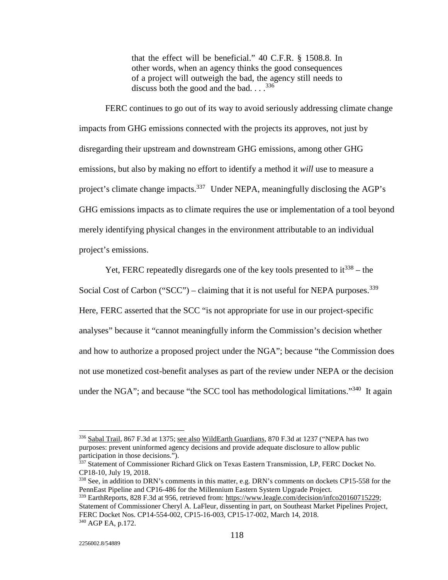that the effect will be beneficial." 40 C.F.R. § 1508.8. In other words, when an agency thinks the good consequences of a project will outweigh the bad, the agency still needs to discuss both the good and the bad.  $\ldots$ <sup>336</sup>

FERC continues to go out of its way to avoid seriously addressing climate change impacts from GHG emissions connected with the projects its approves, not just by disregarding their upstream and downstream GHG emissions, among other GHG emissions, but also by making no effort to identify a method it *will* use to measure a project's climate change impacts.<sup>337</sup> Under NEPA, meaningfully disclosing the AGP's GHG emissions impacts as to climate requires the use or implementation of a tool beyond merely identifying physical changes in the environment attributable to an individual project's emissions.

Yet, FERC repeatedly disregards one of the key tools presented to  $it^{338}$  – the Social Cost of Carbon ("SCC") – claiming that it is not useful for NEPA purposes.<sup>339</sup> Here, FERC asserted that the SCC "is not appropriate for use in our project-specific analyses" because it "cannot meaningfully inform the Commission's decision whether and how to authorize a proposed project under the NGA"; because "the Commission does not use monetized cost-benefit analyses as part of the review under NEPA or the decision under the NGA"; and because "the SCC tool has methodological limitations."<sup>340</sup> It again

<u>.</u>

<sup>&</sup>lt;sup>336</sup> Sabal Trail, 867 F.3d at 1375; see also WildEarth Guardians, 870 F.3d at 1237 ("NEPA has two purposes: prevent uninformed agency decisions and provide adequate disclosure to allow public participation in those decisions.").

<sup>337</sup> Statement of Commissioner Richard Glick on Texas Eastern Transmission, LP, FERC Docket No. CP18-10, July 19, 2018.

<sup>338</sup> See, in addition to DRN's comments in this matter, e.g. DRN's comments on dockets CP15-558 for the PennEast Pipeline and CP16-486 for the Millennium Eastern System Upgrade Project.

<sup>&</sup>lt;sup>339</sup> EarthReports, 828 F.3d at 956, retrieved from: https://www.leagle.com/decision/infco20160715229; Statement of Commissioner Cheryl A. LaFleur, dissenting in part, on Southeast Market Pipelines Project, FERC Docket Nos. CP14-554-002, CP15-16-003, CP15-17-002, March 14, 2018. 340 AGP EA, p.172.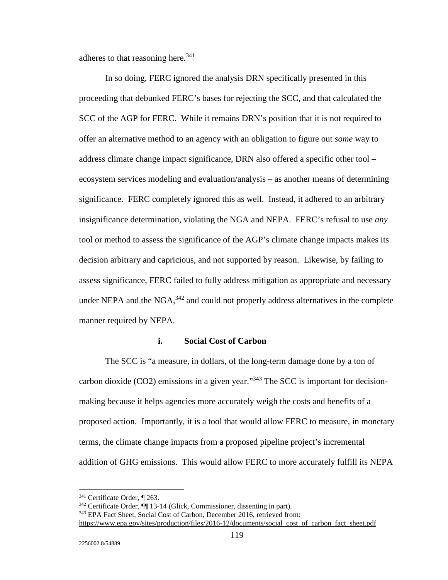adheres to that reasoning here. $341$ 

 In so doing, FERC ignored the analysis DRN specifically presented in this proceeding that debunked FERC's bases for rejecting the SCC, and that calculated the SCC of the AGP for FERC. While it remains DRN's position that it is not required to offer an alternative method to an agency with an obligation to figure out *some* way to address climate change impact significance, DRN also offered a specific other tool – ecosystem services modeling and evaluation/analysis – as another means of determining significance. FERC completely ignored this as well. Instead, it adhered to an arbitrary insignificance determination, violating the NGA and NEPA. FERC's refusal to use *any* tool or method to assess the significance of the AGP's climate change impacts makes its decision arbitrary and capricious, and not supported by reason. Likewise, by failing to assess significance, FERC failed to fully address mitigation as appropriate and necessary under NEPA and the NGA, $342$  and could not properly address alternatives in the complete manner required by NEPA.

#### **i. Social Cost of Carbon**

The SCC is "a measure, in dollars, of the long-term damage done by a ton of carbon dioxide (CO2) emissions in a given year." $343$  The SCC is important for decisionmaking because it helps agencies more accurately weigh the costs and benefits of a proposed action. Importantly, it is a tool that would allow FERC to measure, in monetary terms, the climate change impacts from a proposed pipeline project's incremental addition of GHG emissions. This would allow FERC to more accurately fulfill its NEPA

<sup>&</sup>lt;sup>341</sup> Certificate Order, ¶ 263.<br><sup>342</sup> Certificate Order, ¶ 13-14 (Glick, Commissioner, dissenting in part).<br><sup>343</sup> EPA Fact Sheet, Social Cost of Carbon, December 2016, retrieved from:

https://www.epa.gov/sites/production/files/2016-12/documents/social\_cost\_of\_carbon\_fact\_sheet.pdf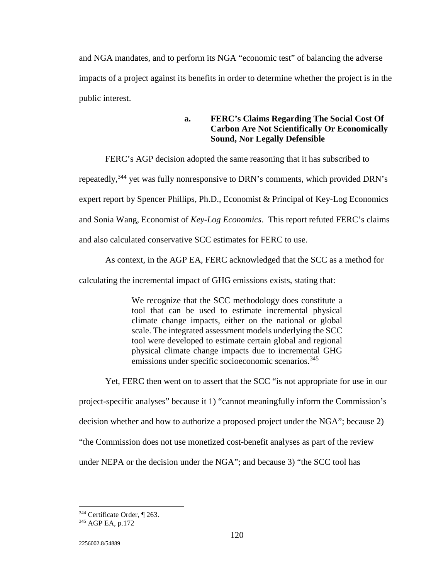and NGA mandates, and to perform its NGA "economic test" of balancing the adverse impacts of a project against its benefits in order to determine whether the project is in the public interest.

> **a. FERC's Claims Regarding The Social Cost Of Carbon Are Not Scientifically Or Economically Sound, Nor Legally Defensible**

FERC's AGP decision adopted the same reasoning that it has subscribed to

repeatedly,<sup>344</sup> yet was fully nonresponsive to DRN's comments, which provided DRN's

expert report by Spencer Phillips, Ph.D., Economist & Principal of Key-Log Economics

and Sonia Wang, Economist of *Key-Log Economics*. This report refuted FERC's claims

and also calculated conservative SCC estimates for FERC to use.

As context, in the AGP EA, FERC acknowledged that the SCC as a method for

calculating the incremental impact of GHG emissions exists, stating that:

We recognize that the SCC methodology does constitute a tool that can be used to estimate incremental physical climate change impacts, either on the national or global scale. The integrated assessment models underlying the SCC tool were developed to estimate certain global and regional physical climate change impacts due to incremental GHG emissions under specific socioeconomic scenarios.<sup>345</sup>

 Yet, FERC then went on to assert that the SCC "is not appropriate for use in our project-specific analyses" because it 1) "cannot meaningfully inform the Commission's decision whether and how to authorize a proposed project under the NGA"; because 2) "the Commission does not use monetized cost-benefit analyses as part of the review under NEPA or the decision under the NGA"; and because 3) "the SCC tool has

<sup>-</sup><sup>344</sup> Certificate Order,  $\P$  263.<br><sup>345</sup> AGP EA, p.172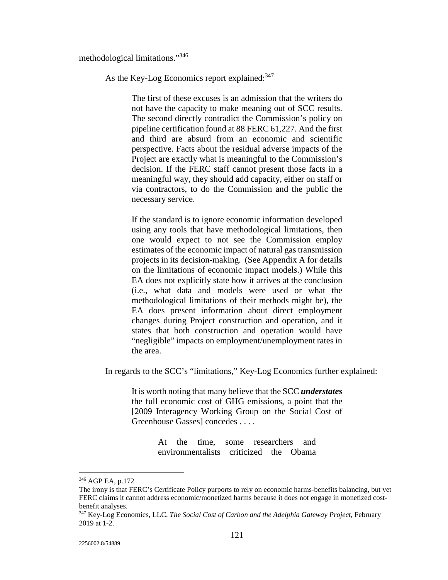methodological limitations."346

As the Key-Log Economics report explained: 347

The first of these excuses is an admission that the writers do not have the capacity to make meaning out of SCC results. The second directly contradict the Commission's policy on pipeline certification found at 88 FERC 61,227. And the first and third are absurd from an economic and scientific perspective. Facts about the residual adverse impacts of the Project are exactly what is meaningful to the Commission's decision. If the FERC staff cannot present those facts in a meaningful way, they should add capacity, either on staff or via contractors, to do the Commission and the public the necessary service.

If the standard is to ignore economic information developed using any tools that have methodological limitations, then one would expect to not see the Commission employ estimates of the economic impact of natural gas transmission projects in its decision-making. (See Appendix A for details on the limitations of economic impact models.) While this EA does not explicitly state how it arrives at the conclusion (i.e., what data and models were used or what the methodological limitations of their methods might be), the EA does present information about direct employment changes during Project construction and operation, and it states that both construction and operation would have "negligible" impacts on employment/unemployment rates in the area.

In regards to the SCC's "limitations," Key-Log Economics further explained:

It is worth noting that many believe that the SCC *understates* the full economic cost of GHG emissions, a point that the [2009 Interagency Working Group on the Social Cost of Greenhouse Gasses] concedes . . . .

> At the time, some researchers and environmentalists criticized the Obama

<u>.</u>

<sup>346</sup> AGP EA, p.172

The irony is that FERC's Certificate Policy purports to rely on economic harms-benefits balancing, but yet FERC claims it cannot address economic/monetized harms because it does not engage in monetized costbenefit analyses.

<sup>347</sup> Key-Log Economics, LLC, *The Social Cost of Carbon and the Adelphia Gateway Project,* February 2019 at 1-2.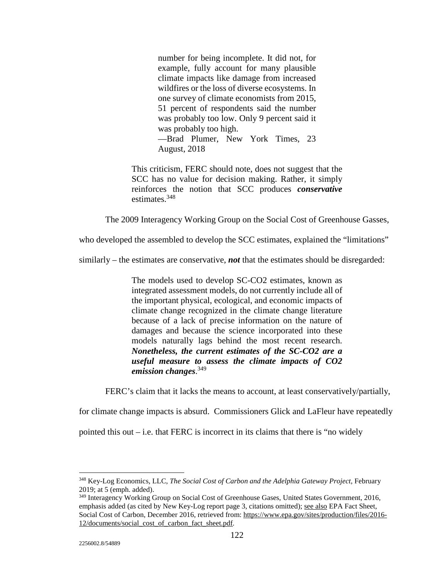number for being incomplete. It did not, for example, fully account for many plausible climate impacts like damage from increased wildfires or the loss of diverse ecosystems. In one survey of climate economists from 2015, 51 percent of respondents said the number was probably too low. Only 9 percent said it was probably too high. —Brad Plumer, New York Times, 23 August, 2018

This criticism, FERC should note, does not suggest that the SCC has no value for decision making. Rather, it simply reinforces the notion that SCC produces *conservative* estimates.<sup>348</sup>

The 2009 Interagency Working Group on the Social Cost of Greenhouse Gasses,

who developed the assembled to develop the SCC estimates, explained the "limitations"

similarly – the estimates are conservative, *not* that the estimates should be disregarded:

The models used to develop SC-CO2 estimates, known as integrated assessment models, do not currently include all of the important physical, ecological, and economic impacts of climate change recognized in the climate change literature because of a lack of precise information on the nature of damages and because the science incorporated into these models naturally lags behind the most recent research. *Nonetheless, the current estimates of the SC-CO2 are a useful measure to assess the climate impacts of CO2 emission changes*. 349

FERC's claim that it lacks the means to account, at least conservatively/partially,

for climate change impacts is absurd. Commissioners Glick and LaFleur have repeatedly

pointed this out  $-i.e.$  that FERC is incorrect in its claims that there is "no widely"

<sup>348</sup> Key-Log Economics, LLC, *The Social Cost of Carbon and the Adelphia Gateway Project,* February 2019; at 5 (emph. added).

<sup>&</sup>lt;sup>349</sup> Interagency Working Group on Social Cost of Greenhouse Gases, United States Government, 2016, emphasis added (as cited by New Key-Log report page 3, citations omitted); see also EPA Fact Sheet, Social Cost of Carbon, December 2016, retrieved from: https://www.epa.gov/sites/production/files/2016- 12/documents/social\_cost\_of\_carbon\_fact\_sheet.pdf.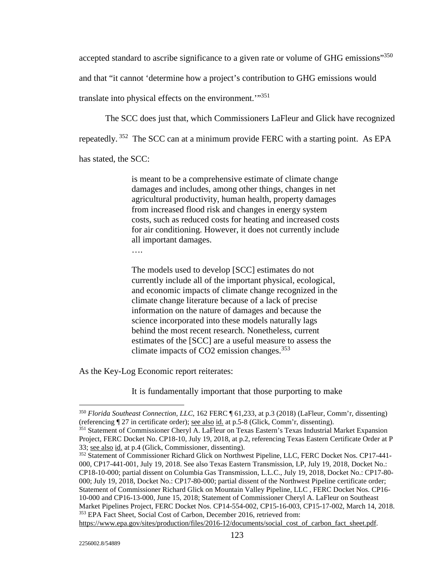accepted standard to ascribe significance to a given rate or volume of GHG emissions"350 and that "it cannot 'determine how a project's contribution to GHG emissions would translate into physical effects on the environment."<sup>351</sup>

The SCC does just that, which Commissioners LaFleur and Glick have recognized

repeatedly. 352 The SCC can at a minimum provide FERC with a starting point. As EPA

has stated, the SCC:

is meant to be a comprehensive estimate of climate change damages and includes, among other things, changes in net agricultural productivity, human health, property damages from increased flood risk and changes in energy system costs, such as reduced costs for heating and increased costs for air conditioning. However, it does not currently include all important damages.

….

The models used to develop [SCC] estimates do not currently include all of the important physical, ecological, and economic impacts of climate change recognized in the climate change literature because of a lack of precise information on the nature of damages and because the science incorporated into these models naturally lags behind the most recent research. Nonetheless, current estimates of the [SCC] are a useful measure to assess the climate impacts of CO2 emission changes.<sup>353</sup>

As the Key-Log Economic report reiterates:

It is fundamentally important that those purporting to make

https://www.epa.gov/sites/production/files/2016-12/documents/social\_cost\_of\_carbon\_fact\_sheet.pdf.

<sup>350</sup> *Florida Southeast Connection, LLC*, 162 FERC ¶ 61,233, at p.3 (2018) (LaFleur, Comm'r, dissenting) (referencing ¶ 27 in certificate order); see also id. at p.5-8 (Glick, Comm'r, dissenting).

<sup>&</sup>lt;sup>351</sup> Statement of Commissioner Cheryl A. LaFleur on Texas Eastern's Texas Industrial Market Expansion Project, FERC Docket No. CP18-10, July 19, 2018, at p.2, referencing Texas Eastern Certificate Order at P 33; see also id. at p.4 (Glick, Commissioner, dissenting).

<sup>&</sup>lt;sup>352</sup> Statement of Commissioner Richard Glick on Northwest Pipeline, LLC, FERC Docket Nos. CP17-441-000, CP17-441-001, July 19, 2018. See also Texas Eastern Transmission, LP, July 19, 2018, Docket No.: CP18-10-000; partial dissent on Columbia Gas Transmission, L.L.C., July 19, 2018, Docket No.: CP17-80- 000; July 19, 2018, Docket No.: CP17-80-000; partial dissent of the Northwest Pipeline certificate order; Statement of Commissioner Richard Glick on Mountain Valley Pipeline, LLC , FERC Docket Nos. CP16- 10-000 and CP16-13-000, June 15, 2018; Statement of Commissioner Cheryl A. LaFleur on Southeast Market Pipelines Project, FERC Docket Nos. CP14-554-002, CP15-16-003, CP15-17-002, March 14, 2018. 353 EPA Fact Sheet, Social Cost of Carbon, December 2016, retrieved from: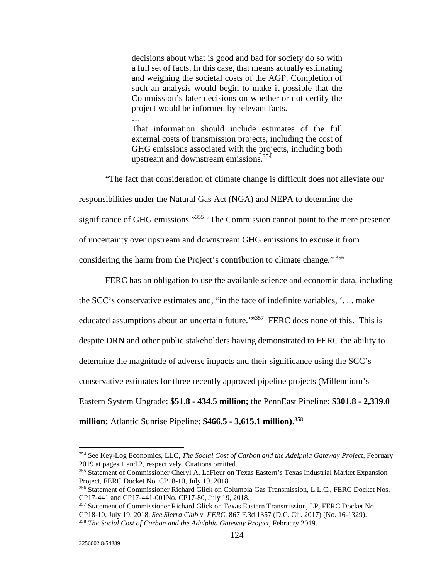decisions about what is good and bad for society do so with a full set of facts. In this case, that means actually estimating and weighing the societal costs of the AGP. Completion of such an analysis would begin to make it possible that the Commission's later decisions on whether or not certify the project would be informed by relevant facts.

That information should include estimates of the full external costs of transmission projects, including the cost of GHG emissions associated with the projects, including both upstream and downstream emissions.354

…

 "The fact that consideration of climate change is difficult does not alleviate our responsibilities under the Natural Gas Act (NGA) and NEPA to determine the significance of GHG emissions."<sup>355</sup> "The Commission cannot point to the mere presence of uncertainty over upstream and downstream GHG emissions to excuse it from considering the harm from the Project's contribution to climate change." 356

 FERC has an obligation to use the available science and economic data, including the SCC's conservative estimates and, "in the face of indefinite variables, '. . . make educated assumptions about an uncertain future.'"<sup>357</sup> FERC does none of this. This is despite DRN and other public stakeholders having demonstrated to FERC the ability to determine the magnitude of adverse impacts and their significance using the SCC's conservative estimates for three recently approved pipeline projects (Millennium's Eastern System Upgrade: **\$51.8 - 434.5 million;** the PennEast Pipeline: **\$301.8 - 2,339.0 million;** Atlantic Sunrise Pipeline: **\$466.5 - 3,615.1 million)**. 358

<sup>354</sup> See Key-Log Economics, LLC, *The Social Cost of Carbon and the Adelphia Gateway Project,* February 2019 at pages 1 and 2, respectively. Citations omitted.

<sup>355</sup> Statement of Commissioner Cheryl A. LaFleur on Texas Eastern's Texas Industrial Market Expansion Project, FERC Docket No. CP18-10, July 19, 2018.

<sup>356</sup> Statement of Commissioner Richard Glick on Columbia Gas Transmission, L.L.C., FERC Docket Nos. CP17-441 and CP17-441-001No. CP17-80, July 19, 2018.

<sup>&</sup>lt;sup>357</sup> Statement of Commissioner Richard Glick on Texas Eastern Transmission, LP, FERC Docket No.<br>CP18-10, July 19, 2018. See <u>Sierra Club v. FERC</u>, 867 F.3d 1357 (D.C. Cir. 2017) (No. 16-1329). <sup>358</sup> The Social Cost of Carbon and the Adelphia Gateway Project, February 2019.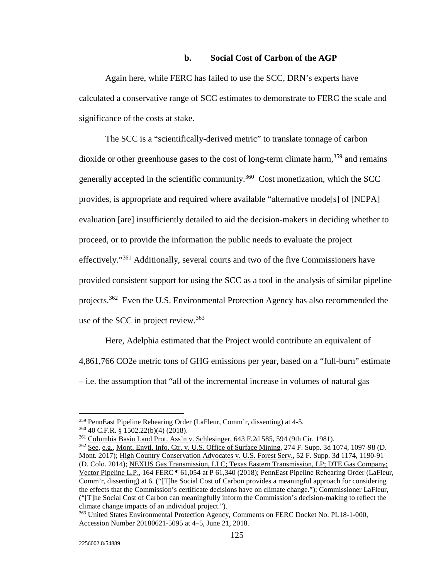#### **b. Social Cost of Carbon of the AGP**

 Again here, while FERC has failed to use the SCC, DRN's experts have calculated a conservative range of SCC estimates to demonstrate to FERC the scale and significance of the costs at stake.

 The SCC is a "scientifically-derived metric" to translate tonnage of carbon dioxide or other greenhouse gases to the cost of long-term climate harm,  $359$  and remains generally accepted in the scientific community.360 Cost monetization, which the SCC provides, is appropriate and required where available "alternative mode[s] of [NEPA] evaluation [are] insufficiently detailed to aid the decision-makers in deciding whether to proceed, or to provide the information the public needs to evaluate the project effectively."361 Additionally, several courts and two of the five Commissioners have provided consistent support for using the SCC as a tool in the analysis of similar pipeline projects.362 Even the U.S. Environmental Protection Agency has also recommended the use of the SCC in project review.<sup>363</sup>

 Here, Adelphia estimated that the Project would contribute an equivalent of 4,861,766 CO2e metric tons of GHG emissions per year, based on a "full-burn" estimate – i.e. the assumption that "all of the incremental increase in volumes of natural gas

<sup>&</sup>lt;sup>359</sup> PennEast Pipeline Rehearing Order (LaFleur, Comm'r, dissenting) at 4-5.<br><sup>360</sup> 40 C.F.R. § 1502.22(b)(4) (2018).<br><sup>361</sup> <u>Columbia Basin Land Prot. Ass'n v. Schlesinger</u>, 643 F.2d 585, 594 (9th Cir. 1981).<br><sup>362</sup> <u>See, e</u>

Mont. 2017); High Country Conservation Advocates v. U.S. Forest Serv., 52 F. Supp. 3d 1174, 1190-91 (D. Colo. 2014); NEXUS Gas Transmission, LLC; Texas Eastern Transmission, LP; DTE Gas Company; Vector Pipeline L.P., 164 FERC ¶ 61,054 at P 61,340 (2018); PennEast Pipeline Rehearing Order (LaFleur, Comm'r, dissenting) at 6. ("[T]he Social Cost of Carbon provides a meaningful approach for considering the effects that the Commission's certificate decisions have on climate change."); Commissioner LaFleur, ("[T]he Social Cost of Carbon can meaningfully inform the Commission's decision-making to reflect the climate change impacts of an individual project.").

<sup>363</sup> United States Environmental Protection Agency, Comments on FERC Docket No. PL18-1-000, Accession Number 20180621-5095 at 4–5, June 21, 2018.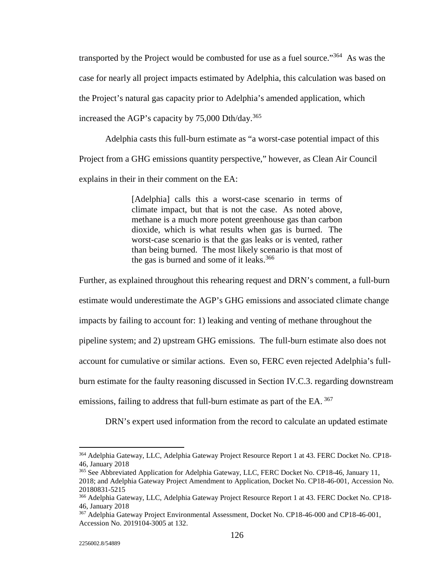transported by the Project would be combusted for use as a fuel source."364 As was the case for nearly all project impacts estimated by Adelphia, this calculation was based on the Project's natural gas capacity prior to Adelphia's amended application, which increased the AGP's capacity by  $75,000$  Dth/day.<sup>365</sup>

 Adelphia casts this full-burn estimate as "a worst-case potential impact of this Project from a GHG emissions quantity perspective," however, as Clean Air Council explains in their in their comment on the EA:

> [Adelphia] calls this a worst-case scenario in terms of climate impact, but that is not the case. As noted above, methane is a much more potent greenhouse gas than carbon dioxide, which is what results when gas is burned. The worst-case scenario is that the gas leaks or is vented, rather than being burned. The most likely scenario is that most of the gas is burned and some of it leaks. $366$

Further, as explained throughout this rehearing request and DRN's comment, a full-burn

estimate would underestimate the AGP's GHG emissions and associated climate change

impacts by failing to account for: 1) leaking and venting of methane throughout the

pipeline system; and 2) upstream GHG emissions. The full-burn estimate also does not

account for cumulative or similar actions. Even so, FERC even rejected Adelphia's full-

burn estimate for the faulty reasoning discussed in Section IV.C.3. regarding downstream

emissions, failing to address that full-burn estimate as part of the EA.<sup>367</sup>

DRN's expert used information from the record to calculate an updated estimate

<sup>-</sup><sup>364</sup> Adelphia Gateway, LLC, Adelphia Gateway Project Resource Report 1 at 43. FERC Docket No. CP18-46, January 2018

<sup>365</sup> See Abbreviated Application for Adelphia Gateway, LLC, FERC Docket No. CP18-46, January 11, 2018; and Adelphia Gateway Project Amendment to Application, Docket No. CP18-46-001, Accession No. 20180831-5215

<sup>366</sup> Adelphia Gateway, LLC, Adelphia Gateway Project Resource Report 1 at 43. FERC Docket No. CP18-46, January 2018

<sup>367</sup> Adelphia Gateway Project Environmental Assessment, Docket No. CP18-46-000 and CP18-46-001, Accession No. 2019104-3005 at 132.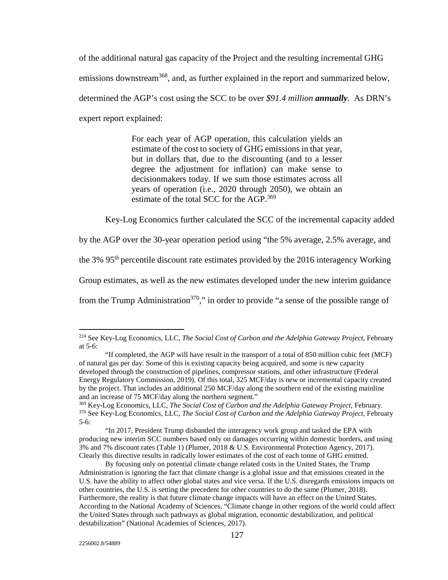of the additional natural gas capacity of the Project and the resulting incremental GHG emissions downstream<sup>368</sup>, and, as further explained in the report and summarized below, determined the AGP's cost using the SCC to be over *\$91.4 million annually*. As DRN's expert report explained:

> For each year of AGP operation, this calculation yields an estimate of the cost to society of GHG emissions in that year, but in dollars that, due to the discounting (and to a lesser degree the adjustment for inflation) can make sense to decisionmakers today. If we sum those estimates across all years of operation (i.e., 2020 through 2050), we obtain an estimate of the total SCC for the AGP.<sup>369</sup>

Key-Log Economics further calculated the SCC of the incremental capacity added

by the AGP over the 30-year operation period using "the 5% average, 2.5% average, and

the 3% 95<sup>th</sup> percentile discount rate estimates provided by the 2016 interagency Working

Group estimates, as well as the new estimates developed under the new interim guidance

from the Trump Administration<sup>370</sup>," in order to provide "a sense of the possible range of

"In 2017, President Trump disbanded the interagency work group and tasked the EPA with producing new interim SCC numbers based only on damages occurring within domestic borders, and using 3% and 7% discount rates (Table 1) (Plumer, 2018 & U.S. Environmental Protection Agency, 2017). Clearly this directive results in radically lower estimates of the cost of each tonne of GHG emitted.

<sup>&</sup>lt;sup>224</sup> See Key-Log Economics, LLC, *The Social Cost of Carbon and the Adelphia Gateway Project*, February at 5-6:

<sup>&</sup>quot;If completed, the AGP will have result in the transport of a total of 850 million cubic feet (MCF) of natural gas per day. Some of this is existing capacity being acquired, and some is new capacity developed through the construction of pipelines, compressor stations, and other infrastructure (Federal Energy Regulatory Commission, 2019). Of this total, 325 MCF/day is new or incremental capacity created by the project. That includes an additional 250 MCF/day along the southern end of the existing mainline and an increase of 75 MCF/day along the northern segment."<br><sup>369</sup> Key-Log Economics, LLC, *The Social Cost of Carbon and the Adelphia Gateway Project*, February.

<sup>369</sup> Key-Log Economics, LLC, *The Social Cost of Carbon and the Adelphia Gateway Project,* February. 370 See Key-Log Economics, LLC, *The Social Cost of Carbon and the Adelphia Gateway Project,* February 5-6:

By focusing only on potential climate change related costs in the United States, the Trump Administration is ignoring the fact that climate change is a global issue and that emissions created in the U.S. have the ability to affect other global states and vice versa. If the U.S. disregards emissions impacts on other countries, the U.S. is setting the precedent for other countries to do the same (Plumer, 2018). Furthermore, the reality is that future climate change impacts will have an effect on the United States. According to the National Academy of Sciences, "Climate change in other regions of the world could affect the United States through such pathways as global migration, economic destabilization, and political destabilization" (National Academies of Sciences, 2017).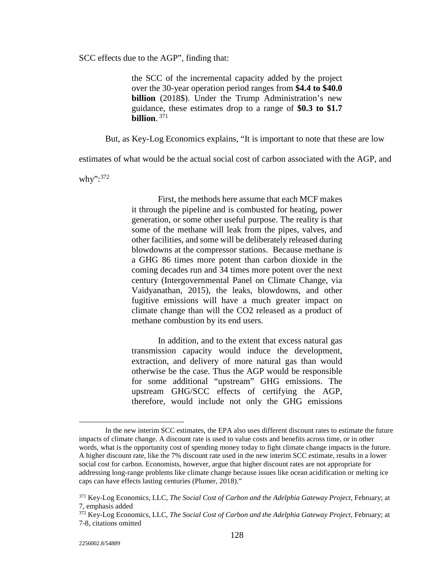SCC effects due to the AGP", finding that:

the SCC of the incremental capacity added by the project over the 30-year operation period ranges from **\$4.4 to \$40.0 billion** (2018\$). Under the Trump Administration's new guidance, these estimates drop to a range of **\$0.3 to \$1.7 billion**. 371

But, as Key-Log Economics explains, "It is important to note that these are low

estimates of what would be the actual social cost of carbon associated with the AGP, and

why":<sup>372</sup>

First, the methods here assume that each MCF makes it through the pipeline and is combusted for heating, power generation, or some other useful purpose. The reality is that some of the methane will leak from the pipes, valves, and other facilities, and some will be deliberately released during blowdowns at the compressor stations. Because methane is a GHG 86 times more potent than carbon dioxide in the coming decades run and 34 times more potent over the next century (Intergovernmental Panel on Climate Change, via Vaidyanathan, 2015), the leaks, blowdowns, and other fugitive emissions will have a much greater impact on climate change than will the CO2 released as a product of methane combustion by its end users.

In addition, and to the extent that excess natural gas transmission capacity would induce the development, extraction, and delivery of more natural gas than would otherwise be the case. Thus the AGP would be responsible for some additional "upstream" GHG emissions. The upstream GHG/SCC effects of certifying the AGP, therefore, would include not only the GHG emissions

In the new interim SCC estimates, the EPA also uses different discount rates to estimate the future impacts of climate change. A discount rate is used to value costs and benefits across time, or in other words, what is the opportunity cost of spending money today to fight climate change impacts in the future. A higher discount rate, like the 7% discount rate used in the new interim SCC estimate, results in a lower social cost for carbon. Economists, however, argue that higher discount rates are not appropriate for addressing long-range problems like climate change because issues like ocean acidification or melting ice caps can have effects lasting centuries (Plumer, 2018)."

<sup>&</sup>lt;sup>371</sup> Key-Log Economics, LLC, *The Social Cost of Carbon and the Adelphia Gateway Project*, February; at 7, emphasis added

<sup>372</sup> Key-Log Economics, LLC, *The Social Cost of Carbon and the Adelphia Gateway Project,* February; at 7-8, citations omitted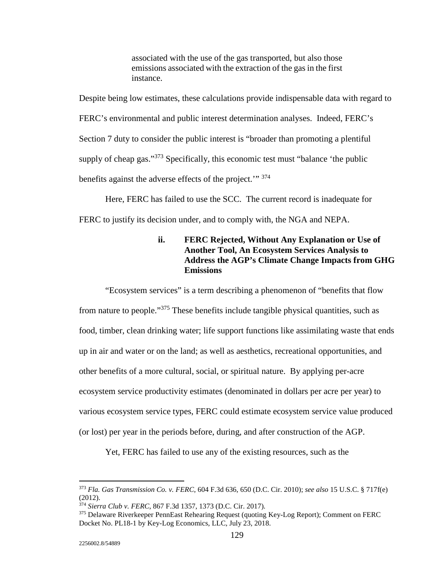associated with the use of the gas transported, but also those emissions associated with the extraction of the gas in the first instance.

Despite being low estimates, these calculations provide indispensable data with regard to FERC's environmental and public interest determination analyses. Indeed, FERC's Section 7 duty to consider the public interest is "broader than promoting a plentiful supply of cheap gas."<sup>373</sup> Specifically, this economic test must "balance 'the public benefits against the adverse effects of the project.'" 374

 Here, FERC has failed to use the SCC. The current record is inadequate for FERC to justify its decision under, and to comply with, the NGA and NEPA.

## **ii. FERC Rejected, Without Any Explanation or Use of Another Tool, An Ecosystem Services Analysis to Address the AGP's Climate Change Impacts from GHG Emissions**

 "Ecosystem services" is a term describing a phenomenon of "benefits that flow from nature to people."375 These benefits include tangible physical quantities, such as food, timber, clean drinking water; life support functions like assimilating waste that ends up in air and water or on the land; as well as aesthetics, recreational opportunities, and other benefits of a more cultural, social, or spiritual nature. By applying per-acre ecosystem service productivity estimates (denominated in dollars per acre per year) to various ecosystem service types, FERC could estimate ecosystem service value produced (or lost) per year in the periods before, during, and after construction of the AGP.

Yet, FERC has failed to use any of the existing resources, such as the

<u>.</u>

<sup>373</sup> *Fla. Gas Transmission Co. v. FERC*, 604 F.3d 636, 650 (D.C. Cir. 2010); *see also* 15 U.S.C. § 717f(e) (2012).<br><sup>374</sup> Sierra Club v. FERC, 867 F.3d 1357, 1373 (D.C. Cir. 2017).

<sup>&</sup>lt;sup>375</sup> Delaware Riverkeeper PennEast Rehearing Request (quoting Key-Log Report); Comment on FERC Docket No. PL18-1 by Key-Log Economics, LLC, July 23, 2018.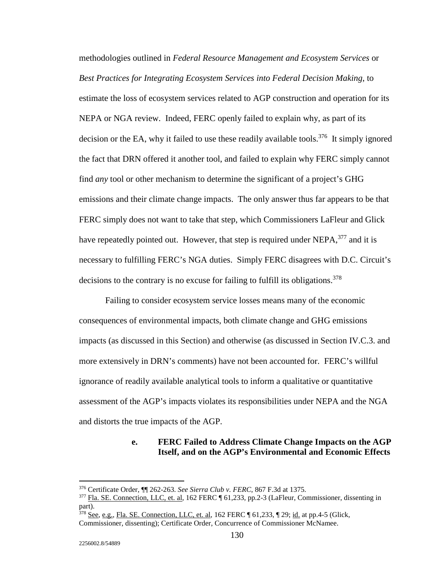methodologies outlined in *Federal Resource Management and Ecosystem Services* or *Best Practices for Integrating Ecosystem Services into Federal Decision Making*, to estimate the loss of ecosystem services related to AGP construction and operation for its NEPA or NGA review. Indeed, FERC openly failed to explain why, as part of its decision or the EA, why it failed to use these readily available tools.<sup>376</sup> It simply ignored the fact that DRN offered it another tool, and failed to explain why FERC simply cannot find *any* tool or other mechanism to determine the significant of a project's GHG emissions and their climate change impacts. The only answer thus far appears to be that FERC simply does not want to take that step, which Commissioners LaFleur and Glick have repeatedly pointed out. However, that step is required under NEPA,<sup>377</sup> and it is necessary to fulfilling FERC's NGA duties. Simply FERC disagrees with D.C. Circuit's decisions to the contrary is no excuse for failing to fulfill its obligations.<sup>378</sup>

 Failing to consider ecosystem service losses means many of the economic consequences of environmental impacts, both climate change and GHG emissions impacts (as discussed in this Section) and otherwise (as discussed in Section IV.C.3. and more extensively in DRN's comments) have not been accounted for. FERC's willful ignorance of readily available analytical tools to inform a qualitative or quantitative assessment of the AGP's impacts violates its responsibilities under NEPA and the NGA and distorts the true impacts of the AGP.

### **e. FERC Failed to Address Climate Change Impacts on the AGP Itself, and on the AGP's Environmental and Economic Effects**

<u>.</u>

<sup>&</sup>lt;sup>376</sup> Certificate Order, ¶¶ 262-263. *See Sierra Club v. FERC*, 867 F.3d at 1375.<br><sup>377</sup> Fla. SE. Connection, LLC, et. al, 162 FERC ¶ 61,233, pp.2-3 (LaFleur, Commissioner, dissenting in part).

<sup>378</sup> See, e.g., Fla. SE. Connection, LLC, et. al, 162 FERC ¶ 61,233, ¶ 29; id. at pp.4-5 (Glick,

Commissioner, dissenting); Certificate Order, Concurrence of Commissioner McNamee.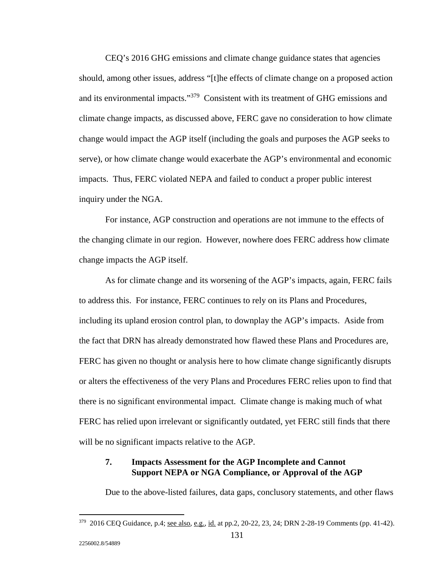CEQ's 2016 GHG emissions and climate change guidance states that agencies should, among other issues, address "[t]he effects of climate change on a proposed action and its environmental impacts."379 Consistent with its treatment of GHG emissions and climate change impacts, as discussed above, FERC gave no consideration to how climate change would impact the AGP itself (including the goals and purposes the AGP seeks to serve), or how climate change would exacerbate the AGP's environmental and economic impacts. Thus, FERC violated NEPA and failed to conduct a proper public interest inquiry under the NGA.

 For instance, AGP construction and operations are not immune to the effects of the changing climate in our region. However, nowhere does FERC address how climate change impacts the AGP itself.

 As for climate change and its worsening of the AGP's impacts, again, FERC fails to address this. For instance, FERC continues to rely on its Plans and Procedures, including its upland erosion control plan, to downplay the AGP's impacts. Aside from the fact that DRN has already demonstrated how flawed these Plans and Procedures are, FERC has given no thought or analysis here to how climate change significantly disrupts or alters the effectiveness of the very Plans and Procedures FERC relies upon to find that there is no significant environmental impact. Climate change is making much of what FERC has relied upon irrelevant or significantly outdated, yet FERC still finds that there will be no significant impacts relative to the AGP.

### **7. Impacts Assessment for the AGP Incomplete and Cannot Support NEPA or NGA Compliance, or Approval of the AGP**

Due to the above-listed failures, data gaps, conclusory statements, and other flaws

<sup>379 2016</sup> CEQ Guidance, p.4; see also, e.g., id. at pp.2, 20-22, 23, 24; DRN 2-28-19 Comments (pp. 41-42).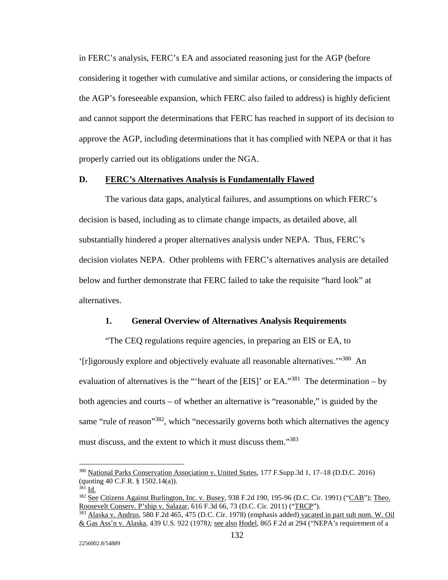in FERC's analysis, FERC's EA and associated reasoning just for the AGP (before considering it together with cumulative and similar actions, or considering the impacts of the AGP's foreseeable expansion, which FERC also failed to address) is highly deficient and cannot support the determinations that FERC has reached in support of its decision to approve the AGP, including determinations that it has complied with NEPA or that it has properly carried out its obligations under the NGA.

### **D. FERC's Alternatives Analysis is Fundamentally Flawed**

 The various data gaps, analytical failures, and assumptions on which FERC's decision is based, including as to climate change impacts, as detailed above, all substantially hindered a proper alternatives analysis under NEPA. Thus, FERC's decision violates NEPA. Other problems with FERC's alternatives analysis are detailed below and further demonstrate that FERC failed to take the requisite "hard look" at alternatives.

#### **1. General Overview of Alternatives Analysis Requirements**

 "The CEQ regulations require agencies, in preparing an EIS or EA, to '[r]igorously explore and objectively evaluate all reasonable alternatives.'"380 An evaluation of alternatives is the "'heart of the [EIS]' or EA."<sup>381</sup> The determination – by both agencies and courts – of whether an alternative is "reasonable," is guided by the same "rule of reason"<sup>382</sup>, which "necessarily governs both which alternatives the agency must discuss, and the extent to which it must discuss them."<sup>383</sup>

<sup>380</sup> National Parks Conservation Association v. United States, 177 F.Supp.3d 1, 17–18 (D.D.C. 2016) (quoting 40 C.F.R. § 1502.14(a)).

<sup>&</sup>lt;sup>381</sup> Id. 382 See Citizens Against Burlington, Inc. v. Busey, 938 F.2d 190, 195-96 (D.C. Cir. 1991) ("CAB"); Theo.<br>Roosevelt Conserv. P'ship v. Salazar, 616 F.3d 66, 73 (D.C. Cir. 2011) ("TRCP").

<sup>&</sup>lt;sup>383</sup> Alaska v. Andrus, 580 F.2d 465, 475 (D.C. Cir. 1978) (emphasis added) vacated in part sub nom. W. Oil & Gas Ass'n v. Alaska, 439 U.S. 922 (1978*);* see also Hodel, 865 F.2d at 294 ("NEPA's requirement of a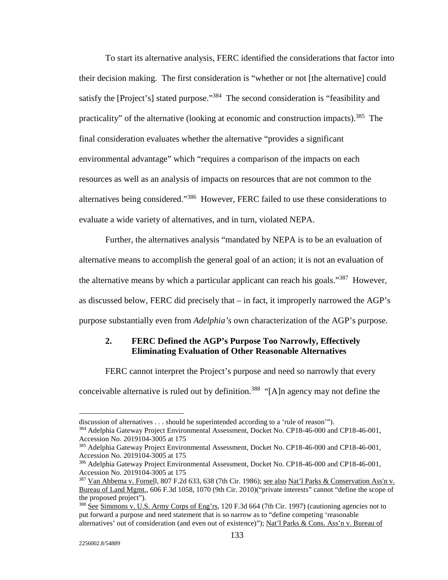To start its alternative analysis, FERC identified the considerations that factor into their decision making. The first consideration is "whether or not [the alternative] could satisfy the [Project's] stated purpose."<sup>384</sup> The second consideration is "feasibility and practicality" of the alternative (looking at economic and construction impacts).385 The final consideration evaluates whether the alternative "provides a significant environmental advantage" which "requires a comparison of the impacts on each resources as well as an analysis of impacts on resources that are not common to the alternatives being considered."386 However, FERC failed to use these considerations to evaluate a wide variety of alternatives, and in turn, violated NEPA.

 Further, the alternatives analysis "mandated by NEPA is to be an evaluation of alternative means to accomplish the general goal of an action; it is not an evaluation of the alternative means by which a particular applicant can reach his goals."<sup>387</sup> However, as discussed below, FERC did precisely that – in fact, it improperly narrowed the AGP's purpose substantially even from *Adelphia's* own characterization of the AGP's purpose.

### **2. FERC Defined the AGP's Purpose Too Narrowly, Effectively Eliminating Evaluation of Other Reasonable Alternatives**

FERC cannot interpret the Project's purpose and need so narrowly that every

conceivable alternative is ruled out by definition.<sup>388</sup> "[A]n agency may not define the

discussion of alternatives . . . should be superintended according to a 'rule of reason'").

<sup>384</sup> Adelphia Gateway Project Environmental Assessment, Docket No. CP18-46-000 and CP18-46-001, Accession No. 2019104-3005 at 175

<sup>&</sup>lt;sup>385</sup> Adelphia Gateway Project Environmental Assessment, Docket No. CP18-46-000 and CP18-46-001, Accession No. 2019104-3005 at 175

<sup>386</sup> Adelphia Gateway Project Environmental Assessment, Docket No. CP18-46-000 and CP18-46-001, Accession No. 2019104-3005 at 175

<sup>387</sup> Van Abbema v. Fornell, 807 F.2d 633, 638 (7th Cir. 1986); see also Nat'l Parks & Conservation Ass'n v. Bureau of Land Mgmt., 606 F.3d 1058, 1070 (9th Cir. 2010)("private interests" cannot "define the scope of the proposed project").

<sup>388</sup> See Simmons v. U.S. Army Corps of Eng'rs, 120 F.3d 664 (7th Cir. 1997) (cautioning agencies not to put forward a purpose and need statement that is so narrow as to "define competing 'reasonable alternatives' out of consideration (and even out of existence)"); Nat'l Parks & Cons. Ass'n v. Bureau of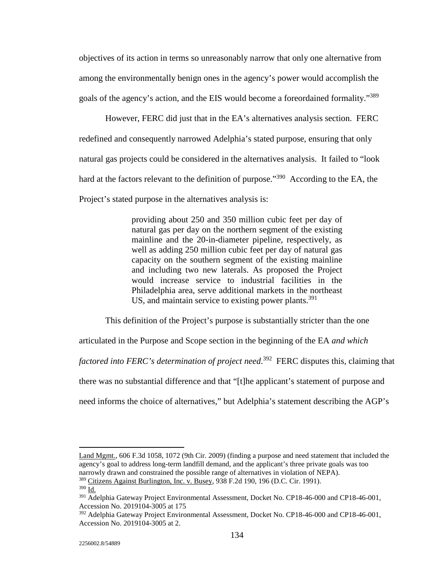objectives of its action in terms so unreasonably narrow that only one alternative from among the environmentally benign ones in the agency's power would accomplish the goals of the agency's action, and the EIS would become a foreordained formality."389

However, FERC did just that in the EA's alternatives analysis section. FERC redefined and consequently narrowed Adelphia's stated purpose, ensuring that only natural gas projects could be considered in the alternatives analysis. It failed to "look hard at the factors relevant to the definition of purpose."<sup>390</sup> According to the EA, the Project's stated purpose in the alternatives analysis is:

> providing about 250 and 350 million cubic feet per day of natural gas per day on the northern segment of the existing mainline and the 20-in-diameter pipeline, respectively, as well as adding 250 million cubic feet per day of natural gas capacity on the southern segment of the existing mainline and including two new laterals. As proposed the Project would increase service to industrial facilities in the Philadelphia area, serve additional markets in the northeast US, and maintain service to existing power plants.<sup>391</sup>

This definition of the Project's purpose is substantially stricter than the one

articulated in the Purpose and Scope section in the beginning of the EA *and which* 

*factored into FERC's determination of project need*. 392 FERC disputes this, claiming that

there was no substantial difference and that "[t]he applicant's statement of purpose and

need informs the choice of alternatives," but Adelphia's statement describing the AGP's

Land Mgmt., 606 F.3d 1058, 1072 (9th Cir. 2009) (finding a purpose and need statement that included the agency's goal to address long-term landfill demand, and the applicant's three private goals was too narrowly drawn and constrained the possible range of alternatives in violation of NEPA). 389 Citizens Against Burlington, Inc. v. Busey, 938 F.2d 190, 196 (D.C. Cir. 1991).

<sup>390</sup> Id.

<sup>&</sup>lt;sup>391</sup> Adelphia Gateway Project Environmental Assessment, Docket No. CP18-46-000 and CP18-46-001, Accession No. 2019104-3005 at 175

<sup>&</sup>lt;sup>392</sup> Adelphia Gateway Project Environmental Assessment, Docket No. CP18-46-000 and CP18-46-001, Accession No. 2019104-3005 at 2.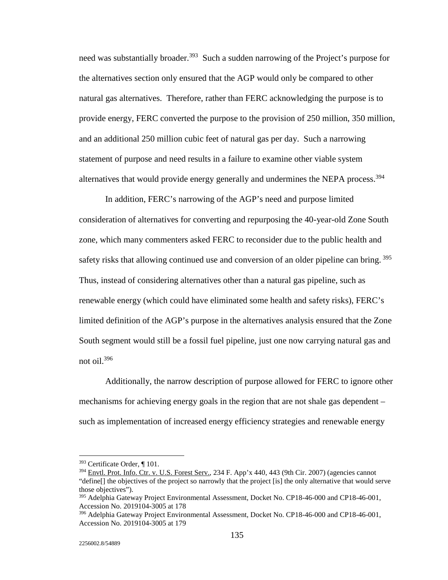need was substantially broader.<sup>393</sup> Such a sudden narrowing of the Project's purpose for the alternatives section only ensured that the AGP would only be compared to other natural gas alternatives. Therefore, rather than FERC acknowledging the purpose is to provide energy, FERC converted the purpose to the provision of 250 million, 350 million, and an additional 250 million cubic feet of natural gas per day. Such a narrowing statement of purpose and need results in a failure to examine other viable system alternatives that would provide energy generally and undermines the NEPA process.<sup>394</sup>

 In addition, FERC's narrowing of the AGP's need and purpose limited consideration of alternatives for converting and repurposing the 40-year-old Zone South zone, which many commenters asked FERC to reconsider due to the public health and safety risks that allowing continued use and conversion of an older pipeline can bring.<sup>395</sup> Thus, instead of considering alternatives other than a natural gas pipeline, such as renewable energy (which could have eliminated some health and safety risks), FERC's limited definition of the AGP's purpose in the alternatives analysis ensured that the Zone South segment would still be a fossil fuel pipeline, just one now carrying natural gas and not oil.396

 Additionally, the narrow description of purpose allowed for FERC to ignore other mechanisms for achieving energy goals in the region that are not shale gas dependent – such as implementation of increased energy efficiency strategies and renewable energy

<sup>393</sup> Certificate Order, ¶ 101.

<sup>394</sup> Envtl. Prot. Info. Ctr. v. U.S. Forest Serv.*,* 234 F. App'x 440, 443 (9th Cir. 2007) (agencies cannot "define[] the objectives of the project so narrowly that the project [is] the only alternative that would serve those objectives").

<sup>&</sup>lt;sup>395</sup> Adelphia Gateway Project Environmental Assessment, Docket No. CP18-46-000 and CP18-46-001, Accession No. 2019104-3005 at 178

<sup>396</sup> Adelphia Gateway Project Environmental Assessment, Docket No. CP18-46-000 and CP18-46-001, Accession No. 2019104-3005 at 179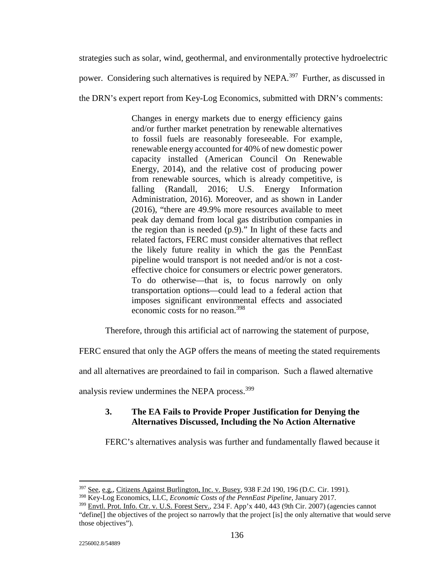strategies such as solar, wind, geothermal, and environmentally protective hydroelectric

power. Considering such alternatives is required by NEPA.<sup>397</sup> Further, as discussed in

the DRN's expert report from Key-Log Economics, submitted with DRN's comments:

Changes in energy markets due to energy efficiency gains and/or further market penetration by renewable alternatives to fossil fuels are reasonably foreseeable. For example, renewable energy accounted for 40% of new domestic power capacity installed (American Council On Renewable Energy, 2014), and the relative cost of producing power from renewable sources, which is already competitive, is falling (Randall, 2016; U.S. Energy Information Administration, 2016). Moreover, and as shown in Lander (2016), "there are 49.9% more resources available to meet peak day demand from local gas distribution companies in the region than is needed (p.9)." In light of these facts and related factors, FERC must consider alternatives that reflect the likely future reality in which the gas the PennEast pipeline would transport is not needed and/or is not a costeffective choice for consumers or electric power generators. To do otherwise—that is, to focus narrowly on only transportation options—could lead to a federal action that imposes significant environmental effects and associated economic costs for no reason.<sup>398</sup>

Therefore, through this artificial act of narrowing the statement of purpose,

FERC ensured that only the AGP offers the means of meeting the stated requirements

and all alternatives are preordained to fail in comparison. Such a flawed alternative

analysis review undermines the NEPA process.<sup>399</sup>

## **3. The EA Fails to Provide Proper Justification for Denying the Alternatives Discussed, Including the No Action Alternative**

FERC's alternatives analysis was further and fundamentally flawed because it

<u>.</u>

<sup>&</sup>lt;sup>397</sup> See, e.g., Citizens Against Burlington, Inc. v. Busey, 938 F.2d 190, 196 (D.C. Cir. 1991).

<sup>398</sup> Key-Log Economics, LLC, *Economic Costs of the PennEast Pipeline*, January 2017.

<sup>399</sup> Envtl. Prot. Info. Ctr. v. U.S. Forest Serv.*,* 234 F. App'x 440, 443 (9th Cir. 2007) (agencies cannot "define[] the objectives of the project so narrowly that the project [is] the only alternative that would serve those objectives").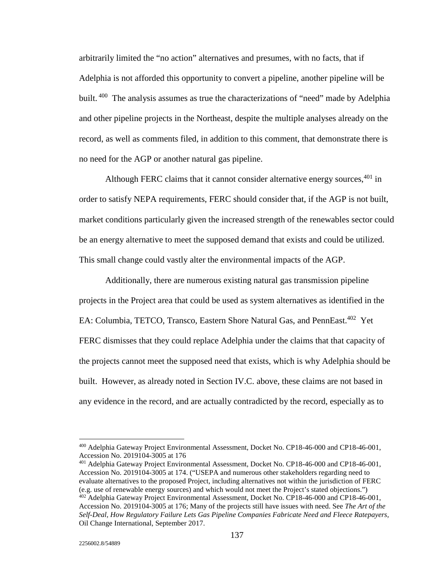arbitrarily limited the "no action" alternatives and presumes, with no facts, that if Adelphia is not afforded this opportunity to convert a pipeline, another pipeline will be built. <sup>400</sup> The analysis assumes as true the characterizations of "need" made by Adelphia and other pipeline projects in the Northeast, despite the multiple analyses already on the record, as well as comments filed, in addition to this comment, that demonstrate there is no need for the AGP or another natural gas pipeline.

Although FERC claims that it cannot consider alternative energy sources,  $401$  in order to satisfy NEPA requirements, FERC should consider that, if the AGP is not built, market conditions particularly given the increased strength of the renewables sector could be an energy alternative to meet the supposed demand that exists and could be utilized. This small change could vastly alter the environmental impacts of the AGP.

 Additionally, there are numerous existing natural gas transmission pipeline projects in the Project area that could be used as system alternatives as identified in the EA: Columbia, TETCO, Transco, Eastern Shore Natural Gas, and PennEast.<sup>402</sup> Yet FERC dismisses that they could replace Adelphia under the claims that that capacity of the projects cannot meet the supposed need that exists, which is why Adelphia should be built. However, as already noted in Section IV.C. above, these claims are not based in any evidence in the record, and are actually contradicted by the record, especially as to

<sup>400</sup> Adelphia Gateway Project Environmental Assessment, Docket No. CP18-46-000 and CP18-46-001, Accession No. 2019104-3005 at 176

<sup>401</sup> Adelphia Gateway Project Environmental Assessment, Docket No. CP18-46-000 and CP18-46-001, Accession No. 2019104-3005 at 174. ("USEPA and numerous other stakeholders regarding need to evaluate alternatives to the proposed Project, including alternatives not within the jurisdiction of FERC (e.g. use of renewable energy sources) and which would not meet the Project's stated objections.") <sup>402</sup> Adelphia Gateway Project Environmental Assessment, Docket No. CP18-46-000 and CP18-46-001, Accession No. 2019104-3005 at 176; Many of the projects still have issues with need. See *The Art of the Self-Deal, How Regulatory Failure Lets Gas Pipeline Companies Fabricate Need and Fleece Ratepayers,* Oil Change International, September 2017.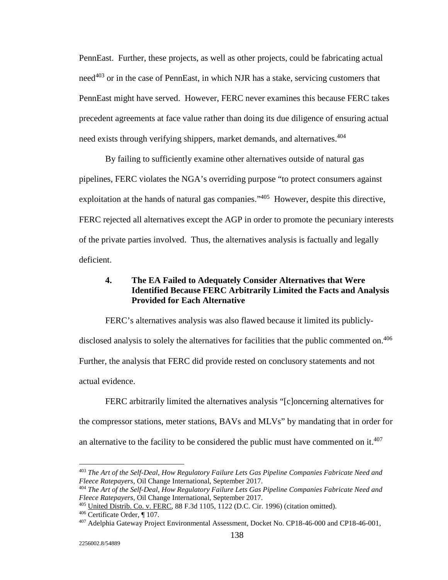PennEast. Further, these projects, as well as other projects, could be fabricating actual need $403$  or in the case of PennEast, in which NJR has a stake, servicing customers that PennEast might have served. However, FERC never examines this because FERC takes precedent agreements at face value rather than doing its due diligence of ensuring actual need exists through verifying shippers, market demands, and alternatives.<sup>404</sup>

 By failing to sufficiently examine other alternatives outside of natural gas pipelines, FERC violates the NGA's overriding purpose "to protect consumers against exploitation at the hands of natural gas companies."<sup>405</sup> However, despite this directive, FERC rejected all alternatives except the AGP in order to promote the pecuniary interests of the private parties involved. Thus, the alternatives analysis is factually and legally deficient.

## **4. The EA Failed to Adequately Consider Alternatives that Were Identified Because FERC Arbitrarily Limited the Facts and Analysis Provided for Each Alternative**

 FERC's alternatives analysis was also flawed because it limited its publiclydisclosed analysis to solely the alternatives for facilities that the public commented on.<sup>406</sup> Further, the analysis that FERC did provide rested on conclusory statements and not actual evidence.

 FERC arbitrarily limited the alternatives analysis "[c]oncerning alternatives for the compressor stations, meter stations, BAVs and MLVs" by mandating that in order for an alternative to the facility to be considered the public must have commented on it.<sup>407</sup>

<sup>&</sup>lt;sup>403</sup> *The Art of the Self-Deal, How Regulatory Failure Lets Gas Pipeline Companies Fabricate Need and Fleece Ratepayers, Oil Change International, September 2017.* 

<sup>&</sup>lt;sup>404</sup> The Art of the Self-Deal, How Regulatory Failure Lets Gas Pipeline Companies Fabricate Need and *Fleece Ratepayers*, Oil Change International, September 2017.

<sup>&</sup>lt;sup>405</sup> United Distrib. Co. v. FERC, 88 F.3d 1105,  $1122$  (D.C. Cir. 1996) (citation omitted).<br><sup>406</sup> Certificate Order, ¶ 107.<br><sup>407</sup> Adelphia Gateway Project Environmental Assessment, Docket No. CP18-46-000 and CP18-46-001,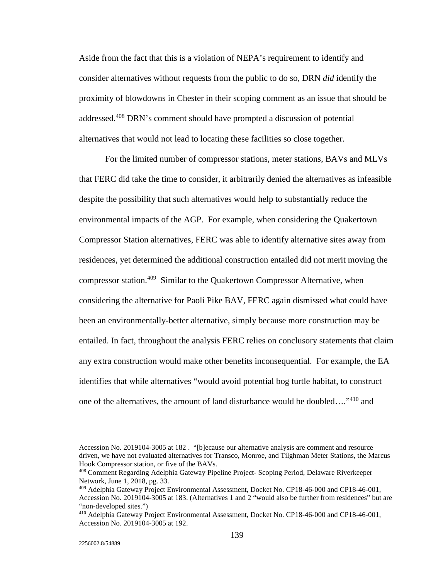Aside from the fact that this is a violation of NEPA's requirement to identify and consider alternatives without requests from the public to do so, DRN *did* identify the proximity of blowdowns in Chester in their scoping comment as an issue that should be addressed.408 DRN's comment should have prompted a discussion of potential alternatives that would not lead to locating these facilities so close together.

 For the limited number of compressor stations, meter stations, BAVs and MLVs that FERC did take the time to consider, it arbitrarily denied the alternatives as infeasible despite the possibility that such alternatives would help to substantially reduce the environmental impacts of the AGP. For example, when considering the Quakertown Compressor Station alternatives, FERC was able to identify alternative sites away from residences, yet determined the additional construction entailed did not merit moving the compressor station.<sup>409</sup> Similar to the Quakertown Compressor Alternative, when considering the alternative for Paoli Pike BAV, FERC again dismissed what could have been an environmentally-better alternative, simply because more construction may be entailed. In fact, throughout the analysis FERC relies on conclusory statements that claim any extra construction would make other benefits inconsequential. For example, the EA identifies that while alternatives "would avoid potential bog turtle habitat, to construct one of the alternatives, the amount of land disturbance would be doubled…."410 and

Accession No. 2019104-3005 at 182 . "[b]ecause our alternative analysis are comment and resource driven, we have not evaluated alternatives for Transco, Monroe, and Tilghman Meter Stations, the Marcus Hook Compressor station, or five of the BAVs.

<sup>408</sup> Comment Regarding Adelphia Gateway Pipeline Project- Scoping Period, Delaware Riverkeeper Network, June 1, 2018, pg. 33.

<sup>409</sup> Adelphia Gateway Project Environmental Assessment, Docket No. CP18-46-000 and CP18-46-001, Accession No. 2019104-3005 at 183. (Alternatives 1 and 2 "would also be further from residences" but are "non-developed sites.")

<sup>410</sup> Adelphia Gateway Project Environmental Assessment, Docket No. CP18-46-000 and CP18-46-001, Accession No. 2019104-3005 at 192.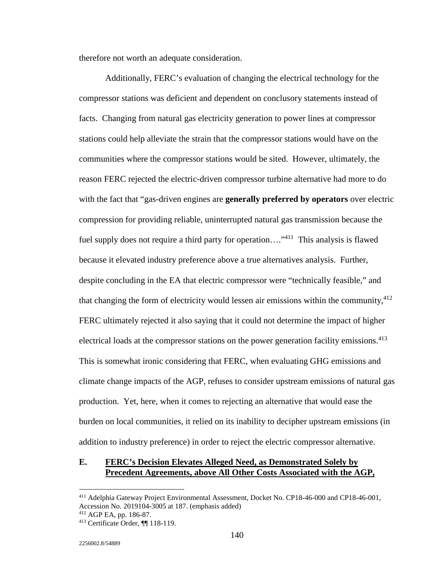therefore not worth an adequate consideration.

 Additionally, FERC's evaluation of changing the electrical technology for the compressor stations was deficient and dependent on conclusory statements instead of facts. Changing from natural gas electricity generation to power lines at compressor stations could help alleviate the strain that the compressor stations would have on the communities where the compressor stations would be sited. However, ultimately, the reason FERC rejected the electric-driven compressor turbine alternative had more to do with the fact that "gas-driven engines are **generally preferred by operators** over electric compression for providing reliable, uninterrupted natural gas transmission because the fuel supply does not require a third party for operation....<sup>"411</sup> This analysis is flawed because it elevated industry preference above a true alternatives analysis. Further, despite concluding in the EA that electric compressor were "technically feasible," and that changing the form of electricity would lessen air emissions within the community,  $412$ FERC ultimately rejected it also saying that it could not determine the impact of higher electrical loads at the compressor stations on the power generation facility emissions.<sup>413</sup> This is somewhat ironic considering that FERC, when evaluating GHG emissions and climate change impacts of the AGP, refuses to consider upstream emissions of natural gas production. Yet, here, when it comes to rejecting an alternative that would ease the burden on local communities, it relied on its inability to decipher upstream emissions (in addition to industry preference) in order to reject the electric compressor alternative.

### **E. FERC's Decision Elevates Alleged Need, as Demonstrated Solely by Precedent Agreements, above All Other Costs Associated with the AGP,**

<sup>411</sup> Adelphia Gateway Project Environmental Assessment, Docket No. CP18-46-000 and CP18-46-001, Accession No. 2019104-3005 at 187. (emphasis added)<br><sup>412</sup> AGP EA, pp. 186-87.

 $413$  Certificate Order,  $\P$ [118-119.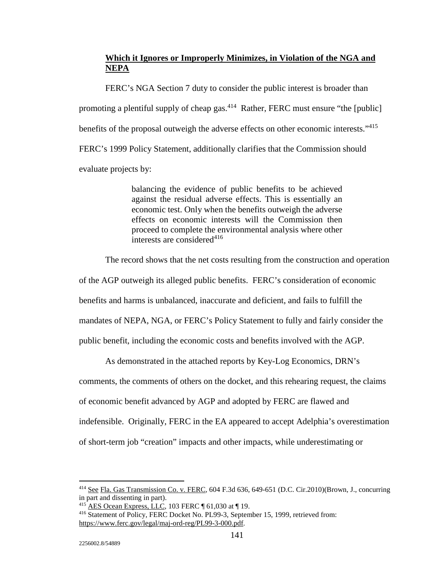# **Which it Ignores or Improperly Minimizes, in Violation of the NGA and NEPA**

 FERC's NGA Section 7 duty to consider the public interest is broader than promoting a plentiful supply of cheap gas.<sup>414</sup> Rather, FERC must ensure "the [public] benefits of the proposal outweigh the adverse effects on other economic interests."<sup>415</sup> FERC's 1999 Policy Statement, additionally clarifies that the Commission should evaluate projects by:

> balancing the evidence of public benefits to be achieved against the residual adverse effects. This is essentially an economic test. Only when the benefits outweigh the adverse effects on economic interests will the Commission then proceed to complete the environmental analysis where other interests are considered $416$

The record shows that the net costs resulting from the construction and operation

of the AGP outweigh its alleged public benefits. FERC's consideration of economic

benefits and harms is unbalanced, inaccurate and deficient, and fails to fulfill the

mandates of NEPA, NGA, or FERC's Policy Statement to fully and fairly consider the

public benefit, including the economic costs and benefits involved with the AGP.

As demonstrated in the attached reports by Key-Log Economics, DRN's

comments, the comments of others on the docket, and this rehearing request, the claims

of economic benefit advanced by AGP and adopted by FERC are flawed and

indefensible. Originally, FERC in the EA appeared to accept Adelphia's overestimation

of short-term job "creation" impacts and other impacts, while underestimating or

<u>.</u>

<sup>414</sup> See Fla. Gas Transmission Co. v. FERC*,* 604 F.3d 636, 649-651 (D.C. Cir.2010)(Brown, J., concurring in part and dissenting in part).<br><sup>415</sup> AES Ocean Express, LLC, 103 FERC ¶ 61,030 at ¶ 19.

<sup>&</sup>lt;sup>416</sup> Statement of Policy, FERC Docket No. PL99-3, September 15, 1999, retrieved from: https://www.ferc.gov/legal/maj-ord-reg/PL99-3-000.pdf.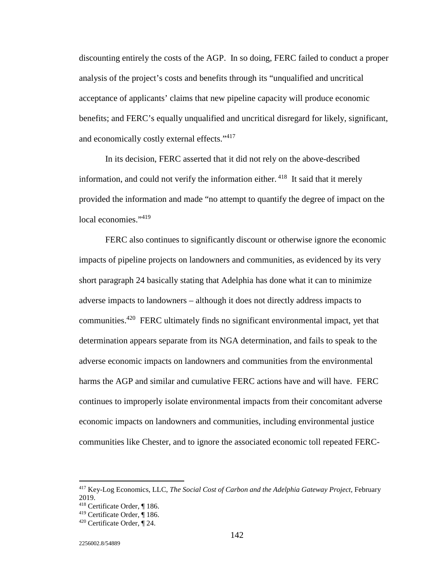discounting entirely the costs of the AGP. In so doing, FERC failed to conduct a proper analysis of the project's costs and benefits through its "unqualified and uncritical acceptance of applicants' claims that new pipeline capacity will produce economic benefits; and FERC's equally unqualified and uncritical disregard for likely, significant, and economically costly external effects."<sup>417</sup>

 In its decision, FERC asserted that it did not rely on the above-described information, and could not verify the information either. 418 It said that it merely provided the information and made "no attempt to quantify the degree of impact on the local economies."<sup>419</sup>

 FERC also continues to significantly discount or otherwise ignore the economic impacts of pipeline projects on landowners and communities, as evidenced by its very short paragraph 24 basically stating that Adelphia has done what it can to minimize adverse impacts to landowners – although it does not directly address impacts to communities.420 FERC ultimately finds no significant environmental impact, yet that determination appears separate from its NGA determination, and fails to speak to the adverse economic impacts on landowners and communities from the environmental harms the AGP and similar and cumulative FERC actions have and will have. FERC continues to improperly isolate environmental impacts from their concomitant adverse economic impacts on landowners and communities, including environmental justice communities like Chester, and to ignore the associated economic toll repeated FERC-

<sup>&</sup>lt;sup>417</sup> Key-Log Economics, LLC, *The Social Cost of Carbon and the Adelphia Gateway Project*, February 2019.

<sup>&</sup>lt;sup>418</sup> Certificate Order, ¶ 186.<br><sup>419</sup> Certificate Order, ¶ 186.

 $420$  Certificate Order,  $\P$  24.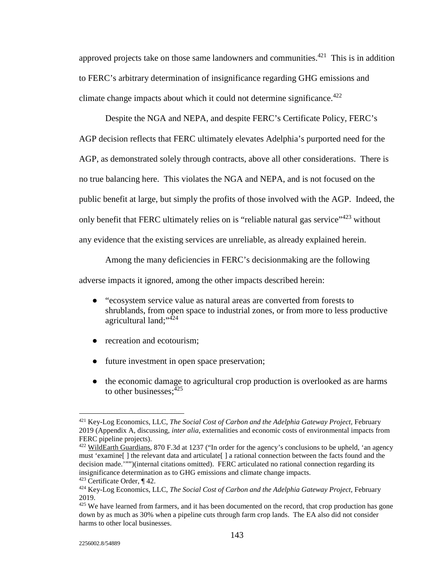approved projects take on those same landowners and communities.<sup> $421$ </sup> This is in addition to FERC's arbitrary determination of insignificance regarding GHG emissions and climate change impacts about which it could not determine significance.<sup>422</sup>

 Despite the NGA and NEPA, and despite FERC's Certificate Policy, FERC's AGP decision reflects that FERC ultimately elevates Adelphia's purported need for the AGP, as demonstrated solely through contracts, above all other considerations. There is no true balancing here. This violates the NGA and NEPA, and is not focused on the public benefit at large, but simply the profits of those involved with the AGP. Indeed, the only benefit that FERC ultimately relies on is "reliable natural gas service"<sup>423</sup> without any evidence that the existing services are unreliable, as already explained herein.

Among the many deficiencies in FERC's decisionmaking are the following

adverse impacts it ignored, among the other impacts described herein:

- "ecosystem service value as natural areas are converted from forests to shrublands, from open space to industrial zones, or from more to less productive agricultural land;"<sup>424</sup>
- recreation and ecotourism;
- future investment in open space preservation;
- the economic damage to agricultural crop production is overlooked as are harms to other businesses:  $425$

 $\overline{a}$ <sup>421</sup> Key-Log Economics, LLC, *The Social Cost of Carbon and the Adelphia Gateway Project*, February 2019 (Appendix A, discussing, *inter alia*, externalities and economic costs of environmental impacts from FERC pipeline projects).

<sup>&</sup>lt;sup>422</sup> WildEarth Guardians, 870 F.3d at 1237 ("In order for the agency's conclusions to be upheld, 'an agency must 'examine[ ] the relevant data and articulate[ ] a rational connection between the facts found and the decision made.'"")(internal citations omitted). FERC articulated no rational connection regarding its insignificance determination as to GHG emissions and climate change impacts.

<sup>&</sup>lt;sup>423</sup> Certificate Order, ¶ 42.<br><sup>424</sup> Key-Log Economics, LLC, *The Social Cost of Carbon and the Adelphia Gateway Project*, February 2019.

<sup>&</sup>lt;sup>425</sup> We have learned from farmers, and it has been documented on the record, that crop production has gone down by as much as 30% when a pipeline cuts through farm crop lands. The EA also did not consider harms to other local businesses.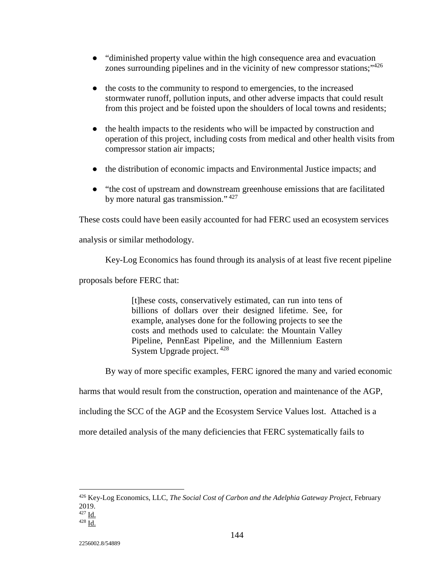- "diminished property value within the high consequence area and evacuation zones surrounding pipelines and in the vicinity of new compressor stations;"426
- the costs to the community to respond to emergencies, to the increased stormwater runoff, pollution inputs, and other adverse impacts that could result from this project and be foisted upon the shoulders of local towns and residents;
- the health impacts to the residents who will be impacted by construction and operation of this project, including costs from medical and other health visits from compressor station air impacts;
- the distribution of economic impacts and Environmental Justice impacts; and
- "the cost of upstream and downstream greenhouse emissions that are facilitated by more natural gas transmission." 427

These costs could have been easily accounted for had FERC used an ecosystem services

analysis or similar methodology.

Key-Log Economics has found through its analysis of at least five recent pipeline

proposals before FERC that:

[t]hese costs, conservatively estimated, can run into tens of billions of dollars over their designed lifetime. See, for example, analyses done for the following projects to see the costs and methods used to calculate: the Mountain Valley Pipeline, PennEast Pipeline, and the Millennium Eastern System Upgrade project.  $428$ 

By way of more specific examples, FERC ignored the many and varied economic

harms that would result from the construction, operation and maintenance of the AGP,

including the SCC of the AGP and the Ecosystem Service Values lost. Attached is a

more detailed analysis of the many deficiencies that FERC systematically fails to

<sup>426</sup> Key-Log Economics, LLC, *The Social Cost of Carbon and the Adelphia Gateway Project,* February 2019.<br><sup>427</sup> Id.

 $428$  Id.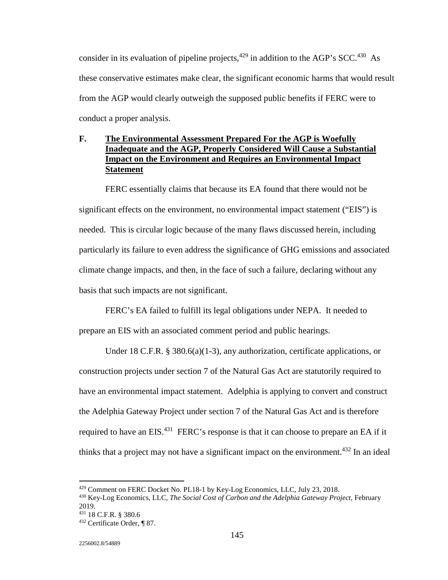consider in its evaluation of pipeline projects,  $429$  in addition to the AGP's SCC.  $430$  As these conservative estimates make clear, the significant economic harms that would result from the AGP would clearly outweigh the supposed public benefits if FERC were to conduct a proper analysis.

# **F. The Environmental Assessment Prepared For the AGP is Woefully Inadequate and the AGP, Properly Considered Will Cause a Substantial Impact on the Environment and Requires an Environmental Impact Statement**

 FERC essentially claims that because its EA found that there would not be significant effects on the environment, no environmental impact statement ("EIS") is needed. This is circular logic because of the many flaws discussed herein, including particularly its failure to even address the significance of GHG emissions and associated climate change impacts, and then, in the face of such a failure, declaring without any basis that such impacts are not significant.

FERC's EA failed to fulfill its legal obligations under NEPA. It needed to prepare an EIS with an associated comment period and public hearings.

 Under 18 C.F.R. § 380.6(a)(1-3), any authorization, certificate applications, or construction projects under section 7 of the Natural Gas Act are statutorily required to have an environmental impact statement. Adelphia is applying to convert and construct the Adelphia Gateway Project under section 7 of the Natural Gas Act and is therefore required to have an EIS.<sup>431</sup> FERC's response is that it can choose to prepare an EA if it thinks that a project may not have a significant impact on the environment.<sup>432</sup> In an ideal

<u>.</u>

<sup>&</sup>lt;sup>429</sup> Comment on FERC Docket No. PL18-1 by Key-Log Economics, LLC, July 23, 2018.<br><sup>430</sup> Key-Log Economics, LLC, *The Social Cost of Carbon and the Adelphia Gateway Project*, February 2019.<br><sup>431</sup> 18 C.F.R. § 380.6

 $432$  Certificate Order, ¶ 87.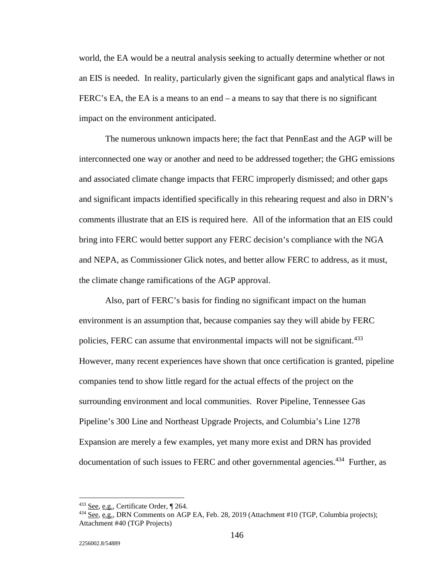world, the EA would be a neutral analysis seeking to actually determine whether or not an EIS is needed. In reality, particularly given the significant gaps and analytical flaws in FERC's EA, the EA is a means to an end – a means to say that there is no significant impact on the environment anticipated.

The numerous unknown impacts here; the fact that PennEast and the AGP will be interconnected one way or another and need to be addressed together; the GHG emissions and associated climate change impacts that FERC improperly dismissed; and other gaps and significant impacts identified specifically in this rehearing request and also in DRN's comments illustrate that an EIS is required here. All of the information that an EIS could bring into FERC would better support any FERC decision's compliance with the NGA and NEPA, as Commissioner Glick notes, and better allow FERC to address, as it must, the climate change ramifications of the AGP approval.

Also, part of FERC's basis for finding no significant impact on the human environment is an assumption that, because companies say they will abide by FERC policies, FERC can assume that environmental impacts will not be significant.<sup>433</sup> However, many recent experiences have shown that once certification is granted, pipeline companies tend to show little regard for the actual effects of the project on the surrounding environment and local communities. Rover Pipeline, Tennessee Gas Pipeline's 300 Line and Northeast Upgrade Projects, and Columbia's Line 1278 Expansion are merely a few examples, yet many more exist and DRN has provided documentation of such issues to FERC and other governmental agencies.<sup>434</sup> Further, as

-

<sup>&</sup>lt;sup>433</sup> See, e.g., Certificate Order, ¶ 264.<br><sup>434</sup> See, e.g., DRN Comments on AGP EA, Feb. 28, 2019 (Attachment #10 (TGP, Columbia projects); Attachment #40 (TGP Projects)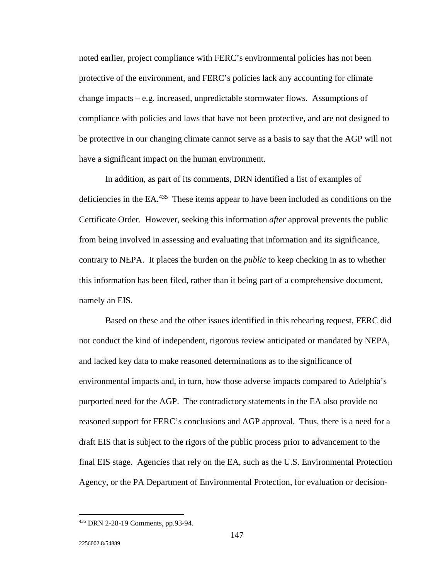noted earlier, project compliance with FERC's environmental policies has not been protective of the environment, and FERC's policies lack any accounting for climate change impacts – e.g. increased, unpredictable stormwater flows. Assumptions of compliance with policies and laws that have not been protective, and are not designed to be protective in our changing climate cannot serve as a basis to say that the AGP will not have a significant impact on the human environment.

In addition, as part of its comments, DRN identified a list of examples of deficiencies in the EA.<sup>435</sup> These items appear to have been included as conditions on the Certificate Order. However, seeking this information *after* approval prevents the public from being involved in assessing and evaluating that information and its significance, contrary to NEPA. It places the burden on the *public* to keep checking in as to whether this information has been filed, rather than it being part of a comprehensive document, namely an EIS.

Based on these and the other issues identified in this rehearing request, FERC did not conduct the kind of independent, rigorous review anticipated or mandated by NEPA, and lacked key data to make reasoned determinations as to the significance of environmental impacts and, in turn, how those adverse impacts compared to Adelphia's purported need for the AGP. The contradictory statements in the EA also provide no reasoned support for FERC's conclusions and AGP approval. Thus, there is a need for a draft EIS that is subject to the rigors of the public process prior to advancement to the final EIS stage. Agencies that rely on the EA, such as the U.S. Environmental Protection Agency, or the PA Department of Environmental Protection, for evaluation or decision-

-

<sup>435</sup> DRN 2-28-19 Comments, pp.93-94.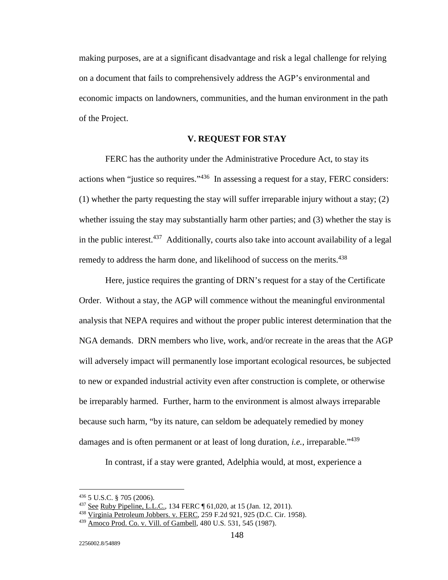making purposes, are at a significant disadvantage and risk a legal challenge for relying on a document that fails to comprehensively address the AGP's environmental and economic impacts on landowners, communities, and the human environment in the path of the Project.

### **V. REQUEST FOR STAY**

FERC has the authority under the Administrative Procedure Act, to stay its actions when "justice so requires."436 In assessing a request for a stay, FERC considers: (1) whether the party requesting the stay will suffer irreparable injury without a stay; (2) whether issuing the stay may substantially harm other parties; and (3) whether the stay is in the public interest.<sup>437</sup> Additionally, courts also take into account availability of a legal remedy to address the harm done, and likelihood of success on the merits.<sup>438</sup>

Here, justice requires the granting of DRN's request for a stay of the Certificate Order. Without a stay, the AGP will commence without the meaningful environmental analysis that NEPA requires and without the proper public interest determination that the NGA demands. DRN members who live, work, and/or recreate in the areas that the AGP will adversely impact will permanently lose important ecological resources, be subjected to new or expanded industrial activity even after construction is complete, or otherwise be irreparably harmed. Further, harm to the environment is almost always irreparable because such harm, "by its nature, can seldom be adequately remedied by money damages and is often permanent or at least of long duration, *i.e.*, irreparable.<sup>439</sup>

In contrast, if a stay were granted, Adelphia would, at most, experience a

-

<sup>436 5</sup> U.S.C. § 705 (2006).<br>
<sup>437</sup> <u>See Ruby Pipeline, L.L.C.</u>, 134 FERC ¶ 61,020, at 15 (Jan. 12, 2011).<br>
<sup>438</sup> Virginia Petroleum Jobbers. v. FERC, 259 F.2d 921, 925 (D.C. Cir. 1958).

<sup>439</sup> Amoco Prod. Co. v. Vill. of Gambell, 480 U.S. 531, 545 (1987).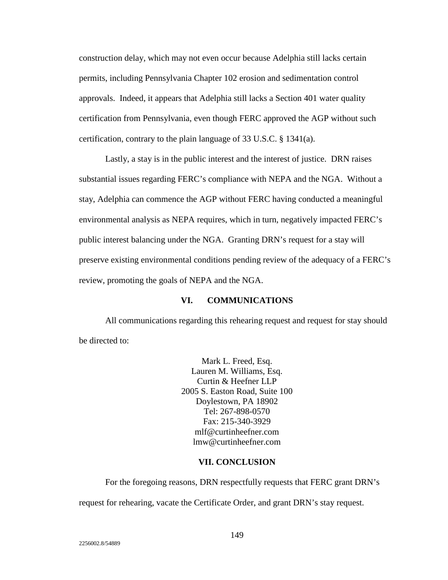construction delay, which may not even occur because Adelphia still lacks certain permits, including Pennsylvania Chapter 102 erosion and sedimentation control approvals. Indeed, it appears that Adelphia still lacks a Section 401 water quality certification from Pennsylvania, even though FERC approved the AGP without such certification, contrary to the plain language of 33 U.S.C. § 1341(a).

 Lastly, a stay is in the public interest and the interest of justice. DRN raises substantial issues regarding FERC's compliance with NEPA and the NGA. Without a stay, Adelphia can commence the AGP without FERC having conducted a meaningful environmental analysis as NEPA requires, which in turn, negatively impacted FERC's public interest balancing under the NGA. Granting DRN's request for a stay will preserve existing environmental conditions pending review of the adequacy of a FERC's review, promoting the goals of NEPA and the NGA.

### **VI. COMMUNICATIONS**

 All communications regarding this rehearing request and request for stay should be directed to:

> Mark L. Freed, Esq. Lauren M. Williams, Esq. Curtin & Heefner LLP 2005 S. Easton Road, Suite 100 Doylestown, PA 18902 Tel: 267-898-0570 Fax: 215-340-3929 mlf@curtinheefner.com lmw@curtinheefner.com

#### **VII. CONCLUSION**

For the foregoing reasons, DRN respectfully requests that FERC grant DRN's request for rehearing, vacate the Certificate Order, and grant DRN's stay request.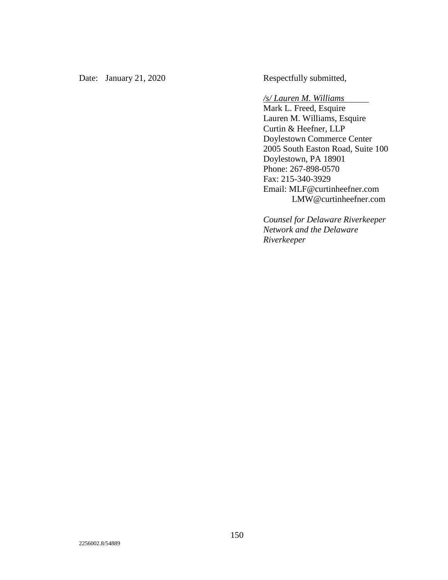Date: January 21, 2020 Respectfully submitted,

## */s/ Lauren M. Williams*

Mark L. Freed, Esquire Lauren M. Williams, Esquire Curtin & Heefner, LLP Doylestown Commerce Center 2005 South Easton Road, Suite 100 Doylestown, PA 18901 Phone: 267-898-0570 Fax: 215-340-3929 Email: MLF@curtinheefner.com LMW@curtinheefner.com

 $\overline{\phantom{a}}$ 

*Counsel for Delaware Riverkeeper Network and the Delaware Riverkeeper*